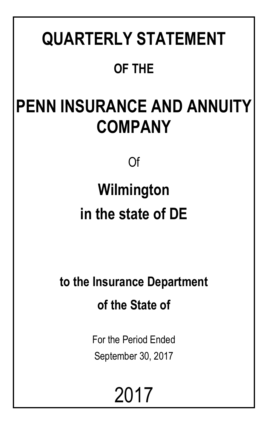# **QUARTERLY STATEMENT OF THE**

# **PENN INSURANCE AND ANNUITY COMPANY**

Of

# **Wilmington in the state of DE**

**to the Insurance Department of the State of**

> For the Period Ended September 30, 2017

> > 2017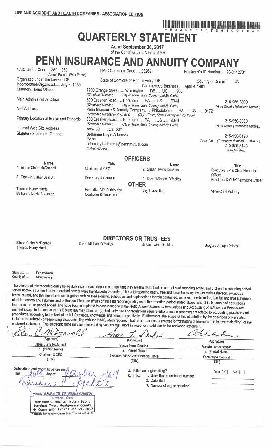**QUARTERLY STATEMENT** 

As of September 30, 2017 of the Condition and Affairs of the

# PENN INSURANCE AND ANNUITY COMPANY

| NAIC Group Code850, 850<br>(Current Period) (Prior Period)                                            |                                                      | NAIC Company Code 93262<br>Employer's ID Number 23-2142731                                                                                                               |                            |                                                |  |  |  |
|-------------------------------------------------------------------------------------------------------|------------------------------------------------------|--------------------------------------------------------------------------------------------------------------------------------------------------------------------------|----------------------------|------------------------------------------------|--|--|--|
| Organized under the Laws of DE<br>Incorporated/Organized July 3, 1980<br><b>Statutory Home Office</b> | (Street and Number)                                  | State of Domicile or Port of Entry DE<br>Commenced Business April 9, 1981<br>1209 Orange Street Wilmington  DE  US  19801<br>(City or Town, State, Country and Zip Code) | <b>Country of Domicile</b> | US.                                            |  |  |  |
| Main Administrative Office                                                                            | (Street and Number)                                  | 600 Dresher Road Horsham  PA  US  19044<br>(City or Town, State, Country and Zip Code)                                                                                   |                            | 215-956-8000                                   |  |  |  |
| Mail Address                                                                                          |                                                      | Penn Insurance & Annuity Company Philadelphia  PA  US  19172<br>(Street and Number or P. O. Box) (City or Town, State, Country and Zip Code)                             |                            | (Area Code) (Telephone Number)                 |  |  |  |
| Primary Location of Books and Records                                                                 | (Street and Number)                                  | 600 Dresher Road Horsham  PA  US  19044<br>(City or Town, State, Country and Zip Code)                                                                                   |                            | 215-956-8000                                   |  |  |  |
| Internet Web Site Address                                                                             | www.pennmutual.com                                   |                                                                                                                                                                          |                            | (Area Code) (Telephone Number)                 |  |  |  |
| <b>Statutory Statement Contact</b>                                                                    |                                                      | 215-956-8120<br>(Area Code) (Telephone Number) (Extension)<br>215-956-8145<br>(Fax Number)                                                                               |                            |                                                |  |  |  |
|                                                                                                       |                                                      | <b>OFFICERS</b>                                                                                                                                                          |                            |                                                |  |  |  |
| <b>Name</b><br>1. Eileen Claire McDonnell                                                             | <b>Title</b><br>Chairman & CEO                       | <b>Name</b><br>2. Susan Twine Deakins                                                                                                                                    |                            | <b>Title</b><br>Executive VP & Chief Financial |  |  |  |
| 3. Franklin Luther Best Jr.                                                                           | Secretary & Counsel                                  | 4. David Michael O'Malley                                                                                                                                                | Officer                    | President & Chief Operating Officer            |  |  |  |
| Thomas Henry Harris                                                                                   |                                                      | <b>OTHER</b>                                                                                                                                                             |                            |                                                |  |  |  |
| Bethanne Doyle Adamsky                                                                                | Executive VP, Distribution<br>Controller & Treasurer | Jay T Lewellen                                                                                                                                                           |                            | VP & Chief Actuary                             |  |  |  |

Eileen Claire McDonnell Thomas Henry Harris

David Michael O'Malley

**DIRECTORS OR TRUSTEES Susan Twine Deakins** 

Gregory Joseph Driscoll

<u>HOUR ARE WE CUT AND ARE WELL ALL AND ARRESTS OF A SAME</u>

State of County of.....

Pennsylvania Montgomery

The officers of this reporting entity being duly swom, each depose and say that they are the described officers of said reporting entity, and that on the reporting period stated above, all of the herein described assets were the absolute property of the said reporting entity, free and clear from any liens or claims thereon, except as herein stated, and that this statement, together with related exhibits, schedules and explanations therein contained, annexed or referred to, is a full and true statement of all the assets and liabilities and of the condition and affairs of the said reporting entity as of the reporting period stated above, and of its income and deductions therefrom for the period ended, and have been completed in accordance with the NAIC Annual Statement Instructions and Accounting Practices and Procedures manual except to the extent that: (1) state law may differ; or, (2) that state rules or regulations require differences in reporting not related to accounting practices and procedures, according to the best of their information, knowledge and belief, respectively. Furthermore, the scope of this attestation by the described officers also includes the related corresponding electronic filing with the NAIC, when required, that is an exact copy (except for formatting differences due to electronic filing) of the enclosed statement. The electronic filing may be requested by various regulators in lieu of or in addition to the enclosed statement.

 $1486$ 'IC (Signature) (Signature) (Signature) Eileen Claire McDonnell **Susan Twine Deakins** Franklin Luther Best Jr. 1. (Printed Name) 2. (Printed Name) 3. (Printed Name) Chairman & CEO Executive VP & Chief Financial Officer Secretary & Counsel (Title) (Title)  $(Title)$ Subscribed and sworn to before me a. Is this an original filing? Yes  $[X]$  No  $[ ]$ This 1. State the amendment number - day of b. If no: 2. Date filed 3. Number of pages attached COMMONWEALTH OF PENNSYLVANIA Notarial Seal Marianne C. Bechtel, Notary Public Horsham Twp., Montgomery County<br>My Commission Expires Dec. 26, 2017 **MATA, DENNEYLVANIA ASSOCIATION OF NOTARIES**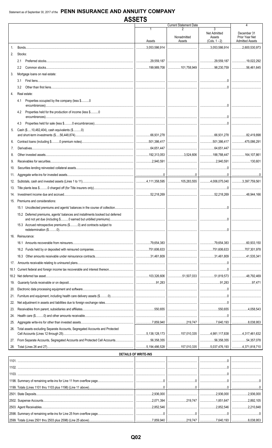|                  |                                                                               |                                                                                                                                                                       | <b>Current Statement Date</b>   |                        | 4                      |
|------------------|-------------------------------------------------------------------------------|-----------------------------------------------------------------------------------------------------------------------------------------------------------------------|---------------------------------|------------------------|------------------------|
|                  |                                                                               |                                                                                                                                                                       |                                 | 3                      |                        |
|                  |                                                                               |                                                                                                                                                                       |                                 | <b>Net Admitted</b>    | December 31            |
|                  |                                                                               |                                                                                                                                                                       | Nonadmitted                     | Assets                 | Prior Year Net         |
|                  |                                                                               | Assets                                                                                                                                                                | Assets                          | $(Cols. 1 - 2)$        | <b>Admitted Assets</b> |
| $\mathbf{1}$ .   |                                                                               | 3,053,586,914                                                                                                                                                         |                                 | $\ldots$ 3,053,586,914 | $\ldots$ 2,600,530,973 |
|                  |                                                                               |                                                                                                                                                                       |                                 |                        |                        |
| 2.               | Stocks:                                                                       |                                                                                                                                                                       |                                 |                        |                        |
|                  |                                                                               | 29,559,187                                                                                                                                                            |                                 |                        | 19,022,292             |
|                  |                                                                               |                                                                                                                                                                       |                                 |                        |                        |
|                  | $2.2^{\circ}$                                                                 | 199,989,708 101,758,949 98,230,759                                                                                                                                    |                                 |                        | $\ldots$ 56,461,645    |
| 3.               | Mortgage loans on real estate:                                                |                                                                                                                                                                       |                                 |                        |                        |
|                  | 3.1                                                                           |                                                                                                                                                                       |                                 |                        |                        |
|                  |                                                                               |                                                                                                                                                                       |                                 |                        |                        |
|                  | 3.2                                                                           |                                                                                                                                                                       |                                 |                        |                        |
| $\overline{4}$ . | Real estate:                                                                  |                                                                                                                                                                       |                                 |                        |                        |
|                  |                                                                               |                                                                                                                                                                       |                                 |                        |                        |
|                  | Properties occupied by the company (less \$0<br>4.1                           |                                                                                                                                                                       |                                 |                        |                        |
|                  |                                                                               |                                                                                                                                                                       |                                 |                        |                        |
|                  | Properties held for the production of income (less \$0<br>4.2                 |                                                                                                                                                                       |                                 |                        |                        |
|                  |                                                                               |                                                                                                                                                                       |                                 |                        |                        |
|                  |                                                                               |                                                                                                                                                                       |                                 |                        |                        |
|                  | 4.3                                                                           |                                                                                                                                                                       |                                 |                        |                        |
| 5.               | Cash (\$10,482,404), cash equivalents (\$0)                                   |                                                                                                                                                                       |                                 |                        |                        |
|                  |                                                                               |                                                                                                                                                                       |                                 |                        |                        |
| 6.               |                                                                               |                                                                                                                                                                       | │……………………………… │……………501,386,417 |                        |                        |
|                  |                                                                               |                                                                                                                                                                       |                                 |                        | 475,086,291            |
| 7.               |                                                                               |                                                                                                                                                                       |                                 |                        |                        |
| 8.               |                                                                               |                                                                                                                                                                       | 3,524,606 188,788,447           |                        | 164,107,861            |
|                  |                                                                               |                                                                                                                                                                       |                                 |                        |                        |
| 9.               |                                                                               |                                                                                                                                                                       |                                 |                        |                        |
| 10.              |                                                                               |                                                                                                                                                                       |                                 |                        |                        |
|                  |                                                                               |                                                                                                                                                                       |                                 |                        |                        |
| 11.              |                                                                               |                                                                                                                                                                       |                                 |                        |                        |
| 12.              |                                                                               |                                                                                                                                                                       |                                 |                        |                        |
|                  |                                                                               |                                                                                                                                                                       |                                 |                        |                        |
| 13.              |                                                                               |                                                                                                                                                                       |                                 |                        |                        |
| 14.              |                                                                               | │………………52,218,269 │……………………………… │………………52,218,269 │………………48,944,166                                                                                                   |                                 |                        |                        |
| 15.              | Premiums and considerations:                                                  |                                                                                                                                                                       |                                 |                        |                        |
|                  |                                                                               |                                                                                                                                                                       |                                 |                        |                        |
|                  | 15.1 Uncollected premiums and agents' balances in the course of collection    |                                                                                                                                                                       |                                 |                        |                        |
|                  | 15.2 Deferred premiums, agents' balances and installments booked but deferred |                                                                                                                                                                       |                                 |                        |                        |
|                  |                                                                               |                                                                                                                                                                       |                                 |                        |                        |
|                  | 15.3 Accrued retrospective premiums (\$0) and contracts subject to            |                                                                                                                                                                       |                                 |                        |                        |
|                  |                                                                               |                                                                                                                                                                       |                                 | 0                      |                        |
|                  |                                                                               |                                                                                                                                                                       |                                 |                        |                        |
| 16.              | Reinsurance:                                                                  |                                                                                                                                                                       |                                 |                        |                        |
|                  |                                                                               |                                                                                                                                                                       |                                 |                        | 60,933,150             |
|                  |                                                                               |                                                                                                                                                                       |                                 |                        |                        |
|                  |                                                                               | 751,606,633                                                                                                                                                           |                                 |                        | 707,301,978            |
|                  | 16.3                                                                          |                                                                                                                                                                       |                                 |                        | 41,535,341             |
|                  |                                                                               |                                                                                                                                                                       |                                 |                        |                        |
| 17.              |                                                                               |                                                                                                                                                                       |                                 |                        |                        |
| 18.1             |                                                                               |                                                                                                                                                                       |                                 |                        |                        |
|                  |                                                                               |                                                                                                                                                                       |                                 |                        |                        |
|                  |                                                                               |                                                                                                                                                                       |                                 |                        |                        |
| 19.              |                                                                               |                                                                                                                                                                       |                                 |                        | 97,471                 |
| 20.              |                                                                               |                                                                                                                                                                       |                                 |                        |                        |
|                  |                                                                               |                                                                                                                                                                       |                                 |                        |                        |
| 21.              |                                                                               |                                                                                                                                                                       |                                 |                        |                        |
| 22.              |                                                                               |                                                                                                                                                                       |                                 |                        |                        |
| 23.              |                                                                               |                                                                                                                                                                       |                                 |                        |                        |
|                  |                                                                               |                                                                                                                                                                       |                                 |                        |                        |
| 24.              |                                                                               |                                                                                                                                                                       |                                 |                        |                        |
| 25.              |                                                                               |                                                                                                                                                                       |                                 |                        |                        |
|                  |                                                                               |                                                                                                                                                                       |                                 |                        |                        |
| 26.              | Total assets excluding Separate Accounts, Segregated Accounts and Protected   |                                                                                                                                                                       |                                 |                        |                        |
|                  |                                                                               |                                                                                                                                                                       |                                 |                        |                        |
|                  |                                                                               |                                                                                                                                                                       |                                 |                        | $\ldots$ 54,357,078    |
| 28.              |                                                                               |                                                                                                                                                                       |                                 |                        |                        |
|                  |                                                                               |                                                                                                                                                                       |                                 |                        |                        |
|                  |                                                                               | <b>DETAILS OF WRITE-INS</b>                                                                                                                                           |                                 |                        |                        |
|                  |                                                                               |                                                                                                                                                                       |                                 |                        |                        |
|                  |                                                                               |                                                                                                                                                                       |                                 |                        |                        |
|                  |                                                                               |                                                                                                                                                                       |                                 |                        |                        |
|                  |                                                                               |                                                                                                                                                                       |                                 |                        |                        |
|                  |                                                                               |                                                                                                                                                                       |                                 |                        |                        |
|                  |                                                                               |                                                                                                                                                                       |                                 |                        |                        |
|                  |                                                                               |                                                                                                                                                                       |                                 |                        |                        |
|                  |                                                                               |                                                                                                                                                                       |                                 |                        |                        |
|                  |                                                                               |                                                                                                                                                                       |                                 |                        |                        |
|                  |                                                                               | $\ldots \ldots \ldots \ldots \ldots \ldots 2,071,394 \mid \ldots \ldots \ldots \ldots \ldots \ldots 219,747 \mid \ldots \ldots \ldots \ldots \ldots \ldots 1,851,647$ |                                 |                        | $\ldots$ 2,892,105     |
|                  |                                                                               |                                                                                                                                                                       |                                 |                        | $\ldots$ 2,210,848     |
|                  |                                                                               |                                                                                                                                                                       |                                 |                        |                        |
|                  |                                                                               |                                                                                                                                                                       |                                 |                        |                        |
|                  | 2599. Totals (Lines 2501 thru 2503 plus 2598) (Line 25 above)                 | 7,859,940                                                                                                                                                             | 219,747                         | 7,640,193              | $\ldots$ 8,038,953     |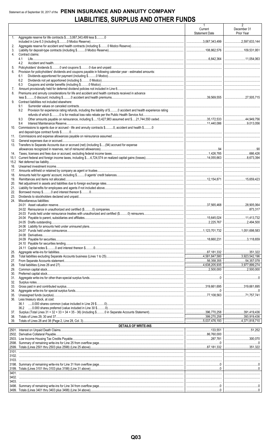# Statement as of September 30, 2017 of the PENN INSURANCE AND ANNUITY COMPANY **LIABILITIES, SURPLUS AND OTHER FUNDS**

|                |                                                                                                                       | $\mathbf{1}$<br>Current<br><b>Statement Date</b> | $\overline{2}$<br>December 31<br>Prior Year |
|----------------|-----------------------------------------------------------------------------------------------------------------------|--------------------------------------------------|---------------------------------------------|
| 1.             | Aggregate reserve for life contracts \$3,067,343,499 less \$0                                                         |                                                  |                                             |
| 2.<br>3.       |                                                                                                                       |                                                  | <br>109,531,951                             |
| 4.             | Contract claims:                                                                                                      |                                                  |                                             |
|                | 4.1<br>4.2                                                                                                            |                                                  |                                             |
| 5.             |                                                                                                                       |                                                  |                                             |
| 6.             | Provision for policyholders' dividends and coupons payable in following calendar year - estimated amounts:<br>6.1     |                                                  |                                             |
|                | 6.2                                                                                                                   |                                                  |                                             |
|                | 6.3                                                                                                                   |                                                  |                                             |
| 7.<br>8.       | Premiums and annuity considerations for life and accident and health contracts received in advance                    |                                                  |                                             |
|                |                                                                                                                       |                                                  |                                             |
| 9.             | Contract liabilities not included elsewhere:<br>9.1                                                                   |                                                  |                                             |
|                | Provision for experience rating refunds, including the liability of \$ O accident and health experience rating<br>9.2 |                                                  |                                             |
|                |                                                                                                                       |                                                  |                                             |
|                | 9.3<br>9.4                                                                                                            |                                                  |                                             |
| 10.            | Commissions to agents due or accrued - life and annuity contracts \$0, accident and health \$0                        |                                                  |                                             |
| 11.            |                                                                                                                       |                                                  |                                             |
| 12.            |                                                                                                                       |                                                  |                                             |
| 13.            | Transfers to Separate Accounts due or accrued (net) (including \$(94) accrued for expense                             |                                                  |                                             |
| 14.            |                                                                                                                       |                                                  |                                             |
| 15.1           |                                                                                                                       |                                                  |                                             |
| 15.2<br>16.    |                                                                                                                       |                                                  |                                             |
| 17.            |                                                                                                                       |                                                  |                                             |
| 18.<br>19.     |                                                                                                                       |                                                  |                                             |
| 20.            |                                                                                                                       |                                                  |                                             |
| 21.            |                                                                                                                       |                                                  |                                             |
| 22.<br>23.     |                                                                                                                       |                                                  |                                             |
| 24.            | Miscellaneous liabilities:                                                                                            |                                                  |                                             |
|                |                                                                                                                       |                                                  |                                             |
|                |                                                                                                                       |                                                  |                                             |
|                |                                                                                                                       |                                                  |                                             |
|                | 24.05 Drafts outstanding                                                                                              |                                                  |                                             |
|                |                                                                                                                       |                                                  |                                             |
|                |                                                                                                                       |                                                  |                                             |
|                |                                                                                                                       |                                                  |                                             |
| 25.            |                                                                                                                       |                                                  |                                             |
| 26.            |                                                                                                                       |                                                  |                                             |
| 27.<br>28.     |                                                                                                                       |                                                  |                                             |
| 29.            |                                                                                                                       |                                                  | 2,500,000                                   |
| 30.            |                                                                                                                       |                                                  |                                             |
| 31.<br>32.     |                                                                                                                       |                                                  |                                             |
| 33.            |                                                                                                                       |                                                  |                                             |
| 34.<br>35.     |                                                                                                                       |                                                  | 71.757.741                                  |
| 36.            | Less treasury stock, at cost:                                                                                         |                                                  |                                             |
|                |                                                                                                                       |                                                  |                                             |
| 37.            |                                                                                                                       |                                                  |                                             |
| 38.<br>39.     |                                                                                                                       |                                                  |                                             |
|                | <b>DETAILS OF WRITE-INS</b>                                                                                           |                                                  |                                             |
|                |                                                                                                                       |                                                  | $\overline{\phantom{a}1}$                   |
|                |                                                                                                                       | 86.760.000                                       | 300.070                                     |
|                |                                                                                                                       |                                                  |                                             |
| 2599.<br>3101. |                                                                                                                       |                                                  |                                             |
|                |                                                                                                                       |                                                  |                                             |
|                |                                                                                                                       |                                                  |                                             |
|                |                                                                                                                       |                                                  |                                             |
|                |                                                                                                                       |                                                  |                                             |
|                |                                                                                                                       |                                                  |                                             |
|                |                                                                                                                       |                                                  |                                             |
|                |                                                                                                                       |                                                  |                                             |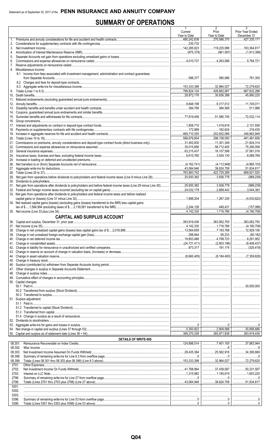# **SUMMARY OF OPERATIONS**

|          |                                                                                                                       | 1<br>Current<br>Year to Date                                 | Prior<br>Year to Date                             | 3<br>Prior Year Ended<br>December 31                                                                                                                                                                                                                                                                                                                                                                                                                            |
|----------|-----------------------------------------------------------------------------------------------------------------------|--------------------------------------------------------------|---------------------------------------------------|-----------------------------------------------------------------------------------------------------------------------------------------------------------------------------------------------------------------------------------------------------------------------------------------------------------------------------------------------------------------------------------------------------------------------------------------------------------------|
| 1.<br>2. |                                                                                                                       | 490,242,636<br>230,732                                       | $\frac{1}{270,586,370}$                           | 427,335,171<br>                                                                                                                                                                                                                                                                                                                                                                                                                                                 |
| 3.       |                                                                                                                       | $\ldots$ 142,285,623                                         | 119,225,086                                       | 163,364,817                                                                                                                                                                                                                                                                                                                                                                                                                                                     |
| 4.<br>5. |                                                                                                                       |                                                              |                                                   |                                                                                                                                                                                                                                                                                                                                                                                                                                                                 |
| 6.       |                                                                                                                       |                                                              | 1.1263.086                                        | $\ldots$ 5.784.721                                                                                                                                                                                                                                                                                                                                                                                                                                              |
| 7.       | 8. Miscellaneous Income:                                                                                              |                                                              |                                                   |                                                                                                                                                                                                                                                                                                                                                                                                                                                                 |
|          | 8.1 Income from fees associated with investment management, administration and contract guarantees                    |                                                              |                                                   |                                                                                                                                                                                                                                                                                                                                                                                                                                                                 |
|          |                                                                                                                       | 596.377<br>                                                  | 585.086<br>                                       | 781,355                                                                                                                                                                                                                                                                                                                                                                                                                                                         |
|          |                                                                                                                       |                                                              | $\ldots$ 32,964,027                               | 72,279,620                                                                                                                                                                                                                                                                                                                                                                                                                                                      |
|          |                                                                                                                       | 789,824,124                                                  | 1.11111426662067                                  |                                                                                                                                                                                                                                                                                                                                                                                                                                                                 |
|          |                                                                                                                       | 28,872,176                                                   | 30,636,398                                        | 45,890,225<br>                                                                                                                                                                                                                                                                                                                                                                                                                                                  |
|          |                                                                                                                       | 9.848.198                                                    |                                                   | 11,745,011                                                                                                                                                                                                                                                                                                                                                                                                                                                      |
|          |                                                                                                                       |                                                              | 384.569                                           | 511.986                                                                                                                                                                                                                                                                                                                                                                                                                                                         |
|          |                                                                                                                       | 77.819.456                                                   | 51,585,745                                        | 114                                                                                                                                                                                                                                                                                                                                                                                                                                                             |
|          |                                                                                                                       |                                                              |                                                   |                                                                                                                                                                                                                                                                                                                                                                                                                                                                 |
|          |                                                                                                                       | 1,858,710<br>172,969                                         | 1,419,616                                         | 2,121,936<br>216.435                                                                                                                                                                                                                                                                                                                                                                                                                                            |
|          |                                                                                                                       | 469,710,355                                                  | 202,652,086                                       | 348,963,949                                                                                                                                                                                                                                                                                                                                                                                                                                                     |
|          |                                                                                                                       | 588.676.654<br>31,452,830                                    | 296,158,050                                       | 481,481,656<br>21,824,314<br>.                                                                                                                                                                                                                                                                                                                                                                                                                                  |
|          |                                                                                                                       | 35,015,856                                                   | 58,712,405                                        | 75,295,056                                                                                                                                                                                                                                                                                                                                                                                                                                                      |
|          |                                                                                                                       |                                                              |                                                   | 37,061,016                                                                                                                                                                                                                                                                                                                                                                                                                                                      |
|          |                                                                                                                       |                                                              | $\ldots$ 3,934,130<br>                            | 6,089,769                                                                                                                                                                                                                                                                                                                                                                                                                                                       |
|          |                                                                                                                       |                                                              |                                                   |                                                                                                                                                                                                                                                                                                                                                                                                                                                                 |
|          |                                                                                                                       | 43,084,946<br>763,893,742                                    | 38,624,706<br>.<br>1.1111422725289                | .51,834,817<br>668,621,525                                                                                                                                                                                                                                                                                                                                                                                                                                      |
|          | 29. Net gain from operations before dividends to policyholders and federal income taxes (Line 9 minus Line 28)        | 25,930,382                                                   | 3,936,778                                         | (989, 239)<br>.                                                                                                                                                                                                                                                                                                                                                                                                                                                 |
|          |                                                                                                                       |                                                              |                                                   |                                                                                                                                                                                                                                                                                                                                                                                                                                                                 |
|          | 31. Net gain from operations after dividends to policyholders and before federal income taxes (Line 29 minus Line 30) | 25,930,382<br>24,032,178                                     | $\overline{3,936,778}$<br>$\ldots$ 2,669,443      | (989, 239)<br>.<br>3,044,383                                                                                                                                                                                                                                                                                                                                                                                                                                    |
|          | 33. Net gain from operations after dividends to policyholders and federal income taxes and before realized            |                                                              |                                                   |                                                                                                                                                                                                                                                                                                                                                                                                                                                                 |
|          | 34. Net realized capital gains (losses) (excluding gains (losses) transferred to the IMR) less capital gains          | 1,898,204                                                    |                                                   | (4,033,622)                                                                                                                                                                                                                                                                                                                                                                                                                                                     |
|          |                                                                                                                       | $\ldots$ 2,244,126                                           | 1.1.1.1.1.1.449,431                               | (157,086)<br>.                                                                                                                                                                                                                                                                                                                                                                                                                                                  |
|          |                                                                                                                       | 4.142.330                                                    | 1.716.766                                         |                                                                                                                                                                                                                                                                                                                                                                                                                                                                 |
|          | <b>CAPITAL AND SURPLUS ACCOUNT</b>                                                                                    |                                                              |                                                   |                                                                                                                                                                                                                                                                                                                                                                                                                                                                 |
|          | 37. Net income (Line 35).                                                                                             | 4,142,330                                                    | $\ldots$ 393,919,436   363,062,750  <br>1,716,766 | 363.062.750<br>(4, 190, 708)                                                                                                                                                                                                                                                                                                                                                                                                                                    |
|          |                                                                                                                       |                                                              |                                                   |                                                                                                                                                                                                                                                                                                                                                                                                                                                                 |
|          |                                                                                                                       |                                                              |                                                   | $\ldots$ 8,291,952                                                                                                                                                                                                                                                                                                                                                                                                                                              |
|          |                                                                                                                       | $\vert$ (24,721,411) $\vert$ (2,903,196) $\vert$ (8,408,437) |                                                   |                                                                                                                                                                                                                                                                                                                                                                                                                                                                 |
|          |                                                                                                                       |                                                              |                                                   |                                                                                                                                                                                                                                                                                                                                                                                                                                                                 |
|          |                                                                                                                       |                                                              |                                                   |                                                                                                                                                                                                                                                                                                                                                                                                                                                                 |
|          |                                                                                                                       |                                                              |                                                   |                                                                                                                                                                                                                                                                                                                                                                                                                                                                 |
|          |                                                                                                                       |                                                              |                                                   |                                                                                                                                                                                                                                                                                                                                                                                                                                                                 |
|          |                                                                                                                       |                                                              |                                                   |                                                                                                                                                                                                                                                                                                                                                                                                                                                                 |
|          |                                                                                                                       |                                                              |                                                   |                                                                                                                                                                                                                                                                                                                                                                                                                                                                 |
|          | 50. Capital changes:                                                                                                  |                                                              |                                                   |                                                                                                                                                                                                                                                                                                                                                                                                                                                                 |
|          |                                                                                                                       |                                                              |                                                   |                                                                                                                                                                                                                                                                                                                                                                                                                                                                 |
|          | 51. Surplus adjustment:                                                                                               |                                                              |                                                   |                                                                                                                                                                                                                                                                                                                                                                                                                                                                 |
|          |                                                                                                                       |                                                              |                                                   |                                                                                                                                                                                                                                                                                                                                                                                                                                                                 |
|          |                                                                                                                       |                                                              |                                                   |                                                                                                                                                                                                                                                                                                                                                                                                                                                                 |
|          |                                                                                                                       |                                                              |                                                   |                                                                                                                                                                                                                                                                                                                                                                                                                                                                 |
|          |                                                                                                                       |                                                              |                                                   |                                                                                                                                                                                                                                                                                                                                                                                                                                                                 |
|          |                                                                                                                       |                                                              |                                                   |                                                                                                                                                                                                                                                                                                                                                                                                                                                                 |
|          |                                                                                                                       |                                                              | 399,270,258   365,971,838                         | $\overline{\ldots}$ 393,919,436                                                                                                                                                                                                                                                                                                                                                                                                                                 |
|          | <b>DETAILS OF WRITE-INS</b>                                                                                           |                                                              |                                                   |                                                                                                                                                                                                                                                                                                                                                                                                                                                                 |
|          | 08.301.<br>08.302.                                                                                                    |                                                              |                                                   | 37,883,944<br>$8$                                                                                                                                                                                                                                                                                                                                                                                                                                               |
|          | 08.303.                                                                                                               | 28,435,384   25,562,916                                      |                                                   | 34,395,669                                                                                                                                                                                                                                                                                                                                                                                                                                                      |
|          | 08.398.                                                                                                               |                                                              |                                                   |                                                                                                                                                                                                                                                                                                                                                                                                                                                                 |
|          | 08.399.<br>2701.                                                                                                      |                                                              |                                                   | $\ldots$ 72,279,620<br>                                                                                                                                                                                                                                                                                                                                                                                                                                         |
|          | 2702.                                                                                                                 | $1.768,964$ $1.768,964$ $1.00000000000000000000$             |                                                   | 50,231,597                                                                                                                                                                                                                                                                                                                                                                                                                                                      |
|          | 2703.<br>2798.                                                                                                        |                                                              |                                                   |                                                                                                                                                                                                                                                                                                                                                                                                                                                                 |
|          | 2799.                                                                                                                 |                                                              |                                                   |                                                                                                                                                                                                                                                                                                                                                                                                                                                                 |
|          | 5301.                                                                                                                 |                                                              |                                                   |                                                                                                                                                                                                                                                                                                                                                                                                                                                                 |
|          | 5302.<br>5303.                                                                                                        |                                                              |                                                   |                                                                                                                                                                                                                                                                                                                                                                                                                                                                 |
|          | 5398.                                                                                                                 |                                                              |                                                   |                                                                                                                                                                                                                                                                                                                                                                                                                                                                 |
|          | 5399.                                                                                                                 |                                                              |                                                   | $\begin{array}{l} \rule{0.2cm}{0.15mm} \ldots \end{array} \qquad \begin{array}{ll} \rule{0.2cm}{0.15mm} \ldots \end{array} \qquad \begin{array}{ll} \rule{0.2cm}{0.15mm} \ldots \end{array} \qquad \begin{array}{ll} \rule{0.2cm}{0.15mm} \ldots \end{array} \qquad \begin{array}{ll} \rule{0.2cm}{0.15mm} \ldots \end{array} \qquad \begin{array}{ll} \rule{0.2cm}{0.15mm} \ldots \end{array} \qquad \begin{array}{ll} \rule{0.2cm}{0.15mm} \ldots \end{array$ |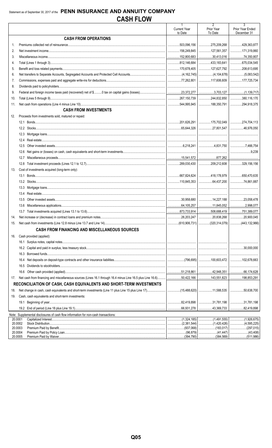|         |                                                                                               | $\overline{1}$<br><b>Current Year</b> | $\overline{2}$<br>Prior Year                 | $\overline{3}$<br>Prior Year Ended |
|---------|-----------------------------------------------------------------------------------------------|---------------------------------------|----------------------------------------------|------------------------------------|
|         | <b>CASH FROM OPERATIONS</b>                                                                   | to Date                               | To Date                                      | December 31                        |
| 1.      |                                                                                               | 503,096,156                           | 275,209,268                                  | 1.129,363,877                      |
| 2.      |                                                                                               | 156,249,845                           | $\ldots$ 127.561.357                         | 171,319,860                        |
| 3.      |                                                                                               | 152,800,683                           |                                              |                                    |
| 4.      |                                                                                               | 812,146,684                           |                                              | 675,034,545                        |
| 5.      |                                                                                               | 170,678,405                           | 127.627.792                                  | 208,613,695                        |
| 6.      |                                                                                               |                                       |                                              |                                    |
| 7.      |                                                                                               |                                       | 117,606,609   177,725,734                    |                                    |
| 8.      |                                                                                               |                                       |                                              |                                    |
| 9.      |                                                                                               |                                       | $\ldots$ 3,703,127                           |                                    |
| 10.     |                                                                                               |                                       | 244,832,850                                  | 380,116,170                        |
| 11.     |                                                                                               | 544,995,945                           |                                              |                                    |
|         | <b>CASH FROM INVESTMENTS</b>                                                                  |                                       |                                              |                                    |
| 12.     | Proceeds from investments sold, matured or repaid:                                            |                                       |                                              |                                    |
|         |                                                                                               | 201,626,291                           |                                              |                                    |
|         |                                                                                               | 65,644,326                            | 27,801,547                                   |                                    |
|         | 12.3                                                                                          |                                       |                                              |                                    |
|         | 12.4                                                                                          |                                       |                                              |                                    |
|         | 12.5                                                                                          |                                       | 1.1.1.1.1.4.831.750                          |                                    |
|         | 12.6                                                                                          |                                       |                                              | 9.239                              |
|         | 12.7                                                                                          | 15,541,572                            |                                              |                                    |
|         | 12.8                                                                                          |                                       | $\ldots$ 209,212,608 329,156,156             |                                    |
| 13.     | Cost of investments acquired (long-term only):                                                |                                       |                                              |                                    |
|         |                                                                                               |                                       | $\ldots$ 667,824,624 418,178,979 650,470,635 |                                    |
|         |                                                                                               | 110,845,353                           |                                              |                                    |
|         | 13.3                                                                                          |                                       |                                              |                                    |
|         | 13.4                                                                                          |                                       |                                              |                                    |
|         | 13.5                                                                                          | 30,958,680                            | 14,227,188                                   | 23,058,478                         |
|         | 13.6                                                                                          |                                       |                                              |                                    |
|         | 13.7                                                                                          | 873,733,914                           | $\ldots$ 508,688,419   751,389,077           |                                    |
| 14.     |                                                                                               | 26,203,247                            |                                              |                                    |
|         |                                                                                               |                                       |                                              |                                    |
|         | <b>CASH FROM FINANCING AND MISCELLANEOUS SOURCES</b>                                          |                                       |                                              |                                    |
| 16.     | Cash provided (applied):                                                                      |                                       |                                              |                                    |
|         |                                                                                               |                                       |                                              |                                    |
|         |                                                                                               |                                       |                                              |                                    |
|         | 16.3                                                                                          |                                       |                                              |                                    |
|         | 16.4                                                                                          |                                       |                                              |                                    |
|         | 16.5                                                                                          |                                       |                                              |                                    |
|         | 16.6                                                                                          |                                       | 42,948,351   66,174,628                      |                                    |
| 17.     |                                                                                               |                                       |                                              |                                    |
|         | RECONCILIATION OF CASH, CASH EQUIVALENTS AND SHORT-TERM INVESTMENTS                           |                                       |                                              |                                    |
|         |                                                                                               |                                       |                                              |                                    |
| 18.     |                                                                                               |                                       |                                              |                                    |
| 19.     | Cash, cash equivalents and short-term investments:                                            |                                       |                                              |                                    |
|         |                                                                                               |                                       | 43,369,733                                   | 31,781,198                         |
|         |                                                                                               | 66,931,278                            | .                                            | .82,419,898<br>.                   |
|         | Note: Supplemental disclosures of cash flow information for non-cash transactions:<br>20.0001 |                                       |                                              | (1,926,675)<br>.                   |
|         | 20.0002                                                                                       |                                       | (1,420,426)  <br>.                           | (4,595,225)                        |
|         | 20.0003                                                                                       |                                       |                                              |                                    |
| 20.0004 | 20.0005                                                                                       |                                       |                                              |                                    |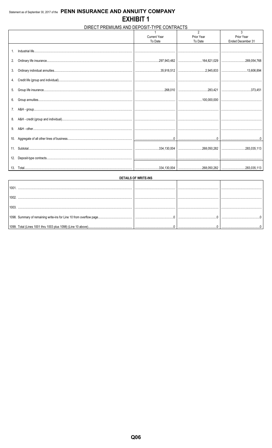# DIRECT PREMIUMS AND DEPOSIT-TYPE CONTRACTS

|     |                     | $\mathfrak{p}$ | 3                 |
|-----|---------------------|----------------|-------------------|
|     | <b>Current Year</b> | Prior Year     | Prior Year        |
|     | To Date             | To Date        | Ended December 31 |
|     |                     |                |                   |
| 2.  |                     |                |                   |
|     |                     |                |                   |
|     |                     |                |                   |
|     |                     |                |                   |
|     |                     |                |                   |
|     |                     |                |                   |
| 8.  |                     |                |                   |
|     |                     |                |                   |
| 10. |                     |                |                   |
|     |                     |                |                   |
|     |                     |                |                   |
| 13. |                     |                |                   |

| DETAILS OF WRITE-INS |   |  |
|----------------------|---|--|
|                      |   |  |
|                      |   |  |
|                      |   |  |
|                      |   |  |
|                      | . |  |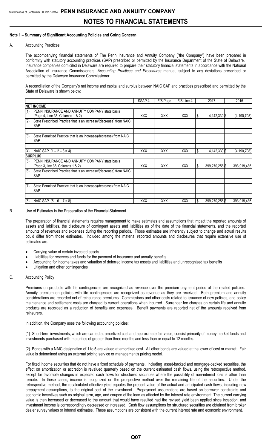### **Note 1 – Summary of Significant Accounting Policies and Going Concern**

#### A. Accounting Practices

The accompanying financial statements of The Penn Insurance and Annuity Company ("the Company") have been prepared in conformity with statutory accounting practices (SAP) prescribed or permitted by the Insurance Department of the State of Delaware. Insurance companies domiciled in Delaware are required to prepare their statutory financial statements in accordance with the National Association of Insurance Commissioners' *Accounting Practices and Procedures* manual, subject to any deviations prescribed or permitted by the Delaware Insurance Commissioner.

A reconciliation of the Company's net income and capital and surplus between NAIC SAP and practices prescribed and permitted by the State of Delaware is shown below:

|     |                                                                                    | SSAP#      | F/S Page   | F/S Line # |    | 2017           | 2016          |
|-----|------------------------------------------------------------------------------------|------------|------------|------------|----|----------------|---------------|
|     | <b>INET INCOME</b>                                                                 |            |            |            |    |                |               |
| (1) | PENN INSURANCE AND ANNUITY COMPANY state basis<br>(Page 4, Line 35, Columns 1 & 2) | <b>XXX</b> | XXX        | <b>XXX</b> |    | 4,142,330 \$   | (4, 190, 708) |
| (2) | State Prescribed Practice that is an increase/(decrease) from NAIC<br><b>SAP</b>   |            |            |            |    |                |               |
| (3) | State Permitted Practice that is an increase/(decrease) from NAIC<br><b>SAP</b>    |            |            |            |    |                |               |
| (4) | NAIC SAP $(1 – 2 – 3 = 4)$                                                         | <b>XXX</b> | <b>XXX</b> | <b>XXX</b> | \$ | 4,142,330 \$   | (4, 190, 708) |
|     | <b>ISURPLUS</b>                                                                    |            |            |            |    |                |               |
| (5) | PENN INSURANCE AND ANNUITY COMPANY state basis<br>(Page 3, line 38, Columns 1 & 2) | <b>XXX</b> | <b>XXX</b> | <b>XXX</b> | S  | 399,270,258    | 393,919,436   |
| (6) | State Prescribed Practice that is an increase/(decrease) from NAIC<br><b>SAP</b>   |            |            |            |    |                |               |
|     |                                                                                    |            |            |            |    |                |               |
| (7) | State Permitted Practice that is an increase/(decrease) from NAIC<br><b>SAP</b>    |            |            |            |    |                |               |
|     |                                                                                    |            |            |            |    |                |               |
| (8) | NAIC SAP $(5 - 6 - 7 = 8)$                                                         | <b>XXX</b> | XXX        | <b>XXX</b> | \$ | 399,270,258 \$ | 393.919.436   |

#### B. Use of Estimates in the Preparation of the Financial Statement

The preparation of financial statements requires management to make estimates and assumptions that impact the reported amounts of assets and liabilities, the disclosure of contingent assets and liabilities as of the date of the financial statements, and the reported amounts of revenues and expenses during the reporting periods. Those estimates are inherently subject to change and actual results could differ from those estimates. Included among the material reported amounts and disclosures that require extensive use of estimates are:

- Carrying value of certain invested assets
- Liabilities for reserves and funds for the payment of insurance and annuity benefits
- Accounting for income taxes and valuation of deferred income tax assets and liabilities and unrecognized tax benefits
- Litigation and other contingencies

#### C. Accounting Policy

Premiums on products with life contingencies are recognized as revenue over the premium payment period of the related policies. Annuity premium on policies with life contingencies are recognized as revenue as they are received. Both premium and annuity considerations are recorded net of reinsurance premiums. Commissions and other costs related to issuance of new policies, and policy maintenance and settlement costs are charged to current operations when incurred. Surrender fee charges on certain life and annuity products are recorded as a reduction of benefits and expenses. Benefit payments are reported net of the amounts received from reinsurers.

In addition, the Company uses the following accounting policies:

(1) Short-term investments, which are carried at amortized cost and approximate fair value, consist primarily of money market funds and investments purchased with maturities of greater than three months and less than or equal to 12 months.

(2) Bonds with a NAIC designation of 1 to 5 are valued at amortized cost. All other bonds are valued at the lower of cost or market. Fair value is determined using an external pricing service or management's pricing model.

For fixed income securities that do not have a fixed schedule of payments, including asset-backed and mortgage-backed securities, the effect on amortization or accretion is revalued quarterly based on the current estimated cash flows, using the retrospective method, except for favorable changes in expected cash flows for structured securities where the possibility of non-interest loss is other than remote. In these cases, income is recognized on the prospective method over the remaining life of the securities. Under the retrospective method, the recalculated effective yield equates the present value of the actual and anticipated cash flows, including new prepayment assumptions, to the original cost of the investment. Prepayment assumptions are based on borrower constraints and economic incentives such as original term, age, and coupon of the loan as affected by the interest rate environment. The current carrying value is then increased or decreased to the amount that would have resulted had the revised yield been applied since inception, and investment income is correspondingly decreased or increased. Cash flow assumptions for structured securities are obtained from broker dealer survey values or internal estimates. These assumptions are consistent with the current interest rate and economic environment.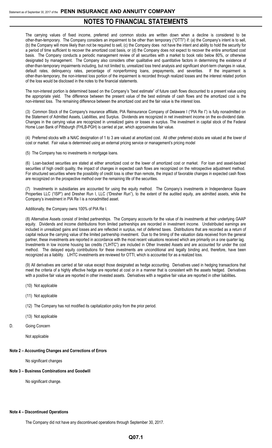The carrying values of fixed income, preferred and common stocks are written down when a decline is considered to be other-than-temporary. The Company considers an impairment to be other than temporary ("OTTI") if: (a) the Company's intent is to sell, (b) the Company will more likely than not be required to sell, (c) the Company does not have the intent and ability to hold the security for a period of time sufficient to recover the amortized cost basis, or (d) the Company does not expect to recover the entire amortized cost basis. The Company conducts a periodic management review of all securities with a market to book ratio below 80%, or otherwise designated by management. The Company also considers other qualitative and quantitative factors in determining the existence of other-than-temporary impairments including, but not limited to, unrealized loss trend analysis and significant short-term changes in value, default rates, delinquency rates, percentage of nonperforming loans, prepayments, and severities. If the impairment is other-than-temporary, the non-interest loss portion of the impairment is recorded through realized losses and the interest related portion of the loss would be disclosed in the notes to the financial statements.

The non-interest portion is determined based on the Company's "best estimate" of future cash flows discounted to a present value using the appropriate yield. The difference between the present value of the best estimate of cash flows and the amortized cost is the non-interest loss. The remaining difference between the amortized cost and the fair value is the interest loss.

(3) Common Stock of the Company's insurance affiliate, PIA Reinsurance Company of Delaware I ("PIA Re I") is fully nonadmitted on the Statement of Admitted Assets, Liabilities, and Surplus. Dividends are recognized in net investment income on the ex-dividend date. Changes in the carrying value are recognized in unrealized gains or losses in surplus. The investment in capital stock of the Federal Home Loan Bank of Pittsburgh (FHLB-PGH) is carried at par, which approximates fair value.

(4) Preferred stocks with a NAIC designation of 1 to 3 are valued at amortized cost. All other preferred stocks are valued at the lower of cost or market. Fair value is determined using an external pricing service or management's pricing model

(5) The Company has no investments in mortgage loans.

(6) Loan-backed securities are stated at either amortized cost or the lower of amortized cost or market. For loan and asset-backed securities of high credit quality, the impact of changes in expected cash flows are recognized on the retrospective adjustment method. For structured securities where the possibility of credit loss is other than remote, the impact of favorable changes in expected cash flows are recognized on the prospective method over the remaining life of the securities.

(7) Investments in subsidiaries are accounted for using the equity method. The Company's investments in Independence Square Properties LLC ("ISP") and Dresher Run I, LLC ("Dresher Run"), to the extent of the audited equity, are admitted assets, while the Company's investment in PIA Re I is a nonadmitted asset.

#### Additionally, the Company owns 100% of PIA Re I.

(8) Alternative Assets consist of limited partnerships. The Company accounts for the value of its investments at their underlying GAAP equity. Dividends and income distributions from limited partnerships are recorded in investment income. Undistributed earnings are included in unrealized gains and losses and are reflected in surplus, net of deferred taxes. Distributions that are recorded as a return of capital reduce the carrying value of the limited partnership investment. Due to the timing of the valuation data received from the general partner, these investments are reported in accordance with the most recent valuations received which are primarily on a one quarter lag. Investments in low income housing tax credits ("LIHTC") are included in Other Invested Assets and are accounted for under the cost method. The delayed equity contributions for these investments are unconditional and legally binding and, therefore, have been recognized as a liability. LIHTC investments are reviewed for OTTI, which is accounted for as a realized loss.

(9) All derivatives are carried at fair value except those designated as hedge accounting. Derivatives used in hedging transactions that meet the criteria of a highly effective hedge are reported at cost or in a manner that is consistent with the assets hedged. Derivatives with a positive fair value are reported in other invested assets. Derivatives with a negative fair value are reported in other liabilities**.**

- (10) Not applicable
- (11) Not applicable
- (12) The Company has not modified its capitalization policy from the prior period.
- (13) Not applicable
- D. Going Concern

Not applicable

#### **Note 2 – Accounting Changes and Corrections of Errors**

No significant changes

## **Note 3 – Business Combinations and Goodwill**

No significant change.

### **Note 4 – Discontinued Operations**

The Company did not have any discontinued operations through September 30, 2017.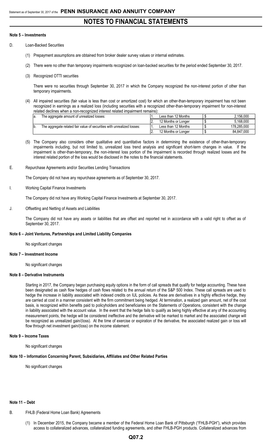#### **Note 5 – Investments**

- D. Loan-Backed Securities
	- (1) Prepayment assumptions are obtained from broker dealer survey values or internal estimates.
	- (2) There were no other than temporary impairments recognized on loan-backed securities for the period ended September 30, 2017.
	- (3) Recognized OTTI securities

There were no securities through September 30, 2017 in which the Company recognized the non-interest portion of other than temporary impairments.

(4) All impaired securities (fair value is less than cost or amortized cost) for which an other-than-temporary impairment has not been recognized in earnings as a realized loss (including securities with a recognized other-than-temporary impairment for non-interest related declines when a non-recognized interest related impairment remains):

| la. | The aggregate amount of unrealized losses:                             | Less than 12 Months | 2.156.000   |
|-----|------------------------------------------------------------------------|---------------------|-------------|
|     |                                                                        | 12 Months or Longer | 5.168.000   |
| b.  | The aggregate related fair value of securities with unrealized losses: | Less than 12 Months | 178.285.000 |
|     |                                                                        | 12 Months or Longer | 84.847.000  |

- (5) The Company also considers other qualitative and quantitative factors in determining the existence of other-than-temporary impairments including, but not limited to, unrealized loss trend analysis and significant short-term changes in value. If the impairment is other-than-temporary, the non-interest loss portion of the impairment is recorded through realized losses and the interest related portion of the loss would be disclosed in the notes to the financial statements.
- E. Repurchase Agreements and/or Securities Lending Transactions

The Company did not have any repurchase agreements as of September 30, 2017.

Working Capital Finance Investments

The Company did not have any Working Capital Finance Investments at September 30, 2017.

J. Offsetting and Netting of Assets and Liabilities

The Company did not have any assets or liabilities that are offset and reported net in accordance with a valid right to offset as of September 30, 2017.

#### **Note 6 – Joint Ventures, Partnerships and Limited Liability Companies**

No significant changes

#### **Note 7 – Investment Income**

No significant changes

### **Note 8 – Derivative Instruments**

Starting in 2017, the Company began purchasing equity options in the form of call spreads that qualify for hedge accounting. These have been designated as cash flow hedges of cash flows related to the annual return of the S&P 500 Index. These call spreads are used to hedge the increase in liability associated with indexed credits on IUL policies. As these are derivatives in a highly effective hedge, they are carried at cost in a manner consistent with the firm commitment being hedged. At termination, a realized gain amount, net of the cost basis, is recognized within benefits paid to policyholders and beneficiaries on the Statements of Operations, consistent with the change in liability associated with the account value. In the event that the hedge fails to qualify as being highly effective at any of the accounting measurement points, the hedge will be considered ineffective and the derivative will be marked to market and the associated change will be recognized as unrealized gain/(loss). At the time of exercise or expiration of the derivative, the associated realized gain or loss will flow through net investment gain/(loss) on the income statement.

#### **Note 9 – Income Taxes**

No significant changes

#### **Note 10 – Information Concerning Parent, Subsidiaries, Affiliates and Other Related Parties**

No significant changes

## **Note 11 – Debt**

- B. FHLB (Federal Home Loan Bank) Agreements
	- (1) In December 2015, the Company became a member of the Federal Home Loan Bank of Pittsburgh ("FHLB-PGH"), which provides access to collateralized advances, collateralized funding agreements, and other FHLB-PGH products. Collateralized advances from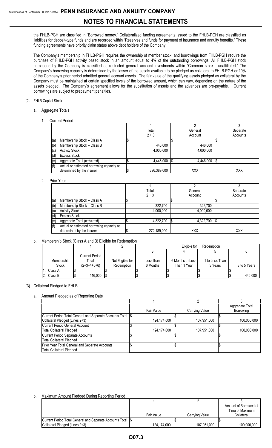the FHLB-PGH are classified in "Borrowed money." Collateralized funding agreements issued to the FHLB-PGH are classified as liabilities for deposit-type funds and are recorded within "Reserves and funds for payment of insurance and annuity benefits." These funding agreements have priority claim status above debt holders of the Company.

The Company's membership in FHLB-PGH requires the ownership of member stock, and borrowings from FHLB-PGH require the purchase of FHLB-PGH activity based stock in an amount equal to 4% of the outstanding borrowings. All FHLB-PGH stock purchased by the Company is classified as restricted general account investments within "Common stock - unaffiliated." The Company's borrowing capacity is determined by the lesser of the assets available to be pledged as collateral to FHLB-PGH or 10% of the Company's prior period admitted general account assets. The fair value of the qualifying assets pledged as collateral by the Company must be maintained at certain specified levels of the borrowed amount, which can vary, depending on the nature of the assets pledged. The Company's agreement allows for the substitution of assets and the advances are pre-payable. Current borrowings are subject to prepayment penalties.

### (2) FHLB Capital Stock

- a. Aggregate Totals
	- 1. Current Period

|     |                                           | Total       | General    | Separate   |  |
|-----|-------------------------------------------|-------------|------------|------------|--|
|     |                                           | $2 + 3$     | Account    | Accounts   |  |
| (a) | Membership Stock - Class A                |             |            |            |  |
| (b) | Membership Stock - Class B                | 446,000     | 446,000    |            |  |
| (c) | <b>Activity Stock</b>                     | 4,000,000   | 4,000,000  |            |  |
| (d) | <b>Excess Stock</b>                       |             |            |            |  |
| (e) | Aggregate Total (a+b+c+d)                 | 4,446,000   | 4,446,000  | ß.         |  |
| (f) | Actual or estimated borrowing capacity as |             |            |            |  |
|     | determined by the insurer                 | 396,389,000 | <b>XXX</b> | <b>XXX</b> |  |
|     |                                           |             |            |            |  |

## 2. Prior Year

|     | 1101 1 <del>c</del> ar                    |             |            |            |
|-----|-------------------------------------------|-------------|------------|------------|
|     |                                           |             |            |            |
|     |                                           | Total       | General    | Separate   |
|     |                                           | $2 + 3$     | Account    | Accounts   |
| (a) | Membership Stock - Class A                |             |            |            |
| (b) | Membership Stock - Class B                | 322,700     | 322,700    |            |
| (c) | <b>Activity Stock</b>                     | 4,000,000   | 4,000,000  |            |
| (d) | <b>Excess Stock</b>                       |             |            |            |
| (e) | Aggregate Total (a+b+c+d)                 | 4,322,700   | 4,322,700  |            |
| (f) | Actual or estimated borrowing capacity as |             |            |            |
|     | determined by the insurer                 | 272,189,000 | <b>XXX</b> | <b>XXX</b> |

#### b. Membership Stock (Class A and B) Eligible for Redemption

|              |                |                  | Eligible for<br>Redemption |  |                    |  |                |  |              |
|--------------|----------------|------------------|----------------------------|--|--------------------|--|----------------|--|--------------|
|              |                |                  |                            |  |                    |  |                |  |              |
|              | Current Period |                  |                            |  |                    |  |                |  |              |
| Membership   | Total          | Not Eligible for | Less than                  |  | 6 Months to Less I |  | l to Less Than |  |              |
| <b>Stock</b> | $(2+3+4+5+6)$  | Redemption       | 6 Months                   |  | Than 1 Year        |  | 3 Years        |  | 3 to 5 Years |
| Class A      |                |                  |                            |  |                    |  |                |  |              |
| Class B      | 446,000        |                  |                            |  |                    |  |                |  | 446,000      |

#### (3) Collateral Pledged to FHLB

## a. Amount Pledged as of Reporting Date

|                                                              |             |                | Aggregate Total |
|--------------------------------------------------------------|-------------|----------------|-----------------|
|                                                              | Fair Value  | Carrying Value | Borrowing       |
| Current Period Total General and Separate Accounts Total \\$ |             |                |                 |
| Collateral Pledged (Lines 2+3)                               | 124,174,000 | 107,951,000    | 100,000,000     |
| Current Period General Account                               |             |                |                 |
| <b>Total Collateral Pledged</b>                              | 124,174,000 | 107,951,000    | 100,000,000     |
| Current Period Separate Accounts                             |             |                |                 |
| <b>Total Collateral Pledged</b>                              |             |                |                 |
| Prior Year Total General and Separate Accounts               |             |                |                 |
| <b>Total Collateral Pledged</b>                              |             |                |                 |

#### b. Maximum Amount Pledged During Reporting Period

|                                                            |             |                | Amount of Borrowed at<br>Time of Maximum |
|------------------------------------------------------------|-------------|----------------|------------------------------------------|
|                                                            | Fair Value  | Carrying Value | Collateral                               |
| Current Period Total General and Separate Accounts Total S |             |                |                                          |
| Collateral Pledged (Lines 2+3)                             | 124.174.000 | 107.951.000    | 100.000.000                              |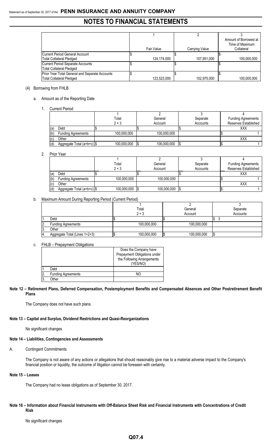|                                                |             |                | Amount of Borrowed at |
|------------------------------------------------|-------------|----------------|-----------------------|
|                                                |             |                | Time of Maximum       |
|                                                | Fair Value  | Carrying Value | Collateral            |
| Current Period General Account                 |             |                |                       |
| <b>Total Collateral Pledged</b>                | 124,174,000 | 107,951,000    | 100.000.000           |
| Current Period Separate Accounts               |             |                |                       |
| <b>Total Collateral Pledged</b>                |             |                |                       |
| Prior Year Total General and Separate Accounts |             |                |                       |
| <b>Total Collateral Pledged</b>                | 123,523,000 | 102,975,000    | 100,000,000           |

# (4) Borrowing from FHLB

### a. Amount as of the Reporting Date

1. Current Period

|     |                              | Total       | General     | Separate | <b>Funding Agreements</b> |
|-----|------------------------------|-------------|-------------|----------|---------------------------|
|     |                              | $2 + 3$     | Account     | Accounts | Reserves Established      |
| (a) | Debt                         |             |             |          | <b>XXX</b>                |
| (b) | <b>Funding Agreements</b>    | 100,000,000 | 100,000,000 |          |                           |
| (c) | Other                        |             |             |          | XXX                       |
| (d) | Aggregate Total (a+b+c)   \$ | 100,000,000 | 100,000,000 |          |                           |

#### 2. Prior Year

|      |                              | Total       | General            | Separate | <b>Funding Agreements</b> |
|------|------------------------------|-------------|--------------------|----------|---------------------------|
|      |                              | $2 + 3$     | Account            | Accounts | Reserves Established      |
| l (a | Debt                         |             |                    |          | <b>XXX</b>                |
| (b)  | <b>Funding Agreements</b>    | 100,000,000 | 100.000.000        |          |                           |
| (c)  | Other                        |             |                    |          | XXX                       |
| (d)  | Aggregate Total (a+b+c)   \$ | 100,000,000 | 100,000,000<br>1\$ |          |                           |

# b. Maximum Amount During Reporting Period (Current Period)

|     |                               | Total       | General     | Separate |
|-----|-------------------------------|-------------|-------------|----------|
|     |                               | $2 + 3$     | Account     | Accounts |
| ١1. | Debt                          |             |             |          |
| 2.  | <b>Funding Agreements</b>     | 100,000,000 | 100,000,000 |          |
| 13. | Other                         |             |             |          |
| 4.  | Aggregate Total (Lines 1+2+3) | 100,000,000 | 100,000,000 |          |

#### c. FHLB – Prepayment Obligations

|               |                           | Does the Company have        |
|---------------|---------------------------|------------------------------|
|               |                           | Prepayment Obligations under |
|               |                           | the Following Arrangements   |
|               |                           | (YES/NO)                     |
|               | Debt                      |                              |
| <sup>2.</sup> | <b>Funding Agreements</b> | NΩ                           |
| <sup>3.</sup> | )ther                     |                              |

### **Note 12 – Retirement Plans, Deferred Compensation, Postemployment Benefits and Compensated Absences and Other Postretirement Benefit Plans**

The Company does not have such plans.

#### **Note 13 – Capital and Surplus, Dividend Restrictions and Quasi-Reorganizations**

No significant changes

#### **Note 14 – Liabilities, Contingencies and Assessments**

#### A. Contingent Commitments

The Company is not aware of any actions or allegations that should reasonably give rise to a material adverse impact to the Company's financial position or liquidity, the outcome of litigation cannot be foreseen with certainty.

### **Note 15 – Leases**

The Company had no lease obligations as of September 30, 2017.

# **Note 16 – Information about Financial Instruments with Off-Balance Sheet Risk and Financial Instruments with Concentrations of Credit Risk**

No significant changes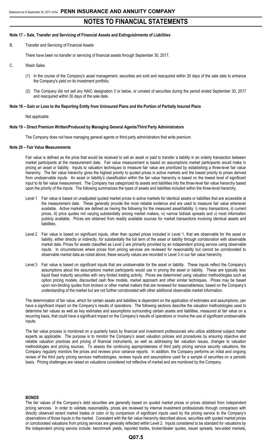#### **Note 17 – Sale, Transfer and Servicing of Financial Assets and Extinguishments of Liabilities**

B. Transfer and Servicing of Financial Assets

There have been no transfer or servicing of financial assets through September 30, 2017.

- C. Wash Sales
	- (1) In the course of the Company's asset management, securities are sold and reacquired within 30 days of the sale date to enhance the Company's yield on its investment portfolio.
	- (2) The Company did not sell any NAIC designation 3 or below, or unrated of securities during the period ended September 30, 2017 and reacquired within 30 days of the sale date.

## **Note 18 – Gain or Loss to the Reporting Entity from Uninsured Plans and the Portion of Partially Insured Plans**

Not applicable

#### **Note 19 – Direct Premium Written/Produced by Managing General Agents/Third Party Administrators**

The Company does not have managing general agents or third party administrators that write premium.

#### **Note 20 – Fair Value Measurements**

Fair value is defined as the price that would be received to sell an asset or paid to transfer a liability in an orderly transaction between market participants at the measurement date. Fair value measurement is based on assumptions market participants would make in pricing an asset or liability. Inputs to valuation techniques to measure fair value are prioritized by establishing a three-level fair value hierarchy. The fair value hierarchy gives the highest priority to quoted prices in active markets and the lowest priority to prices derived from unobservable inputs. An asset or liability's classification within the fair value hierarchy is based on the lowest level of significant input to its fair value measurement. The Company has categorized its assets and liabilities into the three-level fair value hierarchy based upon the priority of the inputs. The following summarizes the types of assets and liabilities included within the three-level hierarchy.

- Level 1 Fair value is based on unadjusted quoted market prices in active markets for identical assets or liabilities that are accessible at the measurement date. These generally provide the most reliable evidence and are used to measure fair value whenever available. Active markets are defined as having the following for the measured asset/liability: i) many transactions, ii) current prices, iii) price quotes not varying substantially among market makers, iv) narrow bid/ask spreads and v) most information publicly available. Prices are obtained from readily available sources for market transactions involving identical assets and liabilities.
- Level 2 Fair value is based on significant inputs, other than quoted prices included in Level 1, that are observable for the asset or liability, either directly or indirectly, for substantially the full term of the asset or liability through corroboration with observable market data. Prices for assets classified as Level 2 are primarily provided by an independent pricing service using observable inputs. In circumstances where prices from pricing services are reviewed for reasonability but cannot be corroborated to observable market data as noted above, these security values are recorded in Level 3 in our fair value hierarchy.
- Level 3 Fair value is based on significant inputs that are unobservable for the asset or liability. These inputs reflect the Company's assumptions about the assumptions market participants would use in pricing the asset or liability. These are typically less liquid fixed maturity securities with very limited trading activity. Prices are determined using valuation methodologies such as option pricing models, discounted cash flow models, market approach and other similar techniques. Prices may be based upon non-binding quotes from brokers or other market makers that are reviewed for reasonableness, based on the Company's understanding of the market but are not further corroborated with other additional observable market information.

The determination of fair value, which for certain assets and liabilities is dependent on the application of estimates and assumptions, can have a significant impact on the Company's results of operations. The following sections describe the valuation methodologies used to determine fair values as well as key estimates and assumptions surrounding certain assets and liabilities, measured at fair value on a recurring basis, that could have a significant impact on the Company's results of operations or involve the use of significant unobservable inputs.

The fair value process is monitored on a quarterly basis by financial and investment professionals who utilize additional subject matter experts as applicable. The purpose is to monitor the Company's asset valuation policies and procedures by ensuring objective and reliable valuation practices and pricing of financial instruments, as well as addressing fair valuation issues, changes to valuation methodologies and pricing sources. To assess the continuing appropriateness of third party pricing service security valuations, the Company regularly monitors the prices and reviews price variance reports. In addition, the Company performs an initial and ongoing review of the third party pricing services methodologies, reviews inputs and assumptions used for a sample of securities on a periodic basis. Pricing challenges are raised on valuations considered not reflective of market and are monitored by the Company.

#### **BONDS**

The fair values of the Company's debt securities are generally based on quoted market prices or prices obtained from independent pricing services. In order to validate reasonability, prices are reviewed by internal investment professionals through comparison with directly observed recent market trades or color or by comparison of significant inputs used by the pricing service to the Company's observations of those inputs in the market. Consistent with the fair value hierarchy described above, securities with quoted market prices or corroborated valuations from pricing services are generally reflected within Level 2. Inputs considered to be standard for valuations by the independent pricing service include: benchmark yields, reported trades, broker/dealer quotes, issuer spreads, two-sided markets,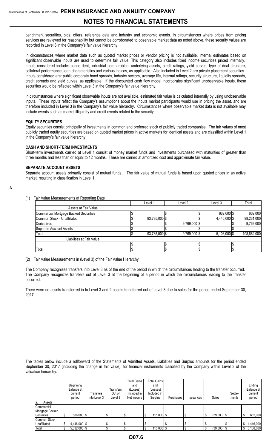benchmark securities, bids, offers, reference data and industry and economic events. In circumstances where prices from pricing services are reviewed for reasonability but cannot be corroborated to observable market data as noted above, these security values are recorded in Level 3 in the Company's fair value hierarchy.

In circumstances where market data such as quoted market prices or vendor pricing is not available, internal estimates based on significant observable inputs are used to determine fair value. This category also includes fixed income securities priced internally. Inputs considered include: public debt, industrial comparables, underlying assets, credit ratings, yield curves, type of deal structure, collateral performance, loan characteristics and various indices, as applicable. Also included in Level 2 are private placement securities. Inputs considered are: public corporate bond spreads, industry sectors, average life, internal ratings, security structure, liquidity spreads, credit spreads and yield curves, as applicable. If the discounted cash flow model incorporates significant unobservable inputs, these securities would be reflected within Level 3 in the Company's fair value hierarchy.

In circumstances where significant observable inputs are not available, estimated fair value is calculated internally by using unobservable inputs. These inputs reflect the Company's assumptions about the inputs market participants would use in pricing the asset, and are therefore included in Level 3 in the Company's fair value hierarchy. Circumstances where observable market data is not available may include events such as market illiquidity and credit events related to the security.

#### **EQUITY SECURITIES**

Equity securities consist principally of investments in common and preferred stock of publicly traded companies. The fair values of most publicly traded equity securities are based on quoted market prices in active markets for identical assets and are classified within Level 1 in the Company's fair value hierarchy.

#### **CASH AND SHORT-TERM INVESTMENTS**

Short-term investments carried at Level 1 consist of money market funds and investments purchased with maturities of greater than three months and less than or equal to 12 months. These are carried at amortized cost and approximate fair value.

#### **SEPARATE ACCOUNT ASSETS**

Separate account assets primarily consist of mutual funds. The fair value of mutual funds is based upon quoted prices in an active market, resulting in classification in Level 1.

## A.

(1) Fair Value Measurements at Reporting Date

|                                       | Level 1       | Level 2        | Level 3        | Total       |
|---------------------------------------|---------------|----------------|----------------|-------------|
| Assets at Fair Value                  |               |                |                |             |
| Commercial Mortgage Backed Securities |               |                | 662,000 \$     | 662,000     |
| Common Stock - Unaffiliated           | 93,785,000 \$ |                | 4,446,000 \$   | 98,231,000  |
| <b>Derivatives</b>                    |               | 9,769,000 \$   |                | 9,769,000   |
| Separate Account Assets               |               |                |                |             |
| Total                                 | 93,785,000 \$ | $9,769,000$ \$ | $5,108,000$ \$ | 108,662,000 |
| Liabilities at Fair Value             |               |                |                |             |
|                                       |               |                |                |             |
| Total                                 |               |                |                |             |

(2) Fair Value Measurements in (Level 3) of the Fair Value Hierarchy

The Company recognizes transfers into Level 3 as of the end of the period in which the circumstances leading to the transfer occurred. The Company recognizes transfers out of Level 3 at the beginning of a period in which the circumstances leading to the transfer occurred.

There were no assets transferred in to Level 3 and 2 assets transferred out of Level 3 due to sales for the period ended September 30, 2017.

The tables below include a rollforward of the Statements of Admitted Assets, Liabilities and Surplus amounts for the period ended September 30, 2017 (including the change in fair value), for financial instruments classified by the Company within Level 3 of the valuation hierarchy.

|                 |            |                |              |           | <b>Total Gains</b> | <b>Total Gains</b> |                  |           |   |               |         |   |            |
|-----------------|------------|----------------|--------------|-----------|--------------------|--------------------|------------------|-----------|---|---------------|---------|---|------------|
|                 | Beginning  |                |              |           | and                | and                |                  |           |   |               |         |   | Ending     |
|                 | Balance at |                |              | Transfers | (Losses)           | (Losses)           |                  |           |   |               |         |   | Balance at |
|                 | current    |                | Transfers    | Out of    | Included in        | Included in        |                  |           |   |               | Settle- |   | current    |
|                 | period     |                | Into Level 3 | Level 3   | Net Income         | Surplus            | <b>Purchases</b> | Issuances |   | Sales         | ments   |   | period     |
| Assets<br>la.   |            |                |              |           |                    |                    |                  |           |   |               |         |   |            |
| Commercial      |            |                |              |           |                    |                    |                  |           |   |               |         |   |            |
| Mortgage Backed |            |                |              |           |                    |                    |                  |           |   |               |         |   |            |
| Securities      |            | 586.000 \$     |              |           |                    | $115,000$ \$<br>Φ  |                  |           |   | $(39,000)$ \$ |         |   | 662,000    |
| Common Stock -  |            |                |              |           |                    |                    |                  |           |   |               |         |   |            |
| Unaffiliated    |            | 4,446,000 \$   |              |           |                    |                    |                  |           |   |               |         | S | 4,446,000  |
| Total           |            | $5.032,000$ \$ |              |           |                    | $115,000$ \$       |                  |           | ÷ | $(39,000)$ \$ |         |   | 5,108,000  |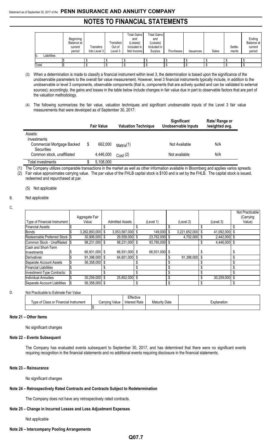|                    | Beginning<br>Balance at<br>current<br>period | Transfers<br>Into Level 3 | Transfers<br>Out of<br>Level 3 | <b>Total Gains</b><br>and<br>(Losses)<br>Included in<br>Net Income | <b>Total Gains</b><br>and<br>(Losses)<br>Included in<br>Surplus | Purchases |           | Sales | Settle-<br>ments | Ending<br>Balance at<br>current<br>period |
|--------------------|----------------------------------------------|---------------------------|--------------------------------|--------------------------------------------------------------------|-----------------------------------------------------------------|-----------|-----------|-------|------------------|-------------------------------------------|
| Liabilities<br>IU. |                                              |                           |                                |                                                                    |                                                                 |           | Issuances |       |                  |                                           |
|                    |                                              |                           |                                |                                                                    |                                                                 |           |           |       |                  |                                           |
| Total              |                                              |                           |                                |                                                                    |                                                                 |           |           |       |                  |                                           |

(3) When a determination is made to classify a financial instrument within level 3, the determination is based upon the significance of the unobservable parameters to the overall fair value measurement. However, level 3 financial instruments typically include, in addition to the unobservable or level 3 components, observable components (that is, components that are actively quoted and can be validated to external sources); accordingly, the gains and losses in the table below include changes in fair value due in part to observable factors that are part of the valuation methodology.

(4) The following summarizes the fair value, valuation techniques and significant unobservable inputs of the Level 3 fair value measurements that were developed as of September 30, 2017:

|                                                 | <b>Fair Value</b> | <b>Valuation Technique</b> | Significant<br><b>Unobservable Inputs</b> | Rate/ Range or<br>/weighted avg. |
|-------------------------------------------------|-------------------|----------------------------|-------------------------------------------|----------------------------------|
| Assets:<br>Investments                          |                   |                            |                                           |                                  |
| Commercial Mortgage Backed<br><b>Securities</b> | \$<br>662.000     | Matrix(1)                  | Not Available                             | N/A                              |
| Common stock, unaffiliated                      | 4.446.000         | Cost(2)                    | Not available                             | N/A                              |
| Total investments                               | 5,108,000         |                            |                                           |                                  |

(1) The Company utilizes comparable transactions in the market as well as other information available in Bloomberg and applies varios spreads.

(2) Fair value approximates carrying value. The par value of the FHLB capital stock is \$100 and is set by the FHLB. The capital stock is issued, redeemed and repurchased at par.

(5) Not applicable

#### B. Not applicable

#### C.

|                                 |     |                  |                        |               |               |                 |    | Not Practicable |
|---------------------------------|-----|------------------|------------------------|---------------|---------------|-----------------|----|-----------------|
|                                 |     | Aggregate Fair   |                        |               |               |                 |    | (Carrying       |
| Type of Financial Instrument    |     | Value            | <b>Admitted Assets</b> | (Level 1)     | (Level 2)     | (Level 3)       |    | Value)          |
| <b>Financial Assets:</b>        |     |                  |                        |               |               |                 |    |                 |
| <b>Bonds</b>                    |     | 3,262,893,000 \$ | 3,053,587,000 \$       | 149,000 \$    | 3,221,652,000 | 41,092,000 \$   |    |                 |
| Redeemable Preferred Stock \\$  |     | 30,906,000 \$    | 29,559,000             | 23,762,000 \$ | 4.702.000     | 2.442.000 \$    |    |                 |
| Common Stock - Unaffiliated  \$ |     | 98.231.000 \$    | 98,231,000 \$          | 93,785,000 \$ |               | 4.446.000 \$    |    |                 |
| Cash and Short-Term             |     |                  |                        |               |               |                 |    |                 |
| Investments                     |     | 66,931,000 \$    | 66,931,000 \$          | 66,931,000 \$ |               |                 | л  |                 |
| <b>Derivatives</b>              |     | 91,398,000 \$    | 64,651,000             |               | 91.398.000    |                 | \$ |                 |
| Separate Account Assets         | S   | 56,358,000 \$    |                        |               |               |                 |    |                 |
| <b>Financial Liabilities</b>    |     |                  |                        |               |               |                 | ዩ  |                 |
| Investment-Type Contracts:      | 1\$ |                  |                        |               |               |                 |    |                 |
| <b>Individual Annuities</b>     |     | 30,259,000 \$    | 25,852,000             |               |               | $30,259,000$ \$ |    |                 |
| Separate Account Liabilities    |     | 56.358.000 \$    |                        |               |               |                 |    |                 |

#### D. Not Practicable to Estimate Fair Value

|                                       |                | Effective            |                      |             |
|---------------------------------------|----------------|----------------------|----------------------|-------------|
| Tvpe of Class or Financial Instrument | Carrying Value | <b>Interest Rate</b> | <b>Maturity Date</b> | Explanation |
|                                       |                |                      |                      |             |

#### **Note 21 – Other Items**

No significant changes

### **Note 22 – Events Subsequent**

The Company has evaluated events subsequent to September 30, 2017, and has determined that there were no significant events requiring recognition in the financial statements and no additional events requiring disclosure in the financial statements.

## **Note 23 – Reinsurance**

No significant changes

#### **Note 24 – Retrospectively Rated Contracts and Contracts Subject to Redetermination**

The Company does not have any retrospectively rated contracts.

## **Note 25 – Change in Incurred Losses and Loss Adjustment Expenses**

Not applicable

#### **Note 26 – Intercompany Pooling Arrangements**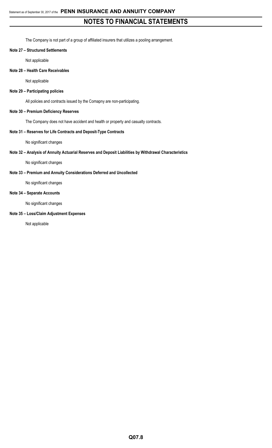The Company is not part of a group of affiliated insurers that utilizes a pooling arrangement.

#### **Note 27 – Structured Settlements**

Not applicable

# **Note 28 – Health Care Receivables**

Not applicable

### **Note 29 – Participating policies**

All policies and contracts issued by the Comapny are non-participating.

## **Note 30 – Premium Deficiency Reserves**

The Company does not have accident and health or property and casualty contracts.

## **Note 31 – Reserves for Life Contracts and Deposit-Type Contracts**

No significant changes

## **Note 32 – Analysis of Annuity Actuarial Reserves and Deposit Liabilities by Withdrawal Characteristics**

No significant changes

# **Note 33 – Premium and Annuity Considerations Deferred and Uncollected**

No significant changes

# **Note 34 – Separate Accounts**

No significant changes

# **Note 35 – Loss/Claim Adjustment Expenses**

Not applicable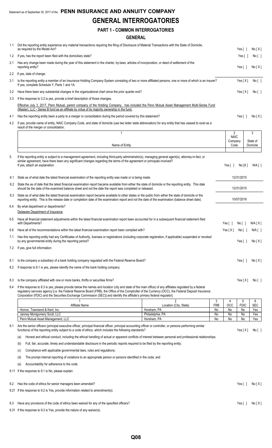# Statement as of September 30, 2017 of the **PENN INSURANCE AND ANNUITY COMPANY GENERAL INTERROGATORIES**

# **PART 1 - COMMON INTERROGATORIES**

# **GENERAL**

| 1.1 | Did the reporting entity experience any material transactions requiring the filing of Disclosure of Material Transactions with the State of Domicile,<br>as required by the Model Act?                                                                                                                                                                                                                                                       |                 |                       | Yes [ 1               |                      | No[X]           |
|-----|----------------------------------------------------------------------------------------------------------------------------------------------------------------------------------------------------------------------------------------------------------------------------------------------------------------------------------------------------------------------------------------------------------------------------------------------|-----------------|-----------------------|-----------------------|----------------------|-----------------|
| 1.2 | If yes, has the report been filed with the domiciliary state?                                                                                                                                                                                                                                                                                                                                                                                |                 |                       | Yes[                  |                      | No [ ]          |
| 2.1 | Has any change been made during the year of this statement in the charter, by-laws, articles of incorporation, or deed of settlement of the<br>reporting entity?                                                                                                                                                                                                                                                                             |                 |                       | Yes $\lceil$ $\rceil$ |                      | No[X]           |
| 2.2 | If yes, date of change:                                                                                                                                                                                                                                                                                                                                                                                                                      |                 |                       |                       |                      |                 |
| 3.1 | Is the reporting entity a member of an Insurance Holding Company System consisting of two or more affiliated persons, one or more of which is an insurer?<br>If yes, complete Schedule Y, Parts 1 and 1A.                                                                                                                                                                                                                                    |                 |                       | Yes[X]                |                      | No [ ]          |
| 3.2 | Have there been any substantial changes in the organizational chart since the prior quarter end?                                                                                                                                                                                                                                                                                                                                             |                 |                       | Yes[X]                |                      | No [ ]          |
| 3.3 | If the response to 3.2 is yes, provide a brief description of those changes.                                                                                                                                                                                                                                                                                                                                                                 |                 |                       |                       |                      |                 |
|     | Effective July 3, 2017, Penn Mutual, parent company of the Holding Company, has included the Penn Mutual Asset Management Multi-Series Fund<br>(Master), LLC - Series B fund as an affiliate by virtue of its majority ownership in the fund.                                                                                                                                                                                                |                 |                       |                       |                      |                 |
| 4.1 | Has the reporting entity been a party to a merger or consolidation during the period covered by this statement?                                                                                                                                                                                                                                                                                                                              |                 |                       | Yes $[ ]$             |                      | No[X]           |
| 4.2 | If yes, provide name of entity, NAIC Company Code, and state of domicile (use two letter state abbreviation) for any entity that has ceased to exist as a<br>result of the merger or consolidation.                                                                                                                                                                                                                                          |                 |                       |                       |                      |                 |
|     | 1                                                                                                                                                                                                                                                                                                                                                                                                                                            |                 | 2<br><b>NAIC</b>      |                       | 3                    |                 |
|     | Name of Entity                                                                                                                                                                                                                                                                                                                                                                                                                               |                 | Company<br>Code       |                       | State of<br>Domicile |                 |
| 5.  |                                                                                                                                                                                                                                                                                                                                                                                                                                              |                 |                       |                       |                      |                 |
|     | If the reporting entity is subject to a management agreement, including third-party administrator(s), managing general agent(s), attorney-in-fact, or<br>similar agreement, have there been any significant changes regarding the terms of the agreement or principals involved?<br>If yes, attach an explanation.                                                                                                                           |                 | Yes $\lceil \ \rceil$ | No[X]                 |                      | N/A [ ]         |
| 6.1 | State as of what date the latest financial examination of the reporting entity was made or is being made.                                                                                                                                                                                                                                                                                                                                    |                 |                       | 12/31/2015            |                      |                 |
| 6.2 | State the as of date that the latest financial examination report became available from either the state of domicile or the reporting entity. This date<br>should be the date of the examined balance sheet and not the date the report was completed or released.                                                                                                                                                                           |                 |                       | 12/31/2015            |                      |                 |
| 6.3 | State as of what date the latest financial examination report became available to other states or the public from either the state of domicile or the<br>reporting entity. This is the release date or completion date of the examination report and not the date of the examination (balance sheet date).                                                                                                                                   |                 |                       | 10/07/2016            |                      |                 |
| 6.4 | By what department or departments?<br>Delaware Department of Insurance                                                                                                                                                                                                                                                                                                                                                                       |                 |                       |                       |                      |                 |
| 6.5 | Have all financial statement adjustments within the latest financial examination report been accounted for in a subsequent financial statement filed                                                                                                                                                                                                                                                                                         |                 |                       |                       |                      |                 |
|     | with Departments?                                                                                                                                                                                                                                                                                                                                                                                                                            |                 | Yes [ ]               | No[ ]                 |                      | N/A[X]          |
| 6.6 | Have all of the recommendations within the latest financial examination report been complied with?                                                                                                                                                                                                                                                                                                                                           |                 | Yes $[X]$             | No[]                  |                      | $N/A$ $[$ $]$   |
| 7.1 | Has this reporting entity had any Certificates of Authority, licenses or registrations (including corporate registration, if applicable) suspended or revoked<br>by any governmental entity during the reporting period?                                                                                                                                                                                                                     |                 |                       | Yes $[ ]$             |                      | No[X]           |
| 7.2 | If yes, give full information:                                                                                                                                                                                                                                                                                                                                                                                                               |                 |                       |                       |                      |                 |
| 8.1 | Is the company a subsidiary of a bank holding company regulated with the Federal Reserve Board?                                                                                                                                                                                                                                                                                                                                              |                 |                       | Yes $[ ]$             |                      | No[X]           |
| 8.2 | If response to 8.1 is yes, please identify the name of the bank holding company.                                                                                                                                                                                                                                                                                                                                                             |                 |                       |                       |                      |                 |
|     |                                                                                                                                                                                                                                                                                                                                                                                                                                              |                 |                       |                       |                      |                 |
| 8.3 | Is the company affiliated with one or more banks, thrifts or securities firms?                                                                                                                                                                                                                                                                                                                                                               |                 |                       | Yes[X]                |                      | $No[$ ]         |
| 8.4 | If the response to 8.3 is yes, please provide below the names and location (city and state of the main office) of any affiliates regulated by a federal<br>regulatory services agency [i.e. the Federal Reserve Board (FRB), the Office of the Comptroller of the Currency (OCC), the Federal Deposit Insurance<br>Corporation (FDIC) and the Securities Exchange Commission (SEC)] and identify the affiliate's primary federal regulator]. |                 |                       |                       |                      |                 |
|     | 2<br>Affiliate Name<br>Location (City, State)                                                                                                                                                                                                                                                                                                                                                                                                | 3<br><b>FRB</b> | 4<br><b>OCC</b>       | 5<br><b>FDIC</b>      |                      | 6<br><b>SEC</b> |
|     | Hornor, Townsend & Kent, Inc.<br>Horsham, PA                                                                                                                                                                                                                                                                                                                                                                                                 | No              | No                    | No                    |                      | Yes             |
|     | Philadelphia, PA<br>Janney Montgomery Scott, LLC                                                                                                                                                                                                                                                                                                                                                                                             | No              | No                    | No                    |                      | Yes             |
| 9.1 | Penn Mutual Asset Management, LLC<br>Horsham, PA<br>Are the senior officers (principal executive officer, principal financial officer, principal accounting officer or controller, or persons performing similar<br>functions) of the reporting entity subject to a code of ethics, which includes the following standards?                                                                                                                  | No              | No                    | No<br>Yes[X]          |                      | Yes<br>No [ ]   |
|     | Honest and ethical conduct, including the ethical handling of actual or apparent conflicts of interest between personal and professional relationships;<br>(a)                                                                                                                                                                                                                                                                               |                 |                       |                       |                      |                 |
|     | Full, fair, accurate, timely and understandable disclosure in the periodic reports required to be filed by the reporting entity;<br>(b)                                                                                                                                                                                                                                                                                                      |                 |                       |                       |                      |                 |
|     | Compliance with applicable governmental laws, rules and regulations;<br>(C)                                                                                                                                                                                                                                                                                                                                                                  |                 |                       |                       |                      |                 |
|     | The prompt internal reporting of violations to an appropriate person or persons identified in the code; and<br>(d)                                                                                                                                                                                                                                                                                                                           |                 |                       |                       |                      |                 |
|     | Accountability for adherence to the code.<br>(e)                                                                                                                                                                                                                                                                                                                                                                                             |                 |                       |                       |                      |                 |
|     | 9.11 If the response to 9.1 is No, please explain:                                                                                                                                                                                                                                                                                                                                                                                           |                 |                       |                       |                      |                 |
| 9.2 | Has the code of ethics for senior managers been amended?                                                                                                                                                                                                                                                                                                                                                                                     |                 |                       | Yes $[ ]$             |                      | No[X]           |
|     | 9.21 If the response to 9.2 is Yes, provide information related to amendment(s).                                                                                                                                                                                                                                                                                                                                                             |                 |                       |                       |                      |                 |
| 9.3 | Have any provisions of the code of ethics been waived for any of the specified officers?                                                                                                                                                                                                                                                                                                                                                     |                 |                       | Yes $\lceil$ $\rceil$ |                      | No[X]           |

9.31 If the response to 9.3 is Yes, provide the nature of any waiver(s).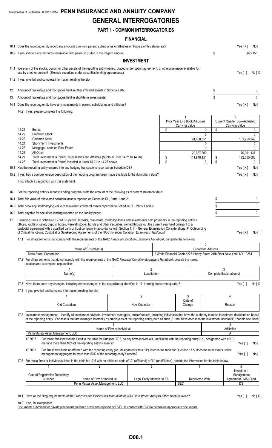# Statement as of September 30, 2017 of the **PENN INSURANCE AND ANNUITY COMPANY GENERAL INTERROGATORIES**

# **PART 1 - COMMON INTERROGATORIES**

# **FINANCIAL**

|     | 10.1 Does the reporting entity report any amounts due from parent, subsidiaries or affiliates on Page 2 of this statement?                                                                                                                                                                                                                                                                                                                                                                                                                                        |                                                                                                                                                                                                                         |                               |          |                                                                           |                               | Yes[X]                                                            | No[ ]           |
|-----|-------------------------------------------------------------------------------------------------------------------------------------------------------------------------------------------------------------------------------------------------------------------------------------------------------------------------------------------------------------------------------------------------------------------------------------------------------------------------------------------------------------------------------------------------------------------|-------------------------------------------------------------------------------------------------------------------------------------------------------------------------------------------------------------------------|-------------------------------|----------|---------------------------------------------------------------------------|-------------------------------|-------------------------------------------------------------------|-----------------|
|     | 10.2 If yes, indicate any amounts receivable from parent included in the Page 2 amount:                                                                                                                                                                                                                                                                                                                                                                                                                                                                           |                                                                                                                                                                                                                         |                               |          |                                                                           | \$                            |                                                                   |                 |
|     |                                                                                                                                                                                                                                                                                                                                                                                                                                                                                                                                                                   |                                                                                                                                                                                                                         |                               |          |                                                                           |                               |                                                                   | 463,155         |
|     |                                                                                                                                                                                                                                                                                                                                                                                                                                                                                                                                                                   |                                                                                                                                                                                                                         | <b>INVESTMENT</b>             |          |                                                                           |                               |                                                                   |                 |
|     | 11.1 Were any of the stocks, bonds, or other assets of the reporting entity loaned, placed under option agreement, or otherwise made available for<br>use by another person? (Exclude securities under securities lending agreements.)                                                                                                                                                                                                                                                                                                                            |                                                                                                                                                                                                                         |                               |          |                                                                           |                               | Yes $[ ]$                                                         | No[X]           |
|     | 11.2 If yes, give full and complete information relating thereto:                                                                                                                                                                                                                                                                                                                                                                                                                                                                                                 |                                                                                                                                                                                                                         |                               |          |                                                                           |                               |                                                                   |                 |
| 12. | Amount of real estate and mortgages held in other invested assets in Schedule BA:                                                                                                                                                                                                                                                                                                                                                                                                                                                                                 |                                                                                                                                                                                                                         |                               |          |                                                                           | \$                            |                                                                   | 0               |
| 13. | Amount of real estate and mortgages held in short-term investments:                                                                                                                                                                                                                                                                                                                                                                                                                                                                                               |                                                                                                                                                                                                                         |                               |          |                                                                           | \$                            |                                                                   | $\mathbf{0}$    |
|     | 14.1 Does the reporting entity have any investments in parent, subsidiaries and affiliates?                                                                                                                                                                                                                                                                                                                                                                                                                                                                       |                                                                                                                                                                                                                         |                               |          |                                                                           |                               | Yes $[X]$                                                         | $No[$ ]         |
|     | 14.2 If yes, please complete the following:                                                                                                                                                                                                                                                                                                                                                                                                                                                                                                                       |                                                                                                                                                                                                                         |                               |          |                                                                           |                               |                                                                   |                 |
|     |                                                                                                                                                                                                                                                                                                                                                                                                                                                                                                                                                                   |                                                                                                                                                                                                                         |                               |          | Prior Year End Book/Adjusted<br>Carrying Value                            |                               | $\overline{2}$<br>Current Quarter Book/Adjusted<br>Carrying Value |                 |
|     | 14.21<br><b>Bonds</b><br>14.22<br><b>Preferred Stock</b>                                                                                                                                                                                                                                                                                                                                                                                                                                                                                                          |                                                                                                                                                                                                                         |                               | \$       |                                                                           | \$<br>0<br>0                  |                                                                   | 0<br>0          |
|     | 14.23<br>Common Stock                                                                                                                                                                                                                                                                                                                                                                                                                                                                                                                                             |                                                                                                                                                                                                                         |                               |          | 91.858.351                                                                |                               | 101,758,949                                                       |                 |
|     | 14.24<br>Short-Term Investments<br>14.25<br>Mortgage Loans on Real Estate                                                                                                                                                                                                                                                                                                                                                                                                                                                                                         |                                                                                                                                                                                                                         |                               |          |                                                                           | 0<br>$\mathbf{0}$             |                                                                   | 0<br>0          |
|     | 14.26<br>All Other                                                                                                                                                                                                                                                                                                                                                                                                                                                                                                                                                |                                                                                                                                                                                                                         |                               |          | 20,087,800                                                                |                               | 70,301,137                                                        |                 |
|     | 14.27<br>14.28                                                                                                                                                                                                                                                                                                                                                                                                                                                                                                                                                    | Total Investment in Parent, Subsidiaries and Affiliates (Subtotal Lines 14.21 to 14.26)<br>Total Investment in Parent included in Lines 14.21 to 14.26 above                                                            |                               | \$<br>\$ | 111,946,151                                                               | \$<br>\$<br>0                 | 172,060,086                                                       | 0               |
|     | 15.1 Has the reporting entity entered into any hedging transactions reported on Schedule DB?                                                                                                                                                                                                                                                                                                                                                                                                                                                                      |                                                                                                                                                                                                                         |                               |          |                                                                           |                               | Yes[X]                                                            | No [ ]          |
|     | 15.2 If yes, has a comprehensive description of the hedging program been made available to the domiciliary state?                                                                                                                                                                                                                                                                                                                                                                                                                                                 |                                                                                                                                                                                                                         |                               |          |                                                                           |                               | Yes[X]                                                            | No [ ]          |
|     | If no, attach a description with this statement.                                                                                                                                                                                                                                                                                                                                                                                                                                                                                                                  |                                                                                                                                                                                                                         |                               |          |                                                                           |                               |                                                                   |                 |
| 16. | For the reporting entity's security lending program, state the amount of the following as of current statement date:                                                                                                                                                                                                                                                                                                                                                                                                                                              |                                                                                                                                                                                                                         |                               |          |                                                                           |                               |                                                                   |                 |
|     | 16.1 Total fair value of reinvested collateral assets reported on Schedule DL, Parts 1 and 2:                                                                                                                                                                                                                                                                                                                                                                                                                                                                     |                                                                                                                                                                                                                         |                               |          |                                                                           | \$                            |                                                                   | 0               |
|     |                                                                                                                                                                                                                                                                                                                                                                                                                                                                                                                                                                   |                                                                                                                                                                                                                         |                               |          |                                                                           |                               |                                                                   |                 |
|     | 16.2 Total book adjusted/carrying value of reinvested collateral assets reported on Schedule DL, Parts 1 and 2:                                                                                                                                                                                                                                                                                                                                                                                                                                                   |                                                                                                                                                                                                                         |                               |          |                                                                           | \$                            |                                                                   | $\mathbf 0$     |
|     | 16.3 Total payable for securities lending reported on the liability page:                                                                                                                                                                                                                                                                                                                                                                                                                                                                                         |                                                                                                                                                                                                                         |                               |          |                                                                           | \$                            |                                                                   | $\mathbf{0}$    |
| 17. | Excluding items in Schedule E-Part 3-Special Deposits, real estate, mortgage loans and investments held physically in the reporting entity's<br>offices, vaults or safety deposit boxes, were all stocks, bonds and other securities, owned throughout the current year held pursuant to a<br>custodial agreement with a qualified bank or trust company in accordance with Section 1, III - General Examination Considerations, F. Outsourcing<br>of Critical Functions, Custodial or Safekeeping Agreements of the NAIC Financial Condition Examiners Handbook? |                                                                                                                                                                                                                         |                               |          |                                                                           |                               | Yes[X]                                                            | No[ ]           |
|     | 17.1 For all agreements that comply with the requirements of the NAIC Financial Condition Examiners Handbook, complete the following:                                                                                                                                                                                                                                                                                                                                                                                                                             |                                                                                                                                                                                                                         |                               |          |                                                                           |                               |                                                                   |                 |
|     |                                                                                                                                                                                                                                                                                                                                                                                                                                                                                                                                                                   | Name of Custodian(s)                                                                                                                                                                                                    |                               |          |                                                                           | 2<br><b>Custodian Address</b> |                                                                   |                 |
|     | State Street Corporation<br>17.2 For all agreements that do not comply with the requirements of the NAIC Financial Condition Examiners Handbook, provide the name,<br>location and a complete explanation:                                                                                                                                                                                                                                                                                                                                                        |                                                                                                                                                                                                                         |                               |          | 2 World Financial Center 225 Liberty Street 24th Floor New York, NY 10281 |                               |                                                                   |                 |
|     | Name(s)                                                                                                                                                                                                                                                                                                                                                                                                                                                                                                                                                           |                                                                                                                                                                                                                         | $\overline{2}$<br>Location(s) |          |                                                                           | 3<br>Complete Explanation(s)  |                                                                   |                 |
|     |                                                                                                                                                                                                                                                                                                                                                                                                                                                                                                                                                                   |                                                                                                                                                                                                                         |                               |          |                                                                           |                               |                                                                   |                 |
|     | 17.3 Have there been any changes, including name changes, in the custodian(s) identified in 17.1 during the current quarter?<br>17.4 If yes, give full and complete information relating thereto:                                                                                                                                                                                                                                                                                                                                                                 |                                                                                                                                                                                                                         |                               |          |                                                                           |                               | Yes $\lceil$ 1                                                    | No[X]           |
|     |                                                                                                                                                                                                                                                                                                                                                                                                                                                                                                                                                                   |                                                                                                                                                                                                                         | $\overline{2}$                |          | 3                                                                         |                               | 4                                                                 |                 |
|     | Old Custodian                                                                                                                                                                                                                                                                                                                                                                                                                                                                                                                                                     |                                                                                                                                                                                                                         | New Custodian                 |          | Date of<br>Change                                                         |                               | Reason                                                            |                 |
|     | 17.5 Investment management - Identify all investment advisors, investment managers, broker/dealers, including individuals that have the authority to make investment decisions on behalf<br>of the reporting entity. For assets that are managed internally by employees of the reporting entity, note as such ["that have access to the investment accounts", "handle securities"].                                                                                                                                                                              |                                                                                                                                                                                                                         |                               |          |                                                                           |                               |                                                                   |                 |
|     |                                                                                                                                                                                                                                                                                                                                                                                                                                                                                                                                                                   | Name of Firm or Individual                                                                                                                                                                                              |                               |          |                                                                           |                               | $\overline{2}$<br>Affiliation                                     |                 |
|     | Penn Mutual Asset Management, LLC<br>17.5097                                                                                                                                                                                                                                                                                                                                                                                                                                                                                                                      | For those firms/individuals listed in the table for Question 17.5, do any firms/individuals unaffiliated with the reporting entity (i.e., designated with a "U")                                                        |                               |          |                                                                           |                               | A                                                                 |                 |
|     | 17.5098                                                                                                                                                                                                                                                                                                                                                                                                                                                                                                                                                           | manage more than 10% of the reporting entity's assets?<br>For firms/individuals unaffiliated with the reporting entity (i.e., designated with a "U") listed in the table for Question 17.5, does the total assets under |                               |          |                                                                           |                               | Yes[ ]                                                            |                 |
|     | 17.6 For those firms or individuals listed in the table for 17.5 with an affiliation code of "A" (affiliated) or "U" (unaffiliated), provide the information for the table below.                                                                                                                                                                                                                                                                                                                                                                                 | management aggregate to more than 50% of the reporting entity's assets?                                                                                                                                                 |                               |          |                                                                           |                               | Yes $[ \ ]$                                                       |                 |
|     | 1                                                                                                                                                                                                                                                                                                                                                                                                                                                                                                                                                                 | 2                                                                                                                                                                                                                       | 3                             |          | 4                                                                         |                               | 5                                                                 |                 |
|     | Central Registration Depository<br>Number                                                                                                                                                                                                                                                                                                                                                                                                                                                                                                                         | Name of Firm or Individual<br>Penn Mutual Asset Management, LLC                                                                                                                                                         | Legal Entity Identifier (LEI) |          | <b>Registered With</b>                                                    |                               | Investment<br>Management<br>Agreement (IMA) Filed                 | No[ ]<br>No [ ] |

18.1 Have all the filing requirements of the Purposes and Procedures Manual of the NAIC Investment Analysis Office been followed? Yes [ ] No [ X ]

18.2 If no, list exceptions:

Documents submitted for private placement preferred stock and rejected by SVO. In contact with SVO to determine appropriate documents.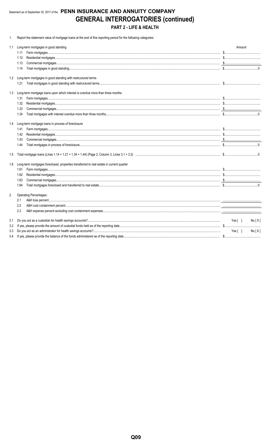# Statement as of September 30, 2017 of the PENN INSURANCE AND ANNUITY COMPANY **GENERAL INTERROGATORIES (continued)** PART 2 - LIFE & HEALTH

1. Report the statement value of mortgage loans at the end of this reporting period for the following categories:

| 1.1 | Long-term mortgages in good standing                                                     | Amount           |
|-----|------------------------------------------------------------------------------------------|------------------|
|     | 1.11                                                                                     |                  |
|     | 1.12                                                                                     |                  |
|     | 1.13                                                                                     |                  |
|     | 1.14                                                                                     |                  |
|     | 1.2 Long-term mortgages in good standing with restructured terms                         |                  |
|     | 1.21                                                                                     |                  |
| 1.3 | Long-term mortgage loans upon which interest is overdue more than three months           |                  |
|     | 1.31                                                                                     |                  |
|     | 1.32                                                                                     |                  |
|     | 1.33                                                                                     |                  |
|     | 1.34                                                                                     |                  |
|     | 1.4 Long-term mortgage loans in process of foreclosure                                   |                  |
|     | 1.41                                                                                     |                  |
|     | 1.42                                                                                     |                  |
|     | 1.43                                                                                     |                  |
|     | 1.44                                                                                     |                  |
| 1.5 |                                                                                          |                  |
| 1.6 | Long-term mortgages foreclosed, properties transferred to real estate in current quarter |                  |
|     | 1.61                                                                                     |                  |
|     | 1.62                                                                                     |                  |
|     | 1.63                                                                                     |                  |
|     | 1.64                                                                                     |                  |
| 2.  | Operating Percentages:                                                                   |                  |
|     | 2.1                                                                                      |                  |
|     | 2.2                                                                                      |                  |
|     | 2.3                                                                                      |                  |
| 3.1 |                                                                                          | Yes [ ]<br>No[X] |
| 3.2 |                                                                                          |                  |
| 3.3 |                                                                                          | Yes[ ]<br>No[X]  |
| 3.4 |                                                                                          |                  |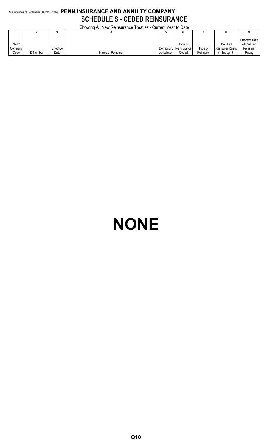# Statement as of September 30, 2017 of the **PENN INSURANCE AND ANNUITY COMPANY SCHEDULE S - CEDED REINSURANCE**

Showing All New Reinsurance Treaties - Current Year to Date

|             |                  |           | <u>UNUMING AILING MENTIONIQHUG TIGANGS - UUNGIN TGALIO DAIG</u> |              |                         |           |                         |                                       |
|-------------|------------------|-----------|-----------------------------------------------------------------|--------------|-------------------------|-----------|-------------------------|---------------------------------------|
|             |                  |           |                                                                 |              |                         |           |                         |                                       |
| <b>NAIC</b> |                  |           |                                                                 |              | Type of                 |           | Certified               | <b>Effective Date</b><br>of Certified |
| Company     |                  | Effective |                                                                 |              | Domiciliary Reinsurance | Type of   | <b>Reinsurer Rating</b> | Reinsurer                             |
| Code        | <b>ID Number</b> | Date      | Name of Reinsurer                                               | Jurisdiction | Ceded                   | Reinsurer | through 6)              | Rating                                |

# **NONE**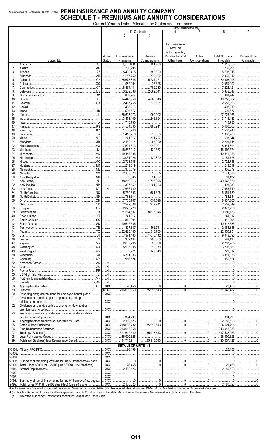# Statement as of September 30, 2017 of the **PENN INSURANCE AND ANNUITY COMPANY SCHEDULE T - PREMIUMS AND ANNUITY CONSIDERATIONS**

|  | Current Year to Date - Allocated by States and Territories |  |  |  |  |
|--|------------------------------------------------------------|--|--|--|--|
|  |                                                            |  |  |  |  |

|        |                                                                                                                              |                    |                                |                        | Direct Business Only                                                                                                                                                                                                                                                                                                                                   |                                                                                                                                                                                                                                                                                                                                          |                                   |              |
|--------|------------------------------------------------------------------------------------------------------------------------------|--------------------|--------------------------------|------------------------|--------------------------------------------------------------------------------------------------------------------------------------------------------------------------------------------------------------------------------------------------------------------------------------------------------------------------------------------------------|------------------------------------------------------------------------------------------------------------------------------------------------------------------------------------------------------------------------------------------------------------------------------------------------------------------------------------------|-----------------------------------|--------------|
|        |                                                                                                                              |                    |                                | Life Contracts         |                                                                                                                                                                                                                                                                                                                                                        | 5                                                                                                                                                                                                                                                                                                                                        | 6                                 |              |
|        |                                                                                                                              |                    | 2                              | 3                      |                                                                                                                                                                                                                                                                                                                                                        |                                                                                                                                                                                                                                                                                                                                          |                                   |              |
|        |                                                                                                                              |                    |                                |                        |                                                                                                                                                                                                                                                                                                                                                        |                                                                                                                                                                                                                                                                                                                                          |                                   |              |
|        |                                                                                                                              |                    |                                |                        | A&H Insurance                                                                                                                                                                                                                                                                                                                                          |                                                                                                                                                                                                                                                                                                                                          |                                   |              |
|        |                                                                                                                              |                    |                                |                        | Premiums.                                                                                                                                                                                                                                                                                                                                              |                                                                                                                                                                                                                                                                                                                                          |                                   |              |
|        |                                                                                                                              |                    |                                |                        | <b>Including Policy</b>                                                                                                                                                                                                                                                                                                                                |                                                                                                                                                                                                                                                                                                                                          |                                   |              |
|        |                                                                                                                              | Active             | Life Insurance                 | Annuity                | Membership and                                                                                                                                                                                                                                                                                                                                         | Other                                                                                                                                                                                                                                                                                                                                    | <b>Total Columns 2</b>            | Deposit-Type |
|        |                                                                                                                              | Status             | Premiums                       | Considerations         | <b>Other Fees</b>                                                                                                                                                                                                                                                                                                                                      | Considerations                                                                                                                                                                                                                                                                                                                           | through 5                         | Contracts    |
|        | States, Etc.<br>AI                                                                                                           |                    |                                |                        |                                                                                                                                                                                                                                                                                                                                                        |                                                                                                                                                                                                                                                                                                                                          |                                   |              |
| 1.     |                                                                                                                              | . L .              | 1,313,850                      | 101,200                |                                                                                                                                                                                                                                                                                                                                                        |                                                                                                                                                                                                                                                                                                                                          | 1,415,050                         |              |
| 2.     | Alaska                                                                                                                       | . . L.             | 230,295                        |                        |                                                                                                                                                                                                                                                                                                                                                        |                                                                                                                                                                                                                                                                                                                                          | 230,295                           |              |
| 3.     |                                                                                                                              | L                  | .5,409,415                     | 383.600                |                                                                                                                                                                                                                                                                                                                                                        |                                                                                                                                                                                                                                                                                                                                          | $\dots$ 5,793,015                 |              |
| 4.     |                                                                                                                              |                    | 1,257,750                      | 779,192                |                                                                                                                                                                                                                                                                                                                                                        |                                                                                                                                                                                                                                                                                                                                          | 2,036,942                         |              |
| 5.     |                                                                                                                              | L                  | .25,673,845                    | 5,234,251              |                                                                                                                                                                                                                                                                                                                                                        |                                                                                                                                                                                                                                                                                                                                          | 30,908,096                        |              |
| 6.     |                                                                                                                              | . L                | 1,982,964                      | 76,328                 |                                                                                                                                                                                                                                                                                                                                                        |                                                                                                                                                                                                                                                                                                                                          | $\ldots$ 2,059,292                |              |
| 7.     |                                                                                                                              |                    | .6,434,141                     | 792,280                |                                                                                                                                                                                                                                                                                                                                                        |                                                                                                                                                                                                                                                                                                                                          |                                   |              |
| 8.     |                                                                                                                              | . L .              | .3,289,536                     | 2,082,511              |                                                                                                                                                                                                                                                                                                                                                        |                                                                                                                                                                                                                                                                                                                                          | $\ldots$ 5,372,047                |              |
| 9.     |                                                                                                                              |                    | 868,747                        |                        |                                                                                                                                                                                                                                                                                                                                                        |                                                                                                                                                                                                                                                                                                                                          | 868,747                           |              |
| 10.    |                                                                                                                              | L.                 | 14,448,959                     | 4,803,643              |                                                                                                                                                                                                                                                                                                                                                        |                                                                                                                                                                                                                                                                                                                                          | 19,252,602                        |              |
| 11.    |                                                                                                                              |                    | 2,417,765                      | 238,131                |                                                                                                                                                                                                                                                                                                                                                        |                                                                                                                                                                                                                                                                                                                                          | $\ldots$ 2,655,896                |              |
| 12.    |                                                                                                                              | L                  | 408,913                        |                        |                                                                                                                                                                                                                                                                                                                                                        |                                                                                                                                                                                                                                                                                                                                          | 408,913                           |              |
| 13.    |                                                                                                                              |                    | .596,577                       |                        |                                                                                                                                                                                                                                                                                                                                                        |                                                                                                                                                                                                                                                                                                                                          | 596,577                           |              |
| 14.    |                                                                                                                              | . L .              | .26,623,273                    | 1,099,992              |                                                                                                                                                                                                                                                                                                                                                        |                                                                                                                                                                                                                                                                                                                                          | .27,723,265                       |              |
|        |                                                                                                                              |                    |                                |                        |                                                                                                                                                                                                                                                                                                                                                        |                                                                                                                                                                                                                                                                                                                                          | $\ldots$                          |              |
| 15.    |                                                                                                                              |                    | 3.471.109                      | 245,324                |                                                                                                                                                                                                                                                                                                                                                        |                                                                                                                                                                                                                                                                                                                                          | 3,716,433                         |              |
| 16.    |                                                                                                                              |                    | 1,746,730                      |                        |                                                                                                                                                                                                                                                                                                                                                        |                                                                                                                                                                                                                                                                                                                                          | 1,746,730                         |              |
| 17.    |                                                                                                                              |                    | .4,564,695                     | 895.911                |                                                                                                                                                                                                                                                                                                                                                        |                                                                                                                                                                                                                                                                                                                                          | .5,460,606                        |              |
| 18.    |                                                                                                                              | . L                | 1,530,946                      |                        |                                                                                                                                                                                                                                                                                                                                                        |                                                                                                                                                                                                                                                                                                                                          | 1,530,946                         |              |
| 19.    |                                                                                                                              |                    | 1,419,213                      | 513,553                |                                                                                                                                                                                                                                                                                                                                                        |                                                                                                                                                                                                                                                                                                                                          | 1,932,766                         |              |
| 20.    |                                                                                                                              |                    | 271,317                        | 331,727                |                                                                                                                                                                                                                                                                                                                                                        |                                                                                                                                                                                                                                                                                                                                          | 603,044                           |              |
| 21.    |                                                                                                                              | . L                | .2,150,114<br>.                | 55,000                 |                                                                                                                                                                                                                                                                                                                                                        | <br>                                                                                                                                                                                                                                                                                                                                     | .2,205,114<br>1, 1, 1, 1, 1, 1, 1 |              |
| 22.    |                                                                                                                              |                    |                                | $\ldots$ 1.040.021     |                                                                                                                                                                                                                                                                                                                                                        |                                                                                                                                                                                                                                                                                                                                          | $\dots$ 8.544.394                 |              |
| 23.    |                                                                                                                              | . L                | 16,567,912                     | 429,662                |                                                                                                                                                                                                                                                                                                                                                        |                                                                                                                                                                                                                                                                                                                                          | $\ldots$ 16,997,574               |              |
| 24.    |                                                                                                                              | .                  | 10,445,838                     |                        |                                                                                                                                                                                                                                                                                                                                                        |                                                                                                                                                                                                                                                                                                                                          | 10,445,838                        |              |
| 25.    |                                                                                                                              | . 1.               | 3,051,926                      | 129.800                |                                                                                                                                                                                                                                                                                                                                                        |                                                                                                                                                                                                                                                                                                                                          | 3,181,726                         |              |
| 26.    |                                                                                                                              |                    | .2,728,746                     |                        |                                                                                                                                                                                                                                                                                                                                                        |                                                                                                                                                                                                                                                                                                                                          | $\ldots$ 2,728,746                |              |
| 27.    |                                                                                                                              | . L                | .249,619                       |                        |                                                                                                                                                                                                                                                                                                                                                        |                                                                                                                                                                                                                                                                                                                                          | .249,619                          |              |
| 28.    |                                                                                                                              |                    | 355,579                        |                        |                                                                                                                                                                                                                                                                                                                                                        |                                                                                                                                                                                                                                                                                                                                          | 355,579                           |              |
|        |                                                                                                                              |                    | .2,138,023                     | 36,565                 |                                                                                                                                                                                                                                                                                                                                                        |                                                                                                                                                                                                                                                                                                                                          | 2,174,588                         |              |
| 29.    |                                                                                                                              | L                  |                                | 21,327                 |                                                                                                                                                                                                                                                                                                                                                        |                                                                                                                                                                                                                                                                                                                                          |                                   |              |
| 30.    |                                                                                                                              | N                  | $\ldots$ 69,805                |                        |                                                                                                                                                                                                                                                                                                                                                        |                                                                                                                                                                                                                                                                                                                                          | 91,132                            |              |
| 31.    |                                                                                                                              | L                  | 38,819,613                     | 1.726.026              |                                                                                                                                                                                                                                                                                                                                                        |                                                                                                                                                                                                                                                                                                                                          | 40,545,639                        |              |
| 32.    |                                                                                                                              | . L.,              | 337,650                        | 61,283                 |                                                                                                                                                                                                                                                                                                                                                        |                                                                                                                                                                                                                                                                                                                                          | 398,933                           |              |
| 33.    |                                                                                                                              | N                  | 7,656,740                      |                        |                                                                                                                                                                                                                                                                                                                                                        |                                                                                                                                                                                                                                                                                                                                          | 7,656,740                         |              |
| 34.    |                                                                                                                              | L                  | .5,750,393                     | 601,396                |                                                                                                                                                                                                                                                                                                                                                        |                                                                                                                                                                                                                                                                                                                                          | 6,351,789<br>1, 1, 1, 1, 1, 1     |              |
| 35.    |                                                                                                                              |                    | 788,644                        |                        |                                                                                                                                                                                                                                                                                                                                                        |                                                                                                                                                                                                                                                                                                                                          | 788,644                           |              |
| 36.    |                                                                                                                              | L                  | 7,783,767                      | $\ldots$ 1,054,098     |                                                                                                                                                                                                                                                                                                                                                        |                                                                                                                                                                                                                                                                                                                                          | 8,837,865<br>.                    |              |
| 37.    |                                                                                                                              | L                  | $\ldots$ 2,279,808             | 272.741                |                                                                                                                                                                                                                                                                                                                                                        |                                                                                                                                                                                                                                                                                                                                          | $\ldots$ 2,552,549                |              |
| 38.    |                                                                                                                              | L                  | .2,073,720                     |                        |                                                                                                                                                                                                                                                                                                                                                        |                                                                                                                                                                                                                                                                                                                                          | 2,073,720                         |              |
| 39.    |                                                                                                                              | . L                | 21,514,507                     | 3,675,646              |                                                                                                                                                                                                                                                                                                                                                        |                                                                                                                                                                                                                                                                                                                                          | 30,190,153<br>$\ldots$            |              |
| 40.    |                                                                                                                              | L                  | 741,317                        |                        |                                                                                                                                                                                                                                                                                                                                                        |                                                                                                                                                                                                                                                                                                                                          | 741,317                           |              |
| 41.    |                                                                                                                              |                    | 812,205                        |                        |                                                                                                                                                                                                                                                                                                                                                        |                                                                                                                                                                                                                                                                                                                                          | 812,205<br>.                      |              |
| 42.    |                                                                                                                              | L                  | $\ldots$ 10,612,635            |                        |                                                                                                                                                                                                                                                                                                                                                        |                                                                                                                                                                                                                                                                                                                                          | 10,612,635                        |              |
|        |                                                                                                                              |                    | 1,407,637                      |                        |                                                                                                                                                                                                                                                                                                                                                        |                                                                                                                                                                                                                                                                                                                                          |                                   |              |
| 43.    |                                                                                                                              |                    |                                | 1,456,711              |                                                                                                                                                                                                                                                                                                                                                        |                                                                                                                                                                                                                                                                                                                                          | 2,864,348                         |              |
| 44.    |                                                                                                                              | .                  | .22,425,185                    | .510,766<br>.          |                                                                                                                                                                                                                                                                                                                                                        |                                                                                                                                                                                                                                                                                                                                          | .22,935,951                       |              |
| 45.    | Utah                                                                                                                         | . <b>.</b>         | 7,371,483                      | 1678,412               |                                                                                                                                                                                                                                                                                                                                                        |                                                                                                                                                                                                                                                                                                                                          | 9,049,895                         |              |
| 46.    |                                                                                                                              | L                  | 389,138                        | 200,000                |                                                                                                                                                                                                                                                                                                                                                        |                                                                                                                                                                                                                                                                                                                                          | 589,138                           |              |
| 47.    |                                                                                                                              | L                  | .2,682,265                     | 25,000                 |                                                                                                                                                                                                                                                                                                                                                        |                                                                                                                                                                                                                                                                                                                                          | 2,707,265<br>1, 1, 1, 1, 1, 1     |              |
| 48.    |                                                                                                                              | L                  | .5,985,998<br>1, 1, 1, 1, 1, 1 | 219,070                |                                                                                                                                                                                                                                                                                                                                                        |                                                                                                                                                                                                                                                                                                                                          | $\ldots$ 6,205,068                |              |
| 49.    |                                                                                                                              | L                  | 82,271                         | 147.346                |                                                                                                                                                                                                                                                                                                                                                        |                                                                                                                                                                                                                                                                                                                                          | 229,617                           |              |
| 50.    |                                                                                                                              | L                  | .6,311,036<br>.                |                        |                                                                                                                                                                                                                                                                                                                                                        |                                                                                                                                                                                                                                                                                                                                          | $\ldots$ 6,311,036                |              |
| 51.    |                                                                                                                              | L                  | .956,524                       |                        |                                                                                                                                                                                                                                                                                                                                                        |                                                                                                                                                                                                                                                                                                                                          | 956,524                           |              |
| 52.    |                                                                                                                              | N                  |                                |                        |                                                                                                                                                                                                                                                                                                                                                        |                                                                                                                                                                                                                                                                                                                                          |                                   |              |
| 53.    |                                                                                                                              | N                  |                                |                        |                                                                                                                                                                                                                                                                                                                                                        |                                                                                                                                                                                                                                                                                                                                          |                                   |              |
| 54.    |                                                                                                                              | N                  |                                |                        |                                                                                                                                                                                                                                                                                                                                                        |                                                                                                                                                                                                                                                                                                                                          |                                   |              |
| 55.    |                                                                                                                              | N                  |                                |                        |                                                                                                                                                                                                                                                                                                                                                        |                                                                                                                                                                                                                                                                                                                                          |                                   |              |
| 56.    |                                                                                                                              | N                  |                                |                        |                                                                                                                                                                                                                                                                                                                                                        |                                                                                                                                                                                                                                                                                                                                          | 0                                 |              |
| 57.    |                                                                                                                              | N                  |                                |                        |                                                                                                                                                                                                                                                                                                                                                        |                                                                                                                                                                                                                                                                                                                                          |                                   |              |
| 58.    |                                                                                                                              | $$ XXX             | .26,458                        |                        | $\begin{array}{ccc} \rule{0.2cm}{0.15mm} \rule{0.2cm}{0.15mm} \rule{0.2cm}{0.15mm} \rule{0.2cm}{0.15mm} \rule{0.2cm}{0.15mm} \rule{0.2cm}{0.15mm} \rule{0.2cm}{0.15mm} \rule{0.2cm}{0.15mm} \rule{0.2cm}{0.15mm} \rule{0.2cm}{0.15mm} \rule{0.2cm}{0.15mm} \rule{0.2cm}{0.15mm} \rule{0.2cm}{0.15mm} \rule{0.2cm}{0.15mm} \rule{0.2cm}{0.15mm} \rule{$ | 0                                                                                                                                                                                                                                                                                                                                        | .26,458                           | $\Omega$     |
| 59.    |                                                                                                                              | (a).49             | 296,030,969                    | 35,918,513             |                                                                                                                                                                                                                                                                                                                                                        |                                                                                                                                                                                                                                                                                                                                          | .<br>331,949,482                  |              |
|        |                                                                                                                              |                    |                                |                        |                                                                                                                                                                                                                                                                                                                                                        | 0                                                                                                                                                                                                                                                                                                                                        |                                   |              |
| 90.    | Reporting entity contributions for employee benefit plans                                                                    | $$ XXX             |                                |                        |                                                                                                                                                                                                                                                                                                                                                        |                                                                                                                                                                                                                                                                                                                                          |                                   |              |
| 91.    | Dividends or refunds applied to purchase paid-up                                                                             |                    |                                |                        |                                                                                                                                                                                                                                                                                                                                                        |                                                                                                                                                                                                                                                                                                                                          |                                   |              |
|        |                                                                                                                              | $\ldots$ XXX       |                                |                        |                                                                                                                                                                                                                                                                                                                                                        |                                                                                                                                                                                                                                                                                                                                          | .                                 |              |
| 92.    | Dividends or refunds applied to shorten endowment or                                                                         |                    |                                |                        |                                                                                                                                                                                                                                                                                                                                                        |                                                                                                                                                                                                                                                                                                                                          |                                   |              |
|        |                                                                                                                              | $\ldots$ XXX       |                                |                        |                                                                                                                                                                                                                                                                                                                                                        |                                                                                                                                                                                                                                                                                                                                          | 0                                 |              |
| 93.    | Premium or annuity considerations waived under disability                                                                    |                    |                                |                        |                                                                                                                                                                                                                                                                                                                                                        |                                                                                                                                                                                                                                                                                                                                          |                                   |              |
|        |                                                                                                                              | $$ XXX             | 394,790                        |                        |                                                                                                                                                                                                                                                                                                                                                        |                                                                                                                                                                                                                                                                                                                                          | 394,790                           |              |
| 94.    |                                                                                                                              | $\ldots$ XXX       | .2,180,523                     |                        | 0                                                                                                                                                                                                                                                                                                                                                      |                                                                                                                                                                                                                                                                                                                                          | .2,180,523                        | $\Omega$     |
| 95.    |                                                                                                                              | $\ldots$ XXX       | .298,606,282<br>$\ddotsc$      | $\frac{35,918,513}{2}$ |                                                                                                                                                                                                                                                                                                                                                        |                                                                                                                                                                                                                                                                                                                                          | 334,524,795                       |              |
| 96.    |                                                                                                                              | $$ $XXX$           | 213,013,258                    |                        |                                                                                                                                                                                                                                                                                                                                                        |                                                                                                                                                                                                                                                                                                                                          | 213,013,258                       |              |
| 97.    |                                                                                                                              | $$ $XXX$           | 511,619,540<br>                | $\frac{35,918,513}{2}$ | 0                                                                                                                                                                                                                                                                                                                                                      | 0                                                                                                                                                                                                                                                                                                                                        | 3547,538,053                      |              |
| 98.    |                                                                                                                              | $$ XXX             | 356,900,626                    |                        |                                                                                                                                                                                                                                                                                                                                                        |                                                                                                                                                                                                                                                                                                                                          | 56,900,626                        |              |
|        |                                                                                                                              |                    |                                |                        |                                                                                                                                                                                                                                                                                                                                                        |                                                                                                                                                                                                                                                                                                                                          |                                   |              |
| 99.    |                                                                                                                              | $$ $XXX$           | 454,718,914                    | $\frac{35,918,513}{2}$ | $\overbrace{\qquad \qquad \qquad }^{0}$                                                                                                                                                                                                                                                                                                                | $\overline{\phantom{a\phantom{a\phantom{a}}\phantom{a}}\phantom{a\phantom{a}}}}$                                                                                                                                                                                                                                                         | 1.490,637,427                     | 0            |
|        |                                                                                                                              |                    | <b>DETAILS OF WRITE-INS</b>    |                        |                                                                                                                                                                                                                                                                                                                                                        |                                                                                                                                                                                                                                                                                                                                          |                                   |              |
|        |                                                                                                                              | $$ XXX             | 26,458                         |                        |                                                                                                                                                                                                                                                                                                                                                        |                                                                                                                                                                                                                                                                                                                                          | .26,458<br>.                      |              |
| 58002. |                                                                                                                              | $$ XXX             |                                |                        |                                                                                                                                                                                                                                                                                                                                                        |                                                                                                                                                                                                                                                                                                                                          |                                   |              |
| 58003. |                                                                                                                              | $\ldots$ XXX       |                                |                        |                                                                                                                                                                                                                                                                                                                                                        |                                                                                                                                                                                                                                                                                                                                          |                                   |              |
|        | 58998. Summary of remaining write-ins for line 58 from overflow page                                                         | $$ XXX             |                                |                        |                                                                                                                                                                                                                                                                                                                                                        |                                                                                                                                                                                                                                                                                                                                          | 0                                 | . 0          |
|        | 58999. Total (Lines 58001 thru 58003 plus 58998) (Line 58 above)                                                             | $\mathsf{XXX}$     | 26,458                         |                        | $\begin{array}{c} \rule{0.2cm}{0.15mm} \ldots \end{array}$                                                                                                                                                                                                                                                                                             | 0                                                                                                                                                                                                                                                                                                                                        | 26,458                            |              |
| 9401.  |                                                                                                                              | $\overline{X}$ XXX | 2,180,523                      |                        |                                                                                                                                                                                                                                                                                                                                                        |                                                                                                                                                                                                                                                                                                                                          | 2,180,523                         |              |
|        |                                                                                                                              |                    |                                |                        |                                                                                                                                                                                                                                                                                                                                                        |                                                                                                                                                                                                                                                                                                                                          |                                   |              |
| 9402.  |                                                                                                                              | $\ldots$ XXX       |                                |                        |                                                                                                                                                                                                                                                                                                                                                        |                                                                                                                                                                                                                                                                                                                                          |                                   |              |
| 9403.  |                                                                                                                              | $\ldots$ XXX       |                                |                        |                                                                                                                                                                                                                                                                                                                                                        |                                                                                                                                                                                                                                                                                                                                          |                                   |              |
| 9498.  | Summary of remaining write-ins for line 94 from overflow page<br>0400 Total (Lines 0401 thru 0403 plus 0408) (Line 04 above) | XXX<br><b>YYY</b>  | 0<br>2,180,523                 | 0                      | $\begin{array}{c} 0 \\ \dots \\ \dots \\ \dots \end{array}$                                                                                                                                                                                                                                                                                            | $\begin{array}{l} \rule{0.2cm}{0.15mm} \ldots \end{array} \qquad \begin{array}{ll} \rule{0.2cm}{0.15mm} \ldots \end{array} \qquad \begin{array}{ll} \rule{0.2cm}{0.15mm} \ldots \end{array} \qquad \begin{array}{ll} \rule{0.2cm}{0.15mm} \ldots \end{array} \qquad \begin{array}{ll} \rule{0.2cm}{0.15mm} \ldots \end{array}$<br>$\cap$ | 0<br>2,180,523                    |              |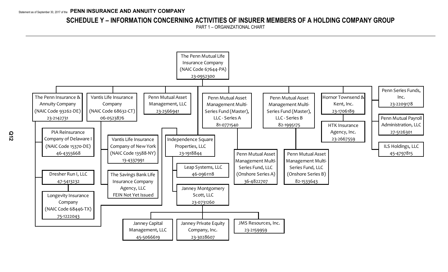# **SCHEDULE Y – INFORMATION CONCERNING ACTIVITIES OF INSURER MEMBERS OF A HOLDING COMPANY GROUP**

PART 1 – ORGANIZATIONAL CHART

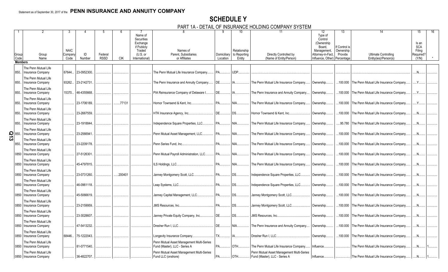# **SCHEDULE Y** PART 1A - DETAIL OF INSURANCE HOLDING COMPANY SYSTEM

|                     |                |                          |             |             |             |            |                | $1\pi$ $\nu$ $\mu$ $\pi$                  |               |                          | VINVE LIVEDINV<br>ויום וטוט וואורזיוו     |                              |              |                                                  |            |
|---------------------|----------------|--------------------------|-------------|-------------|-------------|------------|----------------|-------------------------------------------|---------------|--------------------------|-------------------------------------------|------------------------------|--------------|--------------------------------------------------|------------|
|                     |                |                          |             |             |             |            |                |                                           |               | 10                       |                                           | $12 \overline{ }$            | 13           |                                                  | 15<br>16   |
|                     |                |                          |             |             |             |            | Name of        |                                           |               |                          |                                           | Type of                      |              |                                                  |            |
|                     |                |                          |             |             |             |            | Securities     |                                           |               |                          |                                           | Control                      |              |                                                  |            |
|                     |                |                          |             |             |             |            | Exchange       |                                           |               |                          | (Ownership                                |                              |              |                                                  | Is an      |
|                     |                |                          |             |             |             |            | if Publicly    |                                           |               |                          |                                           | Board.                       | f Control is |                                                  | <b>SCA</b> |
|                     |                |                          | <b>NAIC</b> |             |             |            | Traded         | Names of                                  |               | Relationship             |                                           | Management,                  | Ownership    |                                                  | Filing     |
|                     | Group          | Group                    | Compan      | ID          | Federal     |            | (U.S. or       | Parent, Subsidiaries                      |               | Domiciliary to Reporting | Directly Controlled by                    | Attorney-in-Fact,            | Provide      | <b>Ultimate Controlling</b>                      | Required?  |
|                     | Code           | Name                     | Code        | Number      | <b>RSSD</b> | <b>CIK</b> | International) | or Affiliates                             | Location      | Entity                   | (Name of Entity/Person)                   | Influence, Other) Percentage |              | Entity(ies)/Person(s)                            | (Y/N)      |
|                     | <b>Members</b> |                          |             |             |             |            |                |                                           |               |                          |                                           |                              |              |                                                  |            |
|                     |                | The Penn Mutual Life     |             |             |             |            |                |                                           |               |                          |                                           |                              |              |                                                  |            |
|                     | 850.           | Insurance Company        | 67644       | 23-0952300  |             |            |                | The Penn Mutual Life Insurance Company.   | PA.           | UDP.                     |                                           |                              |              |                                                  |            |
|                     |                |                          |             |             |             |            |                |                                           |               |                          |                                           |                              |              |                                                  |            |
|                     |                | The Penn Mutual Life     |             |             |             |            |                |                                           |               |                          |                                           |                              |              |                                                  |            |
|                     | 850.           | <b>Insurance Company</b> | 93262.      | 23-2142731  |             |            |                | The Penn Insurance and Annuity Company    | DE.           | IA                       | The Penn Mutual Life Insurance Company    | Ownership.                   |              | 100.000 The Penn Mutual Life Insurance Company.  |            |
|                     |                | The Penn Mutual Life     |             |             |             |            |                |                                           |               |                          |                                           |                              |              |                                                  |            |
|                     |                |                          |             |             |             |            |                |                                           |               |                          |                                           |                              |              |                                                  | Y          |
|                     | 850.           | Insurance Company        | 15370       | 46-4355668  |             |            |                | PIA Reinsurance Company of Delaware I.    | DE.           |                          | The Penn Insurance and Annuity Company    | Ownership.                   |              | 100.000 The Penn Mutual Life Insurance Company.  |            |
|                     |                | The Penn Mutual Life     |             |             |             |            |                |                                           |               |                          |                                           |                              |              |                                                  |            |
|                     | 850.           | Insurance Company        |             | 23-1706189  |             | .77131     |                | Hornor Townsend & Kent, Inc.              | PA.           | NIA.                     | The Penn Mutual Life Insurance Company    | Ownership.                   |              | 100.000 The Penn Mutual Life Insurance Company.  |            |
|                     |                |                          |             |             |             |            |                |                                           |               |                          |                                           |                              |              |                                                  |            |
|                     |                | The Penn Mutual Life     |             |             |             |            |                |                                           |               |                          |                                           |                              |              |                                                  |            |
|                     | 850.           | Insurance Company        |             | 23-2667559. |             |            |                | HTK Insurance Agency, Inc.                | DE.           | DS.                      | Hornor Townsend & Kent, Inc               | Ownership.                   |              | 100.000 The Penn Mutual Life Insurance Company.  | N          |
|                     |                | The Penn Mutual Life     |             |             |             |            |                |                                           |               |                          |                                           |                              |              |                                                  |            |
|                     |                |                          |             |             |             |            |                |                                           |               |                          |                                           |                              |              |                                                  |            |
|                     | 850.           | Insurance Company        |             | 23-1918844. |             |            |                | Independence Square Properties, LLC.      | <b>PA</b>     | NIA                      | The Penn Mutual Life Insurance Company    | Ownership.                   |              | 95.780 The Penn Mutual Life Insurance Company.   | .N.        |
|                     |                | The Penn Mutual Life     |             |             |             |            |                |                                           |               |                          |                                           |                              |              |                                                  |            |
|                     |                | Insurance Company        |             | 23-2566941  |             |            |                | Penn Mutual Asset Management, LLC.        | <b>PA</b>     | NIA                      | The Penn Mutual Life Insurance Company    | Ownership.                   |              | 100.000 The Penn Mutual Life Insurance Company.  |            |
| $\frac{5}{10}$ 850. |                |                          |             |             |             |            |                |                                           |               |                          |                                           |                              |              |                                                  |            |
|                     |                | The Penn Mutual Life     |             |             |             |            |                |                                           |               |                          |                                           |                              |              |                                                  |            |
|                     | 850.           | Insurance Company        |             | 23-2209178. |             |            |                | Penn Series Fund, Inc.                    | <b>PA</b>     | NIA.                     | The Penn Mutual Life Insurance Company.   | Ownership.                   |              | 100.000 The Penn Mutual Life Insurance Company.  |            |
|                     |                | The Penn Mutual Life     |             |             |             |            |                |                                           |               |                          |                                           |                              |              |                                                  |            |
|                     |                |                          |             |             |             |            |                |                                           |               |                          |                                           |                              |              |                                                  |            |
|                     | 0850           | Insurance Company        |             | 27-5126301  |             |            |                | Penn Mutual Payroll Administration, LLC.  | PA.           | NIA                      | The Penn Mutual Life Insurance Company    | Ownership.                   |              | .100.000 The Penn Mutual Life Insurance Company. |            |
|                     |                | The Penn Mutual Life     |             |             |             |            |                |                                           |               |                          |                                           |                              |              |                                                  |            |
|                     | 0850           | Insurance Company        |             | 45-4797815. |             |            |                | ILS Holdings, LLC                         | <b>PA</b>     | NIA                      | The Penn Mutual Life Insurance Company.   | Ownership.                   | 100.000      | The Penn Mutual Life Insurance Company.          |            |
|                     |                |                          |             |             |             |            |                |                                           |               |                          |                                           |                              |              |                                                  |            |
|                     |                | The Penn Mutual Life     |             |             |             |            |                |                                           |               |                          |                                           |                              |              |                                                  |            |
|                     | 0850           | Insurance Company        |             | 23-0731260. |             | .200401    |                | Janney Montgomery Scott, LLC.             | <b>PA</b>     | DS.                      | Independence Square Properties, LLC.      | Ownership.                   |              | 100.000 The Penn Mutual Life Insurance Company.  | N          |
|                     |                | The Penn Mutual Life     |             |             |             |            |                |                                           |               |                          |                                           |                              |              |                                                  |            |
|                     | 0850           | <b>Insurance Company</b> |             | 46-0961118. |             |            |                | Leap Systems, LLC                         | PA            | DS.                      | Independence Square Properties, LLC       | Ownership.                   |              | 100.000 The Penn Mutual Life Insurance Company   | N          |
|                     |                |                          |             |             |             |            |                |                                           |               |                          |                                           |                              |              |                                                  |            |
|                     |                | The Penn Mutual Life     |             |             |             |            |                |                                           |               |                          |                                           |                              |              |                                                  |            |
|                     | 0850           | Insurance Company        |             | 45-5066619. |             |            |                | Janney Capital Management, LLC.           | <b>PA</b>     | DS                       | Janney Montgomery Scott, LLC.             | Ownership.                   | 100.000      | The Penn Mutual Life Insurance Company.          |            |
|                     |                |                          |             |             |             |            |                |                                           |               |                          |                                           |                              |              |                                                  |            |
|                     |                | The Penn Mutual Life     |             |             |             |            |                |                                           |               |                          |                                           |                              |              |                                                  |            |
|                     | 0850           | Insurance Company        |             | 23-2159959  |             |            |                | JMS Resources, Inc                        | <b>PA</b>     | DS.                      | Janney Montgomery Scott, LLC              | Ownership.                   |              | 100.000 The Penn Mutual Life Insurance Company.  |            |
|                     |                | The Penn Mutual Life     |             |             |             |            |                |                                           |               |                          |                                           |                              |              |                                                  |            |
|                     | 0850           | Insurance Company        |             | 23-3028607  |             |            |                | Janney Private Equity Company, Inc        | DE.           | DS.                      | <b>JMS Resources, Inc.</b>                | Ownership.                   |              | 100.000 The Penn Mutual Life Insurance Company   | $N$        |
|                     |                |                          |             |             |             |            |                |                                           |               |                          |                                           |                              |              |                                                  |            |
|                     |                | The Penn Mutual Life     |             |             |             |            |                |                                           |               |                          |                                           |                              |              |                                                  |            |
|                     | 0850           | Insurance Company        |             | 47-5413232. |             |            |                | Dresher Run I. LLC.                       | DE.           | NIA                      | The Penn Insurance and Annuity Company    | Ownership.                   | 100.000      | The Penn Mutual Life Insurance Company.          |            |
|                     |                |                          |             |             |             |            |                |                                           |               |                          |                                           |                              |              |                                                  |            |
|                     |                | The Penn Mutual Life     |             |             |             |            |                |                                           |               |                          |                                           |                              |              |                                                  |            |
|                     |                | 0850 Insurance Company   | 68446.      | 75-1222043. |             |            |                | Longevity Insurance Company               | $TX_{\cdots}$ |                          | Dresher Run I. LLC.                       | Ownership.                   |              | 100.000 The Penn Mutual Life Insurance Company.  |            |
|                     |                | The Penn Mutual Life     |             |             |             |            |                | Penn Mutual Asset Management Multi-Series |               |                          |                                           |                              |              |                                                  |            |
|                     | 0850           | Insurance Company        |             | 81-0771540. |             |            |                | Fund (Master), LLC - Series A             | <b>PA</b>     | OTH                      | The Penn Mutual Life Insurance Company    | Influence.                   |              | The Penn Mutual Life Insurance Company           | $N$        |
|                     |                |                          |             |             |             |            |                |                                           |               |                          |                                           |                              |              |                                                  |            |
|                     |                | The Penn Mutual Life     |             |             |             |            |                | Penn Mutual Asset Management Multi-Series |               |                          | Penn Mutual Asset Management Multi-Series |                              |              |                                                  |            |
|                     |                | 0850 Insurance Company   |             | 36-4822707  |             |            |                | Fund LLC (onshore)                        | PA.           | OTH.                     | Fund (Master), LLC - Series A             | Influence.                   |              | The Penn Mutual Life Insurance Company.          |            |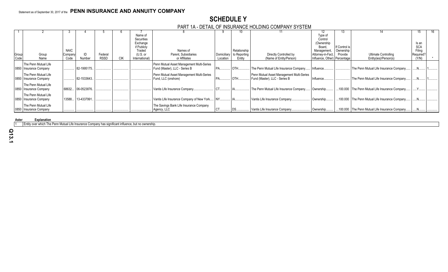# **SCHEDULE Y** PART 1A - DETAIL OF INSURANCE HOLDING COMPANY SYSTEM

|       |                          |             |                   |             |     |                | .                                         |             |              |                                           |                              |               |                                                |            |  |
|-------|--------------------------|-------------|-------------------|-------------|-----|----------------|-------------------------------------------|-------------|--------------|-------------------------------------------|------------------------------|---------------|------------------------------------------------|------------|--|
|       |                          |             |                   |             |     |                |                                           |             |              |                                           |                              | 13.           |                                                |            |  |
|       |                          |             |                   |             |     | Name of        |                                           |             |              |                                           | Type of                      |               |                                                |            |  |
|       |                          |             |                   |             |     | Securities     |                                           |             |              |                                           | Control                      |               |                                                |            |  |
|       |                          |             |                   |             |     | Exchange       |                                           |             |              |                                           | (Ownership                   |               |                                                | Is an      |  |
|       |                          |             |                   |             |     | if Publicly    |                                           |             |              |                                           | Board.                       | If Control is |                                                | <b>SCA</b> |  |
|       |                          | <b>NAIC</b> |                   |             |     | Traded         | Names of                                  |             | Relationship |                                           | Management                   | Ownership     |                                                | Filing     |  |
| Group | Group                    | Company     |                   | Federal     |     | (U.S. or       | Parent, Subsidiaries                      | Domiciliary | to Reporting | Directly Controlled by                    | Attorney-in-Fact,            | Provide       | <b>Ultimate Controlling</b>                    | Required?  |  |
| Code  | Name                     | Code        | Number            | <b>RSSD</b> | CIK | International) | or Affiliates                             | Location    | Entity       | (Name of Entity/Person)                   | Influence, Other) Percentage |               | Entity(ies)/Person(s)                          | (Y/N)      |  |
|       | The Penn Mutual Life     |             |                   |             |     |                | Penn Mutual Asset Management Multi-Series |             |              |                                           |                              |               |                                                |            |  |
|       |                          |             | 82-1995175.       |             |     |                | Fund (Master), LLC - Series B             |             | $I$ OTH      | The Penn Mutual Life Insurance Company.   | Influence.                   |               | The Penn Mutual Life Insurance Company         |            |  |
|       | 0850 Insurance Company   |             |                   |             |     |                |                                           |             |              |                                           |                              |               |                                                |            |  |
|       | The Penn Mutual Life     |             |                   |             |     |                | Penn Mutual Asset Management Multi-Series |             |              | Penn Mutual Asset Management Multi-Series |                              |               |                                                |            |  |
|       | 0850 Insurance Company   |             | 82-1533643.       |             |     |                | Fund, LLC (onshore)                       | <b>PA</b>   | $I$ OTH      | Fund (Master), LLC - Series B             | Influence.                   |               | The Penn Mutual Life Insurance Company.        |            |  |
|       |                          |             |                   |             |     |                |                                           |             |              |                                           |                              |               |                                                |            |  |
|       | The Penn Mutual Life     |             |                   |             |     |                |                                           |             |              |                                           |                              |               |                                                |            |  |
|       | 0850   Insurance Company |             | 68632 06-0523876. |             |     |                | Vantis Life Insurance Company.            |             |              | The Penn Mutual Life Insurance Company.   | Ownership                    |               | 100.000 The Penn Mutual Life Insurance Company |            |  |
|       | The Penn Mutual Life     |             |                   |             |     |                |                                           |             |              |                                           |                              |               |                                                |            |  |
|       | 0850 Insurance Company   | 13588       | 13-4337991.       |             |     |                | Vantis Life Insurance Company of New York | <b>INY</b>  |              | Vantis Life Insurance Company.            | Ownership                    | .100.000      | The Penn Mutual Life Insurance Company         |            |  |
|       |                          |             |                   |             |     |                |                                           |             |              |                                           |                              |               |                                                |            |  |
|       | The Penn Mutual Life     |             |                   |             |     |                | The Savings Bank Life Insurance Company   |             |              |                                           |                              |               |                                                |            |  |
|       | 0850   Insurance Company |             |                   |             |     |                | Agency, LLC                               | <b>CT</b>   |              | Vantis Life Insurance Company.            | Ownership                    | .100.000      | The Penn Mutual Life Insurance Company         |            |  |

**Aster Explanation** 

1 Entity over which The Penn Mutual Life Insurance Company has significant influence, but no ownership.

**Q13.1**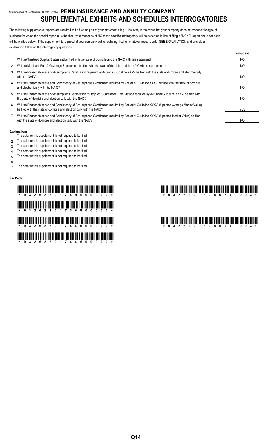# Statement as of September 30, 2017 of the **PENN INSURANCE AND ANNUITY COMPANY SUPPLEMENTAL EXHIBITS AND SCHEDULES INTERROGATORIES**

The following supplemental reports are required to be filed as part of your statement filing. However, in the event that your company does not transact the type of business for which the special report must be filed, your response of NO to the specific interrogatory will be accepted in lieu of filing a "NONE" report and a bar code will be printed below. If the supplement is required of your company but is not being filed for whatever reason, enter SEE EXPLANATION and provide an explanation following the interrogatory questions.

|    |                                                                                                                                                                                                                    | Response   |
|----|--------------------------------------------------------------------------------------------------------------------------------------------------------------------------------------------------------------------|------------|
| 1. | Will the Trusteed Surplus Statement be filed with the state of domicile and the NAIC with this statement?                                                                                                          | NO.        |
| 2. | Will the Medicare Part D Coverage Supplement be filed with the state of domicile and the NAIC with this statement?                                                                                                 | NO.        |
| 3. | Will the Reasonableness of Assumptions Certification required by Actuarial Guideline XXXV be filed with the state of domicile and electronically<br>with the NAIC?                                                 | NO.        |
| 4. | Will the Reasonableness and Consistency of Assumptions Certification required by Actuarial Guideline XXXV be filed with the state of domicile<br>and electronically with the NAIC?                                 | NO.        |
| 5. | Will the Reasonableness of Assumptions Certification for Implied Guaranteed Rate Method required by Actuarial Guideline XXXVI be filed with<br>the state of domicile and electronically with the NAIC?             | NO.        |
| 6. | Will the Reasonableness and Consistency of Assumptions Certification required by Actuarial Guideline XXXVI (Updated Average Market Value)<br>be filed with the state of domicile and electronically with the NAIC? | <b>YES</b> |
|    | Will the Reasonableness and Consistency of Assumptions Certification required by Actuarial Guideline XXXVI (Updated Market Value) be filed<br>with the state of domicile and electronically with the NAIC?         | NO         |

#### **Explanations:**

- 1. The data for this supplement is not required to be filed.
- 2. The data for this supplement is not required to be filed.
- 3. The data for this supplement is not required to be filed.
- 4. The data for this supplement is not required to be filed.
- 5. The data for this supplement is not required to be filed.
- 6.
- 7. The data for this supplement is not required to be filed.

#### **Bar Code:**

# \*93262201749000003\* \*93262201744700003\* \*932612 TUTE THE THE BILL DIE TELEVISION WAS TELEVISION AND BILL BUT DEN BETWEEN TELEVISION AND \*93262201744500003\* \*93262201744900003\* \*93262201744600003\*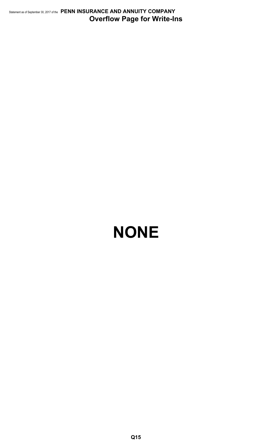Statement as of September 30, 2017 of the **PENN INSURANCE AND ANNUITY COMPANY Overflow Page for Write-Ins**

# **NONE**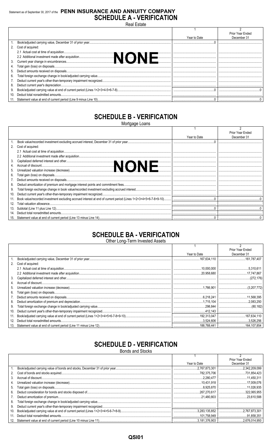# Statement as of September 30, 2017 of the PENN INSURANCE AND ANNUITY COMPANY **SCHEDULE A - VERIFICATION**

**Real Estate**  $\overline{2}$ Prior Year Ended Year to Date December 31  $1.$ Book/adjusted carrying value, December 31 of prior year..  $\Omega$  $2.$ Cost of acquired: 2.1 Actual cost at time of acquisition.. **NONE** 2.2 Additional investment made after acquisition.... 3. Current year change in encumbrances.... 4. Total gain (loss) on disposals.  $5<sup>1</sup>$ Deduct amounts received on disposals..  $6.$ Total foreign exchange change in book/adjusted carrying value 7. Deduct current year's other-than-temporary impairment recognized. 8. Deduct current year's depreciation... 9. Book/adjusted carrying value at end of current period (Lines 1+2+3+4-5+6-7-8).  $\overline{0}$  $0$ 10 Deduct total nonadmitted amounts  $11.$ Statement value at end of current period (Line 9 minus Line 10).  $0.$  $\Omega$ 

# **SCHEDULE B - VERIFICATION**

Mortgage Loans

|     |                      |              | Prior Year Ended |
|-----|----------------------|--------------|------------------|
|     |                      | Year to Date | December 31      |
|     |                      |              |                  |
|     | 2. Cost of acquired: |              |                  |
|     |                      |              |                  |
|     |                      |              |                  |
|     |                      |              |                  |
|     |                      |              |                  |
|     |                      |              |                  |
| 6.  |                      |              |                  |
|     |                      |              |                  |
| 8.  |                      |              |                  |
| 9.  |                      |              |                  |
| 10. |                      |              |                  |
|     |                      |              |                  |
| 12. |                      |              |                  |
| 13. |                      |              |                  |
| 14. |                      |              |                  |
| 15. |                      |              |                  |

# **SCHEDULE BA - VERIFICATION**

Other Long-Term Invested Assets

|     |                   |              | Prior Year Ended |
|-----|-------------------|--------------|------------------|
|     |                   | Year to Date | December 31      |
|     |                   |              |                  |
| 2.  | Cost of acquired: |              |                  |
|     |                   | .10,000,000  |                  |
|     |                   |              |                  |
| 3.  |                   |              |                  |
| 4.  |                   |              |                  |
| 5.  |                   |              |                  |
| 6.  |                   |              |                  |
|     |                   |              |                  |
| 8.  |                   |              |                  |
| 9.  |                   |              |                  |
| 10. |                   |              |                  |
| 11. |                   |              |                  |
| 12. |                   | .3.524.606   |                  |
| 13. |                   |              |                  |

# **SCHEDULE D - VERIFICATION**

**Bonds and Stocks**  $\overline{2}$ Prior Year Ended Year to Date December 31  $\mathbf{1}$ Book/adjusted carrying value of bonds and stocks, December 31 of prior year. 2 767 873 301 2 342 209 099  $2.$ Cost of bonds and stocks acquired.. .782,375,706 .731,854,423 3. Accrual of discount.... .2,280,477  $...11,450,311$ Unrealized valuation increase (decrease). 17,009,076 10.431.918  $4.$ Total gain (loss) on disposals. 8925870 11 026 935  $5<sup>5</sup>$ 322 065 955  $6<sup>1</sup>$ Deduct consideration for bonds and stocks disposed of. 267 270 617  $\overline{7}$ . Deduct amortization of premium.. .21,480,803 .23,610,588 8. Total foreign exchange change in book/adjusted carrying value.. 9. Deduct current year's other-than-temporary impairment recognized. 10. Book/adjusted carrying value at end of current period (Lines 1+2+3+4+5-6-7+8-9). .3,283,135,852 2,767,873,301 11. Deduct total nonadmitted amounts. .101,758,949 .91,858,351  $12.$ Statement value at end of current period (Line 10 minus Line 11). 3,181,376,903 2,676,014,950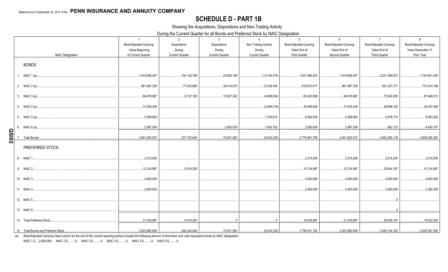# **SCHEDULE D - PART 1B**

Showing the Acquisitions, Dispositions and Non-Trading Activity

During the Current Quarter for all Bonds and Preferred Stock by NAIC Designation

|              | <b>NAIC Designation</b>                                                                                                                                                                                                                                                                                                                                                        | $\overline{1}$<br>Book/Adjusted Carrying<br>Value Beginning<br>of Current Quarter | 2<br>Acquisitions<br>During<br><b>Current Quarter</b> | $\mathbf{3}$<br>Dispositions<br>During<br><b>Current Quarter</b> | $\overline{4}$<br>Non-Trading Activity<br>During<br><b>Current Quarter</b> | -5<br>Book/Adjusted Carrying<br>Value End of<br>First Quarter          | 6<br>Book/Adjusted Carrying<br>Value End of<br>Second Quarter | $\overline{7}$<br>Book/Adjusted Carrying<br>Value End of<br><b>Third Quarter</b> | 8<br>Book/Adjusted Carrying<br>Value December 31<br>Prior Year |
|--------------|--------------------------------------------------------------------------------------------------------------------------------------------------------------------------------------------------------------------------------------------------------------------------------------------------------------------------------------------------------------------------------|-----------------------------------------------------------------------------------|-------------------------------------------------------|------------------------------------------------------------------|----------------------------------------------------------------------------|------------------------------------------------------------------------|---------------------------------------------------------------|----------------------------------------------------------------------------------|----------------------------------------------------------------|
|              | <b>BONDS</b>                                                                                                                                                                                                                                                                                                                                                                   |                                                                                   |                                                       |                                                                  |                                                                            |                                                                        |                                                               |                                                                                  |                                                                |
|              | 1. NAIC 1 (a)                                                                                                                                                                                                                                                                                                                                                                  | 1,914,656,457                                                                     | 154,132,796                                           | 23,655,106                                                       | (13,744,474)                                                               | 1,831,096,503                                                          | 1,914,656,457                                                 | 2,031,389,673                                                                    | 1,744,941,630                                                  |
|              | 2. NAIC 2 (a)<br>$\mathcal{L} = \{1, 2, \ldots, 2, \ldots, 2, \ldots, 2, \ldots, 2, \ldots, 2, \ldots, 2, \ldots, 2, \ldots, 2, \ldots, 2, \ldots, 2, \ldots, 2, \ldots, 2, \ldots, 2, \ldots, 2, \ldots, 2, \ldots, 2, \ldots, 2, \ldots, 2, \ldots, 2, \ldots, 2, \ldots, 2, \ldots, 2, \ldots, 2, \ldots, 2, \ldots, 2, \ldots, 2, \ldots, 2, \ldots, 2, \ldots, 2, \ldots$ | 861,967,329                                                                       | 77,435,685                                            | 30,414,073                                                       | 12,338,430                                                                 | 818,672,471                                                            | 861,967,329                                                   | 921,327,371                                                                      | 731,914,188                                                    |
|              | 3. NAIC 3 (a)                                                                                                                                                                                                                                                                                                                                                                  | 84,978,987                                                                        | $\dots 6, 157, 165$                                   | 12,907,242                                                       | (4,688,834)                                                                | 85,020,569                                                             | 84,978,987                                                    | 73,540,076                                                                       | 87,948,013                                                     |
|              | 4. NAIC 4 (a)                                                                                                                                                                                                                                                                                                                                                                  | 31,635,436                                                                        |                                                       |                                                                  | (2,946,316)                                                                | 35,569,648                                                             | 31,635,436                                                    | 28,689,120                                                                       | .34,047,448                                                    |
|              | 5. NAIC 5 (a)                                                                                                                                                                                                                                                                                                                                                                  | 5,599,963                                                                         |                                                       |                                                                  | 1,376,812                                                                  | 6,582,554                                                              | 5.599.963                                                     | 6,976,775                                                                        | 6,003,202                                                      |
|              | 6. NAIC 6 (a)                                                                                                                                                                                                                                                                                                                                                                  | 2,987,500                                                                         |                                                       | 3,955,529                                                        | .1,630,152                                                                 | 3,050,050                                                              | 2,987,500                                                     | 662,123                                                                          | 4,430,781                                                      |
| <b>Z0ISO</b> | Total Bonds                                                                                                                                                                                                                                                                                                                                                                    | 2,901,825,672                                                                     | 237,725,646                                           | 70,931,950                                                       | (6,034,230)                                                                | 2,779,991,795                                                          | 2,901,825,672                                                 | 3,062,585,138                                                                    | 2,609,285,262                                                  |
|              | PREFERRED STOCK                                                                                                                                                                                                                                                                                                                                                                |                                                                                   |                                                       |                                                                  |                                                                            |                                                                        |                                                               |                                                                                  |                                                                |
|              |                                                                                                                                                                                                                                                                                                                                                                                | 2,515,000                                                                         |                                                       |                                                                  |                                                                            | .2,515,000                                                             | .2,515,000                                                    | .2,515,000                                                                       | .2,515,000                                                     |
|              | 9. NAIC 2                                                                                                                                                                                                                                                                                                                                                                      | 12,124,987                                                                        | 8,519,200                                             |                                                                  |                                                                            | 10,124,987                                                             | 12,124,987                                                    | 20,644,187                                                                       | .10,124,987                                                    |
|              | 10. NAIC 3                                                                                                                                                                                                                                                                                                                                                                     | 0.4,000,000                                                                       |                                                       |                                                                  |                                                                            | 4,000,000                                                              | 4,000,000                                                     | 4,000,000                                                                        | .4,000,000                                                     |
|              | 11. NAIC 4.                                                                                                                                                                                                                                                                                                                                                                    | 0.2,400,000                                                                       |                                                       |                                                                  |                                                                            | .2,400,000                                                             | 2.400.000                                                     | 2.400.000                                                                        | 2,382,305                                                      |
|              | 12. NAIC 5                                                                                                                                                                                                                                                                                                                                                                     |                                                                                   |                                                       |                                                                  |                                                                            |                                                                        |                                                               |                                                                                  |                                                                |
|              | 13. NAIC 6                                                                                                                                                                                                                                                                                                                                                                     |                                                                                   |                                                       |                                                                  |                                                                            |                                                                        |                                                               |                                                                                  |                                                                |
|              | 14. Total Preferred Stock                                                                                                                                                                                                                                                                                                                                                      | 21,039,987                                                                        | 8,519,200                                             |                                                                  | $\cap$                                                                     | 19,039,987                                                             | 21,039,987                                                    | 29,559,187                                                                       |                                                                |
|              |                                                                                                                                                                                                                                                                                                                                                                                | 2,922,865,659<br>.                                                                | .                                                     |                                                                  |                                                                            | $\ldots$ (6,034,230) $\boxed{\ldots}$<br>$\dots$ 2,799,031,782 $\dots$ |                                                               |                                                                                  | 2,628,307,554                                                  |

(a) Book/Adjusted Carrying Value column for the end of the current reporting period includes the following amount of short-term and cash equivalent bonds by NAIC designation:

NAIC 1 \$.....2,500,000; NAIC 2 \$..........0; NAIC 3 \$..........0; NAIC 4 \$..........0; NAIC 5 \$..........0; NAIC 6 \$..........0.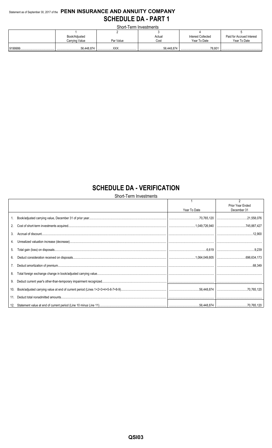# Statement as of September 30, 2017 of the PENN INSURANCE AND ANNUITY COMPANY **SCHEDULE DA - PART 1**

Short-Term Investments

| Book/Adjusted  |           | Actual     | <b>Interest Collected</b> | Paid for Accrued Interest |
|----------------|-----------|------------|---------------------------|---------------------------|
| Carrying Value | Par Value | Cost       | Year To Date              | Year To Date              |
|                |           |            |                           |                           |
|                | vvv       | 56,448,874 |                           |                           |

# **SCHEDULE DA - VERIFICATION**

Short-Term Investments

|     |              | $\overline{2}$<br>Prior Year Ended |
|-----|--------------|------------------------------------|
|     | Year To Date | December 31                        |
|     |              |                                    |
| 2.  |              |                                    |
| 3.  |              |                                    |
|     |              |                                    |
| 5.  |              |                                    |
| 6.  |              |                                    |
|     |              |                                    |
| 8.  |              |                                    |
| 9.  |              |                                    |
| 10. |              |                                    |
|     |              |                                    |
|     |              |                                    |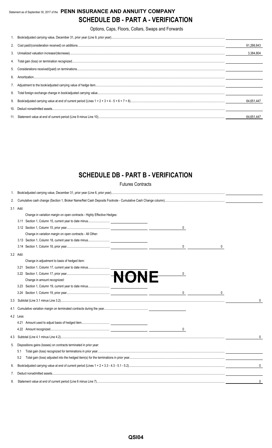# Statement as of September 30, 2017 of the **PENN INSURANCE AND ANNUITY COMPANY SCHEDULE DB - PART A - VERIFICATION**

Options, Caps, Floors, Collars, Swaps and Forwards

|   | 61.266,643 |
|---|------------|
|   | 3.384.804  |
|   |            |
|   |            |
| 6 |            |
|   |            |
|   |            |
|   | 64,651,447 |
|   |            |
|   | 64,651,447 |

# **SCHEDULE DB - PART B - VERIFICATION**

Futures Contracts

| 1.  |           |                                                                         |              |
|-----|-----------|-------------------------------------------------------------------------|--------------|
| 2.  |           |                                                                         |              |
|     | 3.1 Add:  |                                                                         |              |
|     |           | Change in variation margin on open contracts - Highly Effective Hedges: |              |
|     |           |                                                                         |              |
|     |           | 0                                                                       |              |
|     |           | Change in variation margin on open contracts - All Other:               |              |
|     |           |                                                                         |              |
|     |           | 0                                                                       |              |
|     | 3.2 Add:  |                                                                         |              |
|     |           | Change in adjustment to basis of hedged item:                           |              |
|     | 3.21      |                                                                         |              |
|     |           | 0                                                                       |              |
|     |           |                                                                         |              |
|     |           |                                                                         |              |
|     |           | $\begin{array}{ccc} 0 & \phantom{0} & \phantom{0} \\ \end{array}$<br>0  |              |
|     |           |                                                                         | 0            |
| 4.1 |           |                                                                         |              |
|     | 4.2 Less: |                                                                         |              |
|     |           |                                                                         |              |
|     |           | $\mathbf{0}$                                                            |              |
| 4.3 |           |                                                                         | $\mathbf{0}$ |
| 5.  |           | Dispositions gains (losses) on contracts terminated in prior year:      |              |
|     | 5.1       |                                                                         |              |
|     | 5.2       |                                                                         |              |
| 6.  |           |                                                                         | $\mathbf{0}$ |
| 7.  |           |                                                                         |              |
| 8.  |           |                                                                         | 0            |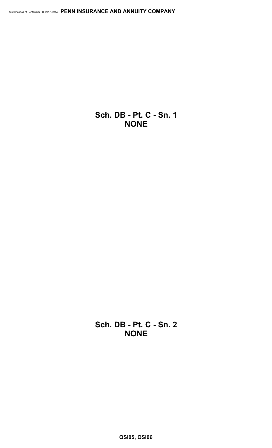**Sch. DB - Pt. C - Sn. 1 NONE**

**Sch. DB - Pt. C - Sn. 2 NONE**

**QSI05, QSI06**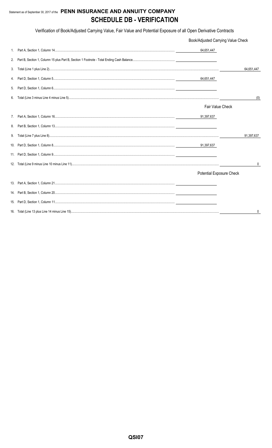# Statement as of September 30, 2017 of the PENN INSURANCE AND ANNUITY COMPANY **SCHEDULE DB - VERIFICATION**

Verification of Book/Adjusted Carrying Value, Fair Value and Potential Exposure of all Open Derivative Contracts

|    | Book/Adjusted Carrying Value Check |            |  |  |  |  |  |
|----|------------------------------------|------------|--|--|--|--|--|
| 1. | 64,651,447                         |            |  |  |  |  |  |
| 2. |                                    |            |  |  |  |  |  |
| 3. |                                    | 64,651,447 |  |  |  |  |  |
| 4. |                                    |            |  |  |  |  |  |
| 5. |                                    |            |  |  |  |  |  |
| 6. |                                    | (0)        |  |  |  |  |  |
|    | Fair Value Check                   |            |  |  |  |  |  |
| 7. | 91,397,637                         |            |  |  |  |  |  |
| 8. |                                    |            |  |  |  |  |  |
| 9. |                                    | 91,397,637 |  |  |  |  |  |
|    | 91,397,637                         |            |  |  |  |  |  |
|    |                                    |            |  |  |  |  |  |
|    |                                    | 0          |  |  |  |  |  |
|    | Potential Exposure Check           |            |  |  |  |  |  |
|    |                                    |            |  |  |  |  |  |
|    |                                    |            |  |  |  |  |  |
|    |                                    |            |  |  |  |  |  |
|    |                                    |            |  |  |  |  |  |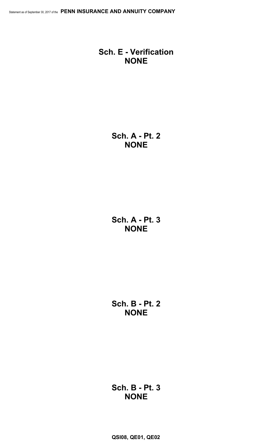# **Sch. E - Verification NONE**

**Sch. A - Pt. 2 NONE**

**Sch. A - Pt. 3 NONE**

**Sch. B - Pt. 2 NONE**

**Sch. B - Pt. 3 NONE**

**QSI08, QE01, QE02**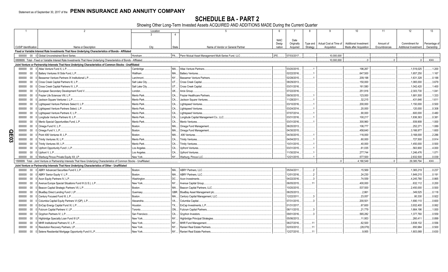SCHEDULE BA - PART 2<br>Showing Other Long-Term Invested Assets ACQUIRED AND ADDITIONS MADE During the Current Quarter

|     |                             | $\mathcal{P}$                                                                                                                 | Location                     | -5                                                      |                  |                        | 8                    | 9                                     | 10                                                     | 11                        | 12                                      | 13                         |
|-----|-----------------------------|-------------------------------------------------------------------------------------------------------------------------------|------------------------------|---------------------------------------------------------|------------------|------------------------|----------------------|---------------------------------------|--------------------------------------------------------|---------------------------|-----------------------------------------|----------------------------|
|     |                             |                                                                                                                               |                              | 4                                                       |                  |                        |                      |                                       |                                                        |                           |                                         |                            |
|     |                             |                                                                                                                               |                              |                                                         |                  |                        |                      |                                       |                                                        |                           |                                         |                            |
|     |                             |                                                                                                                               |                              |                                                         | <b>NAIC</b>      | Date                   |                      |                                       |                                                        |                           |                                         |                            |
|     | <b>CUSIP</b> Identification | Name or Description                                                                                                           | City                         | <b>State</b><br>Name of Vendor or General Partner       | Desig-<br>nation | Originally<br>Acquired | Type and<br>Strategy | Actual Cost at Time of<br>Acquisition | <b>Additional Investment</b><br>Made after Acquisition | Amount of<br>Encumbrances | Commitment for<br>Additional Investment | Percentage of<br>Ownership |
|     |                             | Fixed or Variable Interest Rate Investments That Have Underlying Characteristics of Bonds - Affiliated                        |                              |                                                         |                  |                        |                      |                                       |                                                        |                           |                                         |                            |
|     |                             | 000000 00 0 Global Unconstrained Bond Series.                                                                                 |                              | PA Penn Mutual Asset Management Multi-Series Fund, LLC. | 2FE.             | 07/03/2017.            |                      | .10.000.000                           |                                                        |                           |                                         |                            |
|     |                             |                                                                                                                               | Horsham.                     |                                                         |                  |                        |                      |                                       | $\cap$                                                 |                           | $\cap$                                  |                            |
|     |                             | 0899999. Total - Fixed or Variable Interest Rate Investments That Have Underlying Characteristics of Bonds - Affiliated.      |                              |                                                         |                  |                        |                      | 10.000.000                            |                                                        |                           |                                         | .XXX.                      |
|     |                             | Joint Venture or Partnership Interests That Have Underlying Characteristics of Common Stocks - Unaffiliated                   |                              |                                                         |                  |                        |                      |                                       |                                                        |                           |                                         |                            |
|     |                             | 000000 00 0 Atlas Venture Fund X, L.P.                                                                                        | MA<br>Cambridge              | Atlas Venture Partners                                  |                  | 03/20/2015.            |                      |                                       | 196,267                                                |                           | .1,519,025                              | .1.200                     |
|     | 000000                      | 00 0 Battery Ventures XI Side Fund, L.P.                                                                                      | Waltham.<br>MA               | <b>Battery Ventures</b>                                 |                  | 02/22/2016.            |                      |                                       | .647.500                                               |                           | .1,657,250                              | .1.167                     |
|     | 000000                      | $00 \quad 0$<br>Bessemer Venture Partners IX Institutional L.P.                                                               | NY<br>Larchmont              | <b>Bessemer Venture Partners</b>                        |                  | 02/28/2015             |                      |                                       | .209.198                                               |                           | .1,631,328                              | .0.188                     |
|     | 000000                      | Cross Creek Capital Partners III, L.P.<br>$00\,$                                                                              | UT<br>Salt Lake City.        | Cross Creek Capital.                                    |                  | 08/29/2013.            |                      |                                       | 150,000                                                |                           | .1,065,000                              | .3.679                     |
|     | 000000                      | Cross Creek Capital Partners IV, L.P.<br>$00\,$                                                                               | <b>UT</b><br>Salt Lake City. | Cross Creek Capital.                                    |                  | 03/31/2016.            |                      |                                       | .161,580                                               |                           | .1,042,420                              | .1.400                     |
|     | 000000                      | European Secondary Development Fund V<br>$00\,$                                                                               | <b>UK</b><br>London          | Arcis Group.                                            |                  | 07/22/2016             |                      |                                       | .251,916                                               |                           | .2,303,730                              | .1.041                     |
|     | 000000                      | Frazier Life Sciences VIII, L.P.<br>$00\,$                                                                                    | CA.<br>Menlo Park.           | Frazier Healthcare Partners                             |                  | 09/30/2015.            |                      |                                       | 123,000                                                |                           | .1,681,500                              | .1.333                     |
|     | 000000                      | Jackson Square Ventures I. L.P.<br>$00\,$                                                                                     | Menlo Park.<br>CA.           | Jackson Square Ventures                                 |                  | 11/28/2011             |                      |                                       | .32.215                                                |                           | .431.646                                | .1.611                     |
|     | 000000                      | Lightspeed Venture Partners Select II, L.P<br>$00\,$                                                                          | CA<br>Menlo Park.            | <b>Lightspeed Ventures</b>                              |                  | 03/10/2016             |                      |                                       | .200,000                                               |                           | .1,150,000                              | .0.500                     |
|     | 000000                      | Lightspeed Venture Partners Select, L.P.<br>$00\,$                                                                            | CA.<br>Menlo Park.           | Lightspeed Ventures.                                    |                  | 03/24/2014.            |                      |                                       | 20,000                                                 |                           | .120,000                                | .0.308                     |
|     | 000000                      | 00<br>0 Lightspeed Venture Partners X. L.P                                                                                    | CA<br>Menlo Park             | <b>Lightspeed Ventures</b>                              |                  | 07/07/2014.            |                      |                                       | 90,000                                                 |                           | .600,000                                | .0.480                     |
|     | 000000                      | Longitude Venture Partners III, L.P.<br>$00\,$                                                                                | CA.<br>Menlo Park.           | Longitude Capital Management Co., LLC.                  |                  | 03/31/2016             |                      |                                       | 100,217                                                |                           | 1,836,363                               | .0.381                     |
|     | 000000                      | 00 0 Menlo Special Opportunities Fund, L.P.                                                                                   | CA.<br>Menlo Park            | Menlo Ventures                                          |                  | 03/31/2016             |                      |                                       | .300,960                                               |                           | .939,908                                | .1.000                     |
|     | 000000                      | $00 \quad 0$<br>Omega Fund IV, L.P.                                                                                           | MA<br>Boston.                | Omega Fund Management                                   |                  | 06/20/2013             |                      |                                       | 106,777                                                |                           | .252,271                                | .1.089                     |
|     | 000000                      | 00 0 Omega Fund V, L.P.                                                                                                       | <b>MA</b><br>Boston.         | Omega Fund Management.                                  |                  | 04/30/2015.            |                      |                                       | .458,640                                               |                           | .3,166,977                              | .1.600                     |
| O   |                             | 00 0 Point 406 Ventures III. L.P.                                                                                             | MA<br>Boston.                |                                                         |                  | 04/30/2015.            |                      |                                       |                                                        |                           |                                         | .2.286                     |
| E03 | 000000                      |                                                                                                                               | CA.<br>Menlo Park.           | .406 Ventures                                           |                  |                        |                      |                                       | .116,000                                               |                           | .3,168,000                              | .0.914                     |
|     |                             | 000000 00 0 Trinity Ventures XI, L.P.                                                                                         |                              | Trinity Ventures.                                       |                  | 04/04/2013.            |                      |                                       | 60,000                                                 |                           | 727,500                                 |                            |
|     |                             | 000000 00 0 Trinity Ventures XII, L.P.                                                                                        | Menlo Park.<br>CA.           | Trinity Ventures.                                       |                  | 10/31/2015             |                      |                                       | .40,000                                                |                           | 1,450,000                               | .0.500                     |
|     | 000000                      | 00 0 Upfront Opportunity Fund I, L.P.                                                                                         | CA<br>Los Angeles            | <b>Upfront Ventures</b>                                 |                  | 03/31/2015             |                      |                                       | 61,035                                                 |                           | .563,900                                | .4.000                     |
|     | 000000                      | 00 0 Upfront V, L.P.                                                                                                          | CA.<br>Los Angeles.          | Upfront Ventures.                                       |                  | 11/30/2014.            |                      |                                       | .277.744                                               |                           | .1,246,476                              | .1.071                     |
|     |                             | 000000 00 0 Warburg Pincus Private Equity XII, LP.                                                                            | New York.                    | NY Warburg, Pincus LLC.                                 |                  | 12/21/2015.            |                      |                                       | .577.500                                               |                           | .2,832,500                              | 0.039                      |
|     |                             | 1599999. Total - Joint Venture or Partnership Interests That Have Underlying Characteristics of Common Stocks - Unaffiliated. |                              |                                                         |                  |                        |                      | $\cap$                                | .4,180,549                                             |                           | 29,385,794                              | .XXX                       |
|     |                             | Joint Venture or Partnership Interests That Have Underlying Characteristics of Other - Unaffiliated                           |                              |                                                         |                  |                        |                      |                                       |                                                        |                           |                                         |                            |
|     | 000000                      | 00 0 ABRY Advanced Securities Fund II. L.P.                                                                                   | MA.<br>Boston.               | <b>ABRY Partners, LLC.</b>                              |                  | 05/04/2011.            |                      |                                       | 15,569                                                 |                           | 1,365,219                               | .0.237                     |
|     | 000000 00 0                 | ABRY Senior Equity V, L.P.                                                                                                    | MA.<br>Boston.               | <b>ABRY Partners, LLC.</b>                              |                  | 12/01/2016             |                      |                                       | 24,230                                                 |                           | .1,849,215                              | .0.191                     |
|     | 000000                      | 00 0 Acon Equity Partners IV, L.P.                                                                                            | DC<br>Washington.            | Acon Investments.                                       |                  | 04/22/2016             |                      |                                       | 74.559                                                 |                           | .4,245,780                              | .0.865                     |
|     | 000000                      | Avenue Europe Special Situations Fund III (U.S.), L.P<br>00                                                                   | NY.<br>New York.             | Avenue Capital Group.                                   |                  | 06/05/2015.            |                      |                                       | 400,000                                                |                           | .632,112                                | .0.200                     |
|     | 000000                      | Beacon Capital Strategic Partners VII, L.P.<br>000                                                                            | MA<br>Boston.                | Beacon Capital Partners, LLC.                           |                  | 10/20/2015             |                      |                                       | .537,500                                               |                           | .2,450,000                              | .0.500                     |
|     | 000000                      | 00 0 BlueBay Direct Lending Fund I, LP.                                                                                       | GBR.<br>Guernsey.            | BlueBay Asset Management plc.                           |                  | 06/25/2013.            |                      |                                       | 2,861                                                  |                           | .349,525                                | .0.118                     |
|     | 000000                      | Century Focused Fund III, L.P.<br>000                                                                                         | MA<br>Boston.                | Century Capital Management, LLC.                        |                  | 12/22/2011.            |                      |                                       | 23,057                                                 |                           | .80,330                                 | .0.922                     |
|     | 000000                      | $00\,$<br>0 Columbia Capital Equity Partners VI (QP), L.P.                                                                    | <b>VA</b><br>Alexandria      | Columbia Capital                                        |                  | 07/31/2015             |                      |                                       | .200.501                                               |                           | .1,690,110                              | .0.600                     |
|     | 000000                      | $00\,$<br>EnCap Energy Capital Fund XI, L.P                                                                                   | <b>TX</b><br>Houston.        | EnCap Investments, L.P.                                 |                  | 01/31/2017.            |                      |                                       | 67,600                                                 |                           | .3,932,400                              | .0.062                     |
|     | 000000                      | 00 0 Fulcrum Capital Partners V, LP                                                                                           | <b>ON</b><br>Toronto.        | Fulcrum Capital Partners.                               |                  | 06/11/2015             |                      |                                       | 21,779                                                 |                           | .1,664,196                              | .1.000                     |
|     | 000000                      | Gryphon Partners IV, L.P.<br>$00\,$                                                                                           | CA<br>San Francisco          | Gryphon Investors.                                      |                  | 09/01/2016             |                      |                                       | 565,282                                                |                           | 1,377,760                               | .0.559                     |
|     | 000000                      | Highbridge Specialty Loan Fund III LP.<br>$00\,$                                                                              | NY.<br>New York.             | <b>Highbridge Principal Strategies</b>                  |                  | 05/06/2013.            |                      |                                       | .11,953                                                |                           | .260,411                                | .0.899                     |
|     | 000000                      | 0 MHR Institutional Partners IV, L.P.<br>$00\,$                                                                               | NY<br>New York.              | MHR Fund Management                                     |                  | 06/27/2016             | 1 <sup>1</sup>       |                                       | .62,500                                                |                           | .3,838,102                              | .0.556                     |
|     | 000000                      | $00\,$<br>0 Resolution Recovery Partners, LP                                                                                  | NY<br>New York.              | Ranieri Real Estate Partners                            |                  | 02/03/2012             |                      |                                       | (28,079)                                               |                           | .650.984                                | .0.500                     |
|     |                             |                                                                                                                               |                              | NY Ranieri Real Estate Partners                         |                  | 12/27/2010             | 11                   |                                       | .9.955                                                 |                           | 1.803.068                               |                            |
|     | 000000                      | 00 0 Selene Residential Mortgage Opportunity Fund II L.P                                                                      | New York.                    |                                                         |                  |                        |                      |                                       |                                                        |                           |                                         | .0.630                     |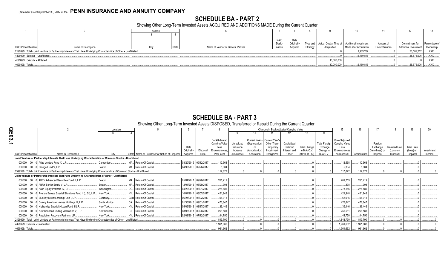# **SCHEDULE BA - PART 2**

Showing Other Long-Term Invested Assets ACQUIRED AND ADDITIONS MADE During the Current Quarter

|                                                            |                                                                                                                      | Location |  |                                   |                       |                   |          |                                                           |                        |              |                       |              |
|------------------------------------------------------------|----------------------------------------------------------------------------------------------------------------------|----------|--|-----------------------------------|-----------------------|-------------------|----------|-----------------------------------------------------------|------------------------|--------------|-----------------------|--------------|
|                                                            |                                                                                                                      |          |  |                                   |                       |                   |          |                                                           |                        |              |                       |              |
|                                                            |                                                                                                                      |          |  |                                   | <b>NAIC</b><br>Desig- | Date<br>Originall |          | Type and   Actual Cost at Time of   Additional Investment |                        | Amount of    | Commitment for        | Percentage o |
| <b>CUSIP</b> Identification                                | Name or Description                                                                                                  |          |  | Name of Vendor or General Partner | nation                | Acquirer          | Strategy | Acquisition                                               | Made after Acquisition | Encumbrances | Additional Investment | Ownership    |
|                                                            | 2199999. Total - Joint Venture or Partnership Interests That Have Underlying Characteristics of Other - Unaffiliated |          |  |                                   |                       |                   |          |                                                           | 1,989,267              |              | $.26,189,212$ .       | XXX          |
| 4499999. Subtotal - Unaffiliated.                          |                                                                                                                      |          |  |                                   |                       |                   |          |                                                           | .6,169,816             |              | .55,575,006           | XXX          |
| 10,000,000<br>4599999. Subtotal - Affiliated               |                                                                                                                      |          |  |                                   |                       |                   |          |                                                           |                        |              |                       | XXX          |
| .55,575,006<br>6,169,816<br>4699999. Totals.<br>10,000,000 |                                                                                                                      |          |  |                                   |                       |                   |          |                                                           |                        |              |                       | .XXX         |

# **SCHEDULE BA - PART 3**<br>Showing Other Long-Term Invested Assets DISPOSED, Transferred or Repaid During the Current Quarter

|                                                                                                                              | Location     |                                               |                          |                       |            |                | Changes in Book/Adjusted Carrying Value |              |                     |                      |                |               |                |               | 19                |            |
|------------------------------------------------------------------------------------------------------------------------------|--------------|-----------------------------------------------|--------------------------|-----------------------|------------|----------------|-----------------------------------------|--------------|---------------------|----------------------|----------------|---------------|----------------|---------------|-------------------|------------|
|                                                                                                                              |              |                                               |                          |                       |            |                |                                         |              |                     |                      |                |               |                |               |                   |            |
|                                                                                                                              |              |                                               |                          | Book/Adjusted         |            |                | Current Year's Current Year's           |              |                     |                      | Book/Adjusted  |               |                |               |                   |            |
|                                                                                                                              |              |                                               |                          | <b>Carrying Value</b> | Unrealized | (Depreciation) | Other-Than-                             | Capitalized  |                     | <b>Total Foreign</b> | Carrying Value |               | Foreian        |               |                   |            |
|                                                                                                                              |              |                                               | Date                     | Less                  | Valuation  | or             | Temporary                               | Deferred     | <b>Total Change</b> | Exchange             | Less           |               | Exchange       | Realized Gain | <b>Total Gain</b> |            |
|                                                                                                                              |              |                                               | Disposal<br>Originally   | Encumbrances          | Increase   | (Amortization) | Impairment                              | Interest and | in B./A.C.V.        | Change in            | Encumbrances   |               | Gain (Loss) on | (Loss) on     | (Loss) on         | Investment |
| Name or Description<br>CUSIP Identification                                                                                  | City         | State Name of Purchaser or Nature of Disposal | Acquired                 | Prior Year            | (Decrease  | / Accretion    | Recognized                              | Other        | $(9+10-11+12)$      | <b>B./A.C.V.</b>     | on Disposal    | Consideration | Disposal       | Disposal      | Disposal          | Income     |
| Joint Venture or Partnership Interests That Have Underlying Characteristics of Common Stocks - Unaffiliated                  |              |                                               |                          |                       |            |                |                                         |              |                     |                      |                |               |                |               |                   |            |
| 000000 00 0 Atlas Venture Fund X, L.P                                                                                        | Cambridge.   | MA Return Of Capital                          | 03/20/2015 09/12/2017    | .112.568              |            |                |                                         |              |                     |                      | .112,568       | .112,568      |                |               |                   |            |
| 000000 00 0 Omega Fund V, L.P                                                                                                | Boston.      | MA Return Of Capital.                         | 04/30/2015 09/26/2017    | 5,304                 |            |                |                                         |              |                     |                      | 5,304          | .5,304        |                |               |                   |            |
| 1599999. Total - Joint Venture or Partnership Interests That Have Underlying Characteristics of Common Stocks - Unaffiliated |              |                                               |                          | 117.872               |            |                |                                         |              |                     |                      | .117.872       | 117.872       |                |               |                   |            |
| Joint Venture or Partnership Interests That Have Underlying Characteristics of Other - Unaffiliated                          |              |                                               |                          |                       |            |                |                                         |              |                     |                      |                |               |                |               |                   |            |
| 000000 00 0 ABRY Advanced Securities Fund II, L.P                                                                            | Boston.      | MA Return Of Capital.                         | 09/28/2017<br>05/04/2011 | .261.719              |            |                |                                         |              |                     |                      | .261,719       | 261,719       |                |               |                   |            |
| 000000 00 0 ABRY Senior Equity V, L.P.                                                                                       | Boston.      | MA Return Of Capital                          | 12/01/2016 08/29/2017    | .398                  |            |                |                                         |              |                     |                      | .398           | .398          |                |               |                   |            |
| 000000 00 0 Acon Equity Partners IV, L.P                                                                                     | Washington.  | DC Return Of Capital                          | 04/22/2016 08/01/2017    | 278,186               |            |                |                                         |              |                     |                      | .278,186       | 278,186       |                |               |                   |            |
| 000000 00 0 Avenue Europe Special Situations Fund II (U.S.), L.P                                                             | New York     | NY Return Of Capital                          | 10/04/2011 08/07/2017    | .421,948              |            |                |                                         |              |                     |                      | .421,948       | .421.948      |                |               |                   |            |
| 000000 00 0 BlueBay Direct Lending Fund I, LP                                                                                | Guernsey     | GBR Return Of Capital                         | 06/25/2013 08/02/2017    | .66.915               |            |                |                                         |              |                     |                      | 66,915         | .66.915       |                |               |                   |            |
| 000000 00 0 Colony American Homes Holdings III, L.P.                                                                         | Santa Monica | CA Return Of Capital                          | 01/30/2013 09/01/2017    | .476.847              |            |                |                                         |              |                     |                      | .476,847       | .476,847      |                |               |                   |            |
| 000000 00 0 Highbridge Specialty Loan Fund III LP.                                                                           | New York     | NY Return Of Capital                          | 05/06/2013 08/17/2017    | .36,446               |            |                |                                         |              |                     |                      | 36,446         | .36,446       |                |               |                   |            |
| 000000 00 0 New Canaan Funding Mezzanine V, L.P.                                                                             | New Canaan.  | CT. Return Of Capital.                        | 09/20/2017<br>08/05/2011 | .256.58'              |            |                |                                         |              |                     |                      | .256,581       | .256,581      |                |               |                   |            |
| 000000 00 0 Resolution Recovery Partners, LP.,                                                                               | New York     | NY Return Of Capital                          | 02/03/2012 07/12/2017    | .44.750               |            |                |                                         |              |                     |                      | .44.750        | .44.750       |                |               |                   |            |
| 2199999. Total - Joint Venture or Partnership Interests That Have Underlying Characteristics of Other - Unaffiliated.        |              |                                               |                          | .1.843.790            |            |                |                                         |              |                     |                      | 1.843.790      | 1.843.790     |                |               |                   |            |
| 4499999. Subtotal - Unaffiliated.                                                                                            |              |                                               |                          | 1.961.662             |            |                |                                         |              |                     |                      | 1,961,662      | 1,961,662     |                |               |                   |            |
| 4699999. Totals                                                                                                              |              |                                               |                          | 1.961.662             |            |                |                                         |              |                     |                      | 1,961,662      | 1,961,662     |                |               |                   |            |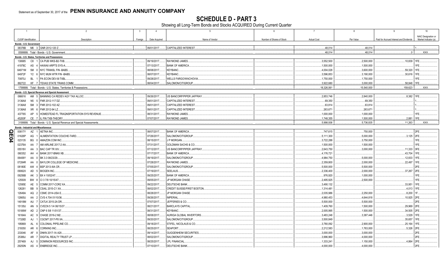**SCHEDULE D - PART 3**<br>Showing all Long-Term Bonds and Stocks ACQUIRED During Current Quarter

|              | $\overline{1}$       |                                                                        | $\overline{2}$                             | $\overline{3}$ | $\overline{4}$             | $5\overline{5}$                              | 6                         | $\overline{7}$     | 8          | 9                                       | 10                   |
|--------------|----------------------|------------------------------------------------------------------------|--------------------------------------------|----------------|----------------------------|----------------------------------------------|---------------------------|--------------------|------------|-----------------------------------------|----------------------|
|              |                      |                                                                        |                                            |                |                            |                                              |                           |                    |            |                                         | NAIC Designation or  |
|              | CUSIP Identification |                                                                        | Description                                | Foreign        | Date Acquired              | Name of Vendor                               | Number of Shares of Stock | <b>Actual Cost</b> | Par Value  | Paid for Accrued Interest and Dividends | Market Indicator (a) |
|              |                      | Bonds - U.S. Government                                                |                                            |                |                            |                                              |                           |                    |            |                                         |                      |
|              |                      | 38378B M6 3 GNR 2012-120 Z.                                            |                                            |                | 09/01/2017.                | <b>CAPITALIZED INTEREST</b>                  |                           | .48.014            | .48,014    |                                         |                      |
|              |                      | 0599999. Total - Bonds - U.S. Government                               |                                            |                |                            |                                              |                           | .48,014            | .48.014    | 0                                       | $\mathsf{XXX}$ .     |
|              |                      | Bonds - U.S. States, Territories and Possessions                       |                                            |                |                            |                                              |                           |                    |            |                                         |                      |
|              | 130685               | C8 1 CA PUB WKS-B2-TXB.                                                |                                            |                | 09/19/2017.                | RAYMOND JAMES.                               |                           | 3.552.500          | .2,500,000 | .10,839 1FE.                            |                      |
|              | 41978C               | AS 4 HAWAII ARPTS SYS-A.                                               |                                            |                | 07/13/2017.                | <b>BANK OF AMERICA</b>                       |                           | 1,500,000          | .1,500,000 |                                         | 1FE.                 |
|              | 64971M               | 5M<br>0 NYC TRANSL FIN-BABS                                            |                                            |                | 08/08/2017.                | <b>KEYBANC.</b>                              |                           | .4,004,028         | .3,600,000 | .59,320                                 | 1FE.                 |
|              | 64972F               | Y2 6 NYC MUN WTR FIN - BABS.                                           |                                            |                | 08/07/2017.                | KEYBANC.                                     |                           | 3,596,853          | .3,190,000 | .30,616                                 | 1FE.                 |
|              | 70870J               | <b>BL</b><br>1 PA ECON DEV-B-TXBL                                      |                                            |                | 09/28/2017.                | <b>WELLS FARGO/WACHOVIA</b>                  |                           | .1,750,000         | .1,750,000 |                                         | IFE.                 |
|              | 882722               | KF 7 TEXAS STATE TRANS COMM                                            |                                            |                | 08/04/2017.                | SALOMON/CITIGROUP.                           |                           | 3,922,680          | .3,000,000 | .58,848                                 | 1FE.                 |
|              |                      | 1799999. Total - Bonds - U.S. States, Territories & Possessions        |                                            |                |                            |                                              |                           | .18,326,061        | 15,540,000 | 159,623                                 | .XXX.                |
|              |                      | Bonds - U.S. Special Revenue and Special Assessment                    |                                            |                |                            |                                              |                           |                    |            |                                         |                      |
|              | 066616               | AM 5 BANNING CA REDEV AGY TAX ALLOC.                                   |                                            |                | 09/26/2017.                | US BANCORP/PIPER JAFFRAY                     |                           | 2,853,746          | .2,840,000 | .8,382 1FE.                             |                      |
|              | 3136A8               | N5 5 FNR 2012-117 DZ.                                                  |                                            |                | 09/01/2017.                | CAPITALIZED INTEREST                         |                           | .69,350            | 69,350     |                                         |                      |
|              | 3136A8               | SM <sub>3</sub><br>FNR 2012-102 AZ.                                    |                                            |                | 09/01/2017.                | <b>CAPITALIZED INTEREST</b>                  |                           | .63,814            | 63,814     |                                         |                      |
|              | 3136A8               | XR 6<br>FNR 2012-94 LZ                                                 |                                            |                | 09/01/2017.                | <b>CAPITALIZED INTEREST</b>                  |                           | .263,67            | 263,671    |                                         |                      |
|              | 437765               | AP                                                                     | 5 HOMESTEAD FL TRAQNSPORTATION SYS REVENUE |                | 08/31/2017.                | RAYMOND JAMES.                               |                           | .1,000,000         | .1,000,000 |                                         | IFE.                 |
|              | 45200F               | CE 7 IL FIN TXB-THEORY                                                 |                                            |                | 07/07/2017.                | RAYMOND JAMES.                               |                           | 1,748,355          | 1,500,000  | 2,881                                   | 1FE.                 |
|              |                      | 3199999. Total - Bonds - U.S. Special Revenue and Special Assessments. |                                            |                |                            |                                              |                           | .5,998,936         | .5,736,835 | .11,263                                 | XXX.                 |
|              |                      | <b>Bonds - Industrial and Miscellaneous</b>                            |                                            |                |                            |                                              |                           |                    |            |                                         |                      |
| O<br>Щ       | 00817Y               | AZ 1 AETNA INC.                                                        |                                            |                | 08/07/2017.                | <b>BANK OF AMERICA</b>                       |                           | 747,615            | 750,000    |                                         | 2FE.                 |
|              | 01626P               | AG<br>ALIMENTATION COUCHE-TARD                                         |                                            |                | 07/26/2017.                | SALOMON/CITIGROUP.                           |                           | 5,111,300          | .5,000,000 | .3,125                                  | 2FE.                 |
| $\mathbf{p}$ | 023135               | BG<br>AMAZON.COM INC.<br>- 0                                           |                                            |                | 08/15/2017.                | J P MORGAN.                                  |                           | .3,722,288         | .3,750,000 |                                         | IFE.                 |
|              | 02376A               | AM AIRLINE 2017-2 AA<br>AA 7                                           |                                            |                | 07/31/2017.                | GOLDMAN SACHS & CO.                          |                           | 1,500,000          | 1,500,000  |                                         | IFE.                 |
|              | 05518V               | AA 3 BAC CAP TR XIV.                                                   |                                            |                | 07/12/2017                 | US BANCORP/PIPER JAFFRAY                     |                           | 2,643,750          | .3,000,000 | .11,333                                 | 3FE.                 |
|              | 060352               | BANK 2017-BNK6 XB.<br>AH<br>$\mathbf{A}$                               |                                            |                | 07/17/2017.                | <b>BANK OF AMERICA.</b>                      |                           | 4,176,721          |            | .43,704                                 | 1FE.                 |
|              | 06406Y               | AA 0<br>BK 3.3 08/23/29.                                               |                                            |                | 09/19/2017.                | SALOMON/CITIGROUP.                           |                           | .4,984,750         | .5,000,000 | .12,833                                 | 1FE.                 |
|              | 07284R               | 0 BAYLOR COLLEGE OF MEDICINE<br>AA                                     |                                            |                | 07/28/2017.                | RAYMOND JAMES.                               |                           | 2,359,800          | .2,000,000 | .22,497                                 | 1FE.                 |
|              | 08180E               | AW 4<br>BSP 2013-IIIA CR.                                              |                                            |                | 07/05/2017.                | SALOMON/CITIGROUP.                           |                           | .5,500,000         | .5,500,000 |                                         | 2FE.                 |
|              | 09062X               | AD<br><b>BIOGEN INC.</b><br>5                                          |                                            |                | 07/19/2017.                | SEELAUS.                                     |                           | 2,336,400          | .2,000,000 | .37,267                                 | 2FE.                 |
|              | 09256B               | AK 3<br>BX 4 10/02/47.                                                 |                                            |                | 09/25/2017                 | <b>BANK OF AMERICA</b>                       |                           | .976,920           | .1,000,000 |                                         | IFE.                 |
|              | 125509               | BW 8   CI 3 7/8 10/15/47.                                              |                                            |                | 09/05/2017.                | JP MORGAN CHASE                              |                           | 2,495,925          | .2,500,000 |                                         | IFE.                 |
|              | 12595E               | AE 5 COMM 2017-COR2 XA                                                 |                                            |                | 09/22/2017.                | DEUTSCHE BANK.                               |                           | 3,490,132          |            | .33,951                                 | 1FE.<br>1FE.         |
|              | 126281               | BB 9 CSAIL 2015-C1 XA.                                                 |                                            |                | 08/02/2017.                | CREDIT SUISSE/FIRST BOSTON.                  |                           | 1,314,481          |            | .4,013                                  |                      |
|              | 12649A               | AQ 2<br><b>CSMC 2014-USA E.</b>                                        |                                            |                | 08/28/2017.                | JP MORGAN CHASE<br>IMPERIAL.                 |                           | 2,035,986          | .2,250,000 | .8,200                                  | 1F.                  |
|              | 12665U               | AA 2   CVS 4.704 01/10/36                                              |                                            |                | 09/26/2017.                |                                              |                           | 4,980,453          | .4,644,818 | 10,925                                  | 2FE.                 |
|              | 14918M               | AU<br>7 CATLK 2015-2A DR.<br>AN                                        |                                            |                | 07/07/2017.                | JEFFERIES & CO.                              |                           | .5,500,000         | 5,500,000  |                                         | 2FE.                 |
|              | 15135U               | 9 CVECN 5 1/4 06/15/37<br>AD<br>$\overline{2}$                         |                                            |                | 08/21/2017.                | <b>BARCLAYS CAPITAL</b>                      |                           | 1,409,760          | .1,500,000 | .29,969                                 | 2FE.                 |
|              | 15189W               | CNP 6 5/8 11/01/37.                                                    |                                            |                | 08/31/2017.                | KEYBANC.                                     |                           | .2,005,995         | 1,500,000  | .34,505                                 | 2FE.                 |
|              | 16164A               | CHASE 2016-2 M2<br>AC 9                                                |                                            |                | 08/08/2017.                | AURIGA GLOBAL INVERTORS                      |                           | 3,483,248          | .3,387,446 | .3,529                                  | 1FE.                 |
|              | 17326D               | AJ<br><b>CGCMT 2017-P8 XA.</b><br>COLONIAL PIPELINE CO.                |                                            |                | 09/20/2017.                | SALOMON/CITIGROUP.                           |                           | 3,500,849          |            | .35,657                                 | 1FE.                 |
|              | 195869               | AL 6                                                                   |                                            |                | 09/18/2017.                | STIFEL, NICOLAUS & CO.                       |                           | 3,780,092          | .2,900,000 | .25,164                                 | 1FE.                 |
|              | 219350               | AR 6<br><b>CORNING INC</b><br>8                                        |                                            |                | 08/25/2017.                | SEAPORT.                                     |                           | 2,212,583          | 1,763,000  | .5,326                                  | 2FE.                 |
|              | 233046               | AF<br>DNKN 2017-1A A2II                                                |                                            |                | 09/14/2017.                | <b>GUGGENHEIM SECURITIES</b>                 |                           | .3,000,000         | 3,000,000  |                                         | 2FE.                 |
|              | 25389J               | AR<br><b>DIGITAL REALTY TRUST LP.</b>                                  |                                            |                | 08/02/2017.                | SALOMON/CITIGROUP.                           |                           | 3,996,960          | .4,000,000 |                                         | 2FE.<br>2FE.         |
|              | 257469<br>29250N     | DOMINION RESOURCES INC<br>AJ<br>- 5<br><b>ENBRIDGE INC</b><br>AS 4     |                                            |                | 08/25/2017.<br>07/10/2017. | <b>LPL FINANCIAL</b><br><b>DEUTSCHE BANK</b> |                           | .1,333,24          | .1,150,000 | .4,864                                  | 2FE.                 |
|              |                      |                                                                        |                                            |                |                            |                                              |                           | .4,000,000         | .4,000,000 |                                         |                      |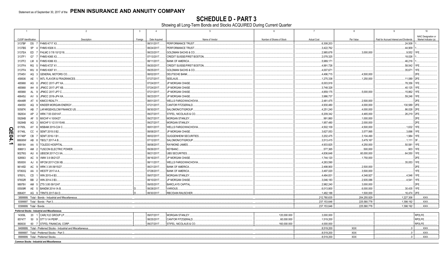**SCHEDULE D - PART 3**<br>Showing all Long-Term Bonds and Stocks ACQUIRED During Current Quarter

|                | $\overline{1}$       |                 | $\overline{2}$                                                    | $\overline{3}$ | $\overline{4}$             | $\overline{5}$                                                      | 6                         | $7\overline{ }$          | 8            | 9                                       | 10                   |
|----------------|----------------------|-----------------|-------------------------------------------------------------------|----------------|----------------------------|---------------------------------------------------------------------|---------------------------|--------------------------|--------------|-----------------------------------------|----------------------|
|                |                      |                 |                                                                   |                |                            |                                                                     |                           |                          |              |                                         | NAIC Designation or  |
|                | CUSIP Identification |                 | Description                                                       | Foreign        | Date Acquired              | Name of Vendor                                                      | Number of Shares of Stock | <b>Actual Cost</b>       | Par Value    | Paid for Accrued Interest and Dividends | Market Indicator (a) |
|                | 3137BF               |                 | DS 7 FHMS K717 X3.                                                |                | 08/31/2017.                | PERFORMANCE TRUST                                                   |                           | .6,308,203               |              | .24,508                                 |                      |
|                | 3137BS               | 5P              | FHMS KS06 X<br>$\mathbf{A}$                                       |                | 08/24/2017.                | PERFORMANCE TRUST                                                   |                           | .3,422,762               | 3,000,000    | .44,909                                 |                      |
|                | 3137EA               | ED              | FHLMC 0 7/8 10/12/18.                                             |                | 08/23/2017.                | GOLDMAN SACHS & CO.                                                 |                           | .2,985,678               |              | .9,552                                  |                      |
|                | 3137F1               |                 | G7 7 FHMS K065 X3.                                                |                | 07/13/2017.                | CREDIT SUISSE/FIRST BOSTON                                          |                           | .2,078,325               |              | 18,026                                  |                      |
|                | 3137F2               | LM 6            | FHMS K066 X3.<br>RG 5 FHMS K727 X1                                |                | 08/11/2017.                | <b>BANK OF AMERICA.</b>                                             |                           | .5,989,171               |              | .46,216                                 |                      |
|                | 3137FA<br>3137FA     |                 | <b>FHMS K067 X1.</b>                                              |                | 09/20/2017.                | <b>CREDIT SUISSE/FIRST BOSTON</b><br><b>GOLDMAN SACHS &amp; CO.</b> |                           | .4,991,726               |              | .58,542                                 |                      |
|                | 37045V               | WU 8            | AQ 3 GENERAL MOTORS CO.                                           |                | 09/25/2017.<br>08/02/2017. | DEUTSCHE BANK                                                       |                           | .4,007,671               | .4,500,000   | .35,671                                 | 2FF                  |
|                | 459506               | AE              | <b>INTL FLAVOR &amp; FRAGRANCES</b>                               |                | 07/27/2017.                | SEELAUS.                                                            |                           | .4,496,715<br>.1,275,338 | .1,250,000   | .11,089                                 | 2FE                  |
|                | 465968               |                 | AG 0 JPMCC 2017-JP7 XA.                                           |                | 07/24/2017.                | JP MORGAN CHASE                                                     |                           | .6,003,918               |              | .78,356                                 | 1FF                  |
|                | 465968               | AH              | 8 JPMCC 2017-JP7 XB.                                              |                | 07/24/2017.                | JP MORGAN CHASE.                                                    |                           | .3,748,328               |              | .40,125                                 | 1FE                  |
|                | 465968               |                 | AL 9 JPMCC 2017-JP7 C.                                            |                | 07/21/2017.                | JP MORGAN CHASE                                                     |                           | 4,859,175                | .5,000,000   | .15,862                                 | 1FF                  |
|                | 46645U               |                 | AV 9 JPMCC 2016-JP4 XA                                            |                | 08/23/2017.                | JP MORGAN CHASE.                                                    |                           | .3,986,737               |              | .59,246                                 |                      |
|                | 49446R               | AT 6            | KIMCO REALTY                                                      |                | 08/01/2017.                | WELLS FARGO/WACHOVIA                                                |                           | .2,481,475               | .2,500,000   |                                         | 2FF                  |
|                | 494550               |                 | AQ 9 KINDER MORGAN ENERGY                                         |                | 07/21/2017.                | CANTOR FITZGERALD.                                                  |                           | .4,930,480               | 4,000,000    | 130,589                                 | 2FE                  |
|                | 50587K               | AB              | <b>LAFARGEHOLCIM FINANCE US</b><br>$\overline{7}$                 |                | 08/30/2017.                | SALOMON/CITIGROUP.                                                  |                           | .4,251,240               | 4,000,000    | .86,028                                 | 2FE                  |
|                | 582834               | AP              | 2 WRK 7.55 03/01/47.                                              |                | 09/27/2017.                | STIFEL, NICOLAUS & CO.                                              |                           | .6,209,342               | .4,465,000   | .26,219 2FE                             |                      |
|                | 59284B               |                 | AF 5 MXCHF 4 10/04/27.                                            |                | 09/27/2017.                | <b>MORGAN STANLEY.</b>                                              |                           | .991,860                 | .1,000,000   |                                         | 2FE                  |
|                | 59284B               |                 | AG 3 MXCHF 5 1/2 01/15/48                                         |                | 09/27/2017.                | <b>MORGAN STANLEY.</b>                                              |                           | 1,957,480                | 2,000,000    |                                         | 2FE.                 |
|                | 61765L               |                 | AY 6 MSBAM 2015-C24 C.                                            |                | 08/01/2017.                | WELLS FARGO/WACHOVIA.                                               |                           | .4,502,109               | 4,500,000    | .1,632                                  | 1FE                  |
| <u>ရ</u>       | 81746L               | CC              | SEMT 2015-3 B2                                                    |                | 08/08/2017.                | JP MORGAN CHASE.                                                    |                           | .3,627,053               | 3,577,995    | .3,696                                  | 1FE                  |
|                | 81746P               | CB              | SEMT 2016-1 B1                                                    |                | 08/02/2017.                | <b>GUGGENHEIM SECURITIES</b>                                        |                           | .3,202,475               | 3,104,490    | .1,984                                  | 1FE                  |
| $\overline{5}$ | 88606W               |                 | AB 8 TBOLT 2017-A B.                                              |                | 07/12/2017.                | SALOMON/CITIGROUP.                                                  |                           | .3,513,415               | 3,479,167    | .1,111                                  | 3F                   |
| د              | 889184               |                 | AA 5   TOLEDO HOSPITAL                                            |                | 08/08/2017.                | RAYMOND JAMES.                                                      |                           | .4,933,825               | .4,250,000   | 50,581                                  |                      |
|                | 898813               |                 | AM 2 TUSCON ELECTRIC POWER                                        |                | 09/26/2017.                | <b>KEYBANC.</b>                                                     |                           | 577,365                  | .500,000     | .903                                    | 1FF                  |
|                | 90276G               | AU              | 6 UBSCM 2017-C3 XA.                                               |                | 08/21/2017.                | UBS SECURITIES.                                                     |                           | .4,836,648               | .60,000,000  | .64,550                                 | 1FE                  |
|                | 928563               | AC              | 9   VMW 3.9 08/21/27.                                             |                | 08/16/2017.                | JP MORGAN CHASE.                                                    |                           | 1,744,120                | .1,750,000   |                                         |                      |
|                | 95000X               | AJ              | WFCM 2017-C39 XB.<br>6                                            |                | 08/11/2017.                | <b>WELLS FARGO/WACHOVIA</b>                                         |                           | .4,263,590               |              | .35,053                                 | 1FE                  |
|                | 96145D               |                 | AC 9 WRK 3 3/8 09/15/27                                           |                | 08/21/2017.                | <b>BANK OF AMERICA</b>                                              |                           | .2,498,900               | .2,500,000   |                                         |                      |
|                | 97063Q               | AA              | <b>WESTF 2017-A A.</b><br>$\Omega$                                |                | 07/28/2017.                | <b>BANK OF AMERICA</b>                                              |                           | .3,497,020               | 3,500,000    |                                         | 1FE.                 |
|                | 97651L               | CD              | WIN 2015-4 B3.                                                    |                | 09/07/2017.                | <b>MORGAN STANLEY.</b>                                              |                           | .4,484,831               | 4,348,927    | .4,546                                  | 1FF                  |
|                | 97652R               | BB <sub>2</sub> | WIN 2014-3 B3.                                                    |                | 08/10/2017.                | JP MORGAN CHASE                                                     |                           | .3,046,183               | 2,935,086    | 4,541                                   |                      |
|                | 98978V               |                 | AM 5 ZTS 3.95 09/12/47                                            |                | 09/05/2017.                | <b>BARCLAYS CAPITAL</b>                                             |                           | .2,982,240               | 3,000,000    |                                         |                      |
|                | 05509R               |                 | AE 5   BANDM 2014-1A B.                                           |                | 08/28/2017.                | VARIOUS.                                                            |                           | .6,013,800               | 0.6,000,000  | .30,435                                 | 1FE.                 |
|                | 89640Y               |                 | AG 9   TRNTS 2017-6A D.                                           |                | 08/30/2017.                | <b>RBC/DAIN RAUSCHER</b>                                            |                           | .1,482,188               | 1,500,000    | 16.474                                  | 2FF                  |
|                |                      |                 | 3899999. Total - Bonds - Industrial and Miscellaneous.            |                |                            |                                                                     |                           | 212,780,635              | 204,255,929  | 1,227,306                               | .XXX.                |
|                |                      |                 | 8399997. Total - Bonds - Part 3                                   |                |                            |                                                                     |                           | .237,153,646             | .225,580,778 | 1,398,192                               | .XXX.                |
|                |                      |                 | 8399999. Total - Bonds.                                           |                |                            |                                                                     |                           | .237,153,646             | .225.580.778 | 1,398,192                               | XXX.                 |
|                |                      |                 | Preferred Stocks - Industrial and Miscellaneous                   |                |                            |                                                                     |                           |                          |              |                                         |                      |
|                | 14309L               |                 | 20 1 CARLYLE GROUP LP.                                            |                | 09/07/2017.                | MORGAN STANLEY.                                                     | 120,000.000               | .3,000,000               |              |                                         | RP2LFE.              |
|                | 857477               |                 | 50 9 STT 5 1/4 PERP.                                              |                | 08/25/2017.                | CANTOR FITZGERALD.                                                  | .60,000.000               | .1,519,200               |              |                                         | RP2LFE.              |
|                | 860630               |                 | 60 7 STIFEL FINANCIAL CORP.                                       |                | 09/27/2017.                | STIFEL, NICOLAUS & CO.                                              | 160,000.000               | .4,000,000               |              | $\Omega$                                | RP2LFE.              |
|                |                      |                 | 8499999. Total - Preferred Stocks - Industrial and Miscellaneous. |                |                            |                                                                     |                           | .8.519.200               | <b>XXX</b>   | 0                                       | .XXX.                |
|                |                      |                 | 8999997. Total - Preferred Stocks - Part 3.                       |                |                            |                                                                     |                           | .8,519,200               | <b>XXX</b>   | 0                                       | XXX.                 |
|                |                      |                 | 8999999. Total - Preferred Stocks.                                |                |                            |                                                                     |                           | .8,519,200               | <b>XXX</b>   |                                         | XXX.                 |

**Common Stocks - Industrial and Miscellaneous**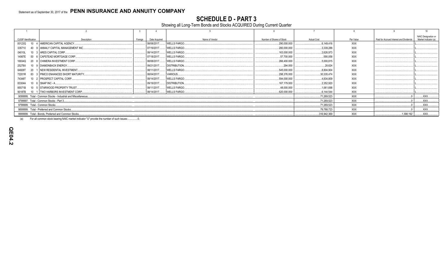**SCHEDULE D - PART 3**<br>Showing all Long-Term Bonds and Stocks ACQUIRED During Current Quarter

|                                                                                  |                                                                |         |               |                      |                           |                    |            |                                         | 10                                          |  |
|----------------------------------------------------------------------------------|----------------------------------------------------------------|---------|---------------|----------------------|---------------------------|--------------------|------------|-----------------------------------------|---------------------------------------------|--|
| CUSIP Identification                                                             | Description                                                    | Foreian | Date Acquired | Name of Vendor       | Number of Shares of Stock | <b>Actual Cost</b> | Par Value  | Paid for Accrued Interest and Dividends | NAIC Designation or<br>Market Indicator (a) |  |
| 00123Q                                                                           | 10 4   AMERICAN CAPITAL AGENCY                                 |         | 08/08/2017.   | <b>WELLS FARGO</b>   | .290,000.000              | 6.149.416          | XXX        |                                         |                                             |  |
| 035710                                                                           | 40 9 ANNALY CAPITAL MANAGEMENT INC                             |         | 07/19/2017.   | <b>WELLS FARGO.</b>  | .280.000.000              | 3,339,288          | XXX        |                                         |                                             |  |
| 04010L                                                                           | 10 3 ARES CAPITAL CORP                                         |         | 08/14/2017.   | <b>WELLS FARGO</b>   | .163,000.000              | 2,626,973          | XXX        |                                         |                                             |  |
| 14067E                                                                           | 50 6 CAPSTEAD MORTGAGE CORP.                                   |         | 07/18/2017.   | <b>WELLS FARGO.</b>  | 57,700.000                | .590.058           | XXX        |                                         |                                             |  |
| 16934Q                                                                           | 20 8 CHIMERA INVESTMENT CORP.                                  |         | 08/08/2017.   | <b>WELLS FARGO.</b>  | .266,400.000              | .5.000.815         | XXX        |                                         |                                             |  |
| 25278X                                                                           | 10 9 DIAMONBACK ENERGY.                                        |         | 09/21/2017.   | <b>DISTRIBUTION.</b> | .294.000                  | 28.624             | XXX        |                                         |                                             |  |
| 64828T<br>20                                                                     | NEW RESIDENTAL INVESTMENT.                                     |         | 08/11/2017.   | <b>WELLS FARGO</b>   | 545.000.000               | .8.804.904         | XXX        |                                         |                                             |  |
| 72201R                                                                           | 83 3 PIMCO ENHANCED SHORT MATURITY.                            |         | 08/04/2017.   | VARIOUS.             | .298,376.000              | .30.335.474        | XXX        |                                         |                                             |  |
| 74348T                                                                           | 10 2 PROSPECT CAPITAL CORP.                                    |         | 08/14/2017.   | <b>WELLS FARGO.</b>  | .594,000.000              | .4.834.809         | XXX        |                                         |                                             |  |
| 83304A                                                                           | 10 6 SNAP INC - A.                                             |         | 09/19/2017.   | <b>DISTRIBUTION.</b> | .167,179.000              | 2.352.920          | <b>XXX</b> |                                         |                                             |  |
| 85571B                                                                           | 10 5 STARWOOD PROPERTY TRUST.                                  |         | 08/11/2017.   | <b>WELLS FARGO.</b>  | 48.000.000                | .1.061.698         | <b>XXX</b> |                                         |                                             |  |
| 90187B                                                                           | 10 1   TWO HARBORS INVESTMENT CORP                             |         | 08/14/2017.   | <b>WELLS FARGO.</b>  | .620,000.000              | .6,144,544         | <b>XXX</b> |                                         |                                             |  |
|                                                                                  | 9099999. Total - Common Stocks - Industrial and Miscellaneous. |         |               |                      |                           | .71.269.523        | XXX        |                                         | .XXX.                                       |  |
|                                                                                  | 9799997. Total - Common Stocks - Part 3                        |         |               |                      |                           | .71,269,523        | XXX        |                                         | XXX.                                        |  |
| <b>XXX</b><br>XXX.<br>.71.269.523<br>9799999. Total - Common Stocks.             |                                                                |         |               |                      |                           |                    |            |                                         |                                             |  |
| XXX<br>79.788.723<br><b>XXX</b><br>9899999. Total - Preferred and Common Stocks. |                                                                |         |               |                      |                           |                    |            |                                         |                                             |  |
|                                                                                  | 9999999. Total - Bonds, Preferred and Common Stocks            |         |               |                      |                           | .316,942,369       | <b>XXX</b> | 1,398,192                               | .XXX                                        |  |

 $(a)$ For all common stock bearing NAIC market indicator "U" provide the number of such issues:................0.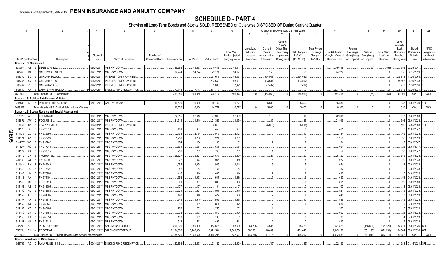|              |           |                             | $\overline{2}$                                                |             | -5                                  |           |                               |            | 9                  | 10                |            |              | Change in Book/Adjusted Carrying Value |                |                      | 16                | 17                      | 18          | 19                | 20               | 21                      | 22            |
|--------------|-----------|-----------------------------|---------------------------------------------------------------|-------------|-------------------------------------|-----------|-------------------------------|------------|--------------------|-------------------|------------|--------------|----------------------------------------|----------------|----------------------|-------------------|-------------------------|-------------|-------------------|------------------|-------------------------|---------------|
|              |           |                             |                                                               |             |                                     |           |                               |            |                    |                   | 11         | 12           | 13                                     |                | 15                   |                   |                         |             |                   |                  |                         |               |
|              |           |                             |                                                               |             |                                     |           |                               |            |                    |                   |            |              |                                        |                |                      |                   |                         |             |                   |                  |                         |               |
|              |           |                             |                                                               |             |                                     |           |                               |            |                    |                   |            |              | Current<br>Year's                      |                |                      |                   |                         |             |                   | Bond<br>Interest |                         |               |
|              |           |                             |                                                               |             |                                     |           |                               |            |                    |                   | Unrealized | Current      | Other-Than-                            |                | <b>Total Foreigr</b> |                   | Foreign                 |             |                   | Stock            | Stated                  | <b>NAIC</b>   |
|              |           |                             |                                                               |             |                                     |           |                               |            |                    | <b>Prior Year</b> | Valuation  | Year's       | Temporary                              | Total Change i | Exchange             | Book/Adjusted     | Exchange                | Realized    | <b>Total Gain</b> | Dividends        | Contractual             | Designation   |
|              |           |                             |                                                               | Disposal    |                                     | Number of |                               |            |                    | Book/Adjusted     | Increase   | Amortization | Impairment                             | B./A.C.V.      | Change in            | Carrying Value at | Gain (Loss)             | Gain (Loss) | (Loss) on         | Received         | Maturity                | or Market     |
|              |           | <b>CUSIP</b> Identification | Description                                                   | Date        | Name of Purchaser                   |           | Shares of Stock Consideration | Par Value  | <b>Actual Cost</b> | Carrying Value    | (Decrease) | / Accretion  | Recognized                             | $(11+12-13)$   | B./A.C.V.            | Disposal Date     | on Disposal on Disposal |             | Disposal          | During Year      | Date                    | Indicator (a) |
|              |           | Bonds - U.S. Government     |                                                               |             |                                     |           |                               |            |                    |                   |            |              |                                        |                |                      |                   |                         |             |                   |                  |                         |               |
|              | 30250W    | AB                          | SSGN 2010-S2 2A.                                              | 09/29/2017  | <b>MBS PAYDOWN</b>                  |           | .49,363                       | 49,363     | .49,418            | .49,418           |            |              |                                        |                |                      | .49,418           |                         | (55)        | (55)              |                  | .951 07/29/2047.        |               |
|              | 36296Q    | <b>RJ</b>                   | GNSF POOL 698089.                                             | 09/01/2017  | MBS PAYDOWN.                        |           | .24,274                       | .24,274    | .23,124            | .24,121           |            | .153         |                                        | 153            |                      | .24,274           |                         |             |                   | .656             | 04/15/2039.             |               |
|              | 38375U    | <b>SC</b>                   | GNR 2014-H22 CI                                               | 09/29/201   | NTEREST ONLY PAYMENT                |           |                               |            | .61,673            | .54,033           |            | (54, 033)    |                                        | (54, 033)      |                      |                   |                         |             |                   | .5,814           | 11/20/2064              |               |
|              | 38378N    | XK                          | GNR 2014-17 IO.                                               | 09/29/201   | NTEREST ONLY PAYMENT                |           |                               |            | .203,559           | .93,597           |            | (93, 597)    |                                        | (93, 597)      |                      |                   |                         |             |                   | .35,692          | 06/16/2048.             |               |
|              | 38378X    | PE<br>-5                    | GNR 2014-135 IO.                                              | 09/29/201   | NTEREST ONLY PAYMENT                |           |                               |            | .9,630             | 7,492             |            | (7, 492)     |                                        | (7, 492)       |                      |                   |                         |             |                   | .918             | 01/16/2056.             |               |
|              | 805649    | AA                          | <b>EXIM - SAYARRA LTD</b>                                     | 07/29/2017  | SINKING FUND REDEMPTION             |           | .277,713                      | .277,713   | .277,713           | .277,713          |            |              |                                        |                |                      | .277,713          |                         |             |                   | .5,875           | 10/29/2021              |               |
| 0599999      |           |                             | Total - Bonds - U.S. Governmen                                |             |                                     |           | .351.350                      | .351,350   | .625,117           | .506,374          |            | (154,969)    | $0$ .                                  | (154, 969)     |                      | .351,405          | $\Omega$                | (55)        | (55)              | .49,906          | XXX                     | <b>XXX</b>    |
|              |           |                             | Bonds - U.S. Political Subdivisions of States                 |             |                                     |           |                               |            |                    |                   |            |              |                                        |                |                      |                   |                         |             |                   |                  |                         |               |
|              | 717883    |                             | KL 5 PHILADELPHIA SD-BABS                                     |             | 08/17/2017. CALL at 165.295         |           | .16,530                       | 10,000     | 10,752             | .10,727           |            | .5,803       |                                        | .5,803         |                      | .16,530           |                         |             |                   | .338             | 06/01/2040.             | 1FE.          |
| 2499999      |           |                             | Total - Bonds - U.S. Political Subdivisions of States.        |             |                                     |           | 16,530                        | .10.000    | .10,752            | .10,727           |            | .5,803       |                                        | .5,803         |                      | .16,530           |                         |             |                   | .338             | <b>XXX</b>              | <b>XXX</b>    |
|              |           |                             | Bonds - U.S. Special Revenue and Special Assessment           |             |                                     |           |                               |            |                    |                   |            |              |                                        |                |                      |                   |                         |             |                   |                  |                         |               |
|              | 3128PK    | WJ<br>9                     | <b>FGCI J07849</b>                                            | 09/01/2017. | MBS PAYDOWN.                        |           | .22,615                       | .22,615    | .21,965            | .22,499           |            | 116          |                                        | 116            |                      | .22,615           |                         |             |                   |                  | .677 05/01/2023.        |               |
| 3128PL       |           | AW                          | <b>FGCI J08121</b>                                            | 09/01/2017  | MBS PAYDOWN.                        |           | .21,519                       | .21,519    | .21,366            | .21,479           |            | 39           |                                        | 39             |                      | .21,519           |                         |             |                   | .693             | 06/01/2023.             |               |
|              | 3136AT    | X2                          | FNA 2016-M10 X                                                | 09/29/201   | NTEREST ONLY PAYMENT                |           |                               |            | .5,615             |                   |            | (5,615)      |                                        | (5,615)        |                      |                   |                         |             |                   | 196              | 07/25/2028.             |               |
|              | 31412B    | DS                          | FN 920013                                                     | 09/01/201   | MBS PAYDOWN.                        |           | .461                          | 461        | 458                | 461               |            |              |                                        |                |                      | .461              |                         |             |                   | .18              | 10/01/2047              |               |
| <u>ရ</u>     | 31412M    | 2X                          | N 929690                                                      | 09/01/201   | <b>MBS PAYDOWN.</b>                 |           | .2,134                        | .2,134     | .2,075             | .2,123            |            | .10          |                                        | .10            |                      | .2,134            |                         |             |                   | 65               | 07/01/2023.             |               |
| 31412T<br>90 |           | AZ                          | FN 933924                                                     | 09/01/201   | MBS PAYDOWN.                        |           | .1,258                        | .1,258     | .1,224             | .1,253            |            |              |                                        |                |                      | 1,258             |                         |             |                   | .36              | 05/01/2023.             |               |
|              | 31412W    | WB                          | FN 937242.                                                    | 09/01/201   | MBS PAYDOWN.                        |           | 184                           | .184       | 183                | 183               |            |              |                                        |                |                      | .184              |                         |             |                   |                  | 05/01/2047              |               |
|              | 31412W    | <b>WC</b>                   | FN 937243                                                     | 09/01/201   | MBS PAYDOWN.                        |           | .661                          | .661       | .655               | .661              |            |              |                                        |                |                      | 661               |                         |             |                   | 26               | 05/01/2047              |               |
|              | 31412X    | K4                          | N 937815.                                                     | 09/01/201   | MBS PAYDOWN.                        |           | .752                          | .752       | .746               | .752              |            |              |                                        |                |                      | 752               |                         |             |                   | .30              | 06/01/2047              |               |
|              | 31414E    | 2V                          | FNCI 964388                                                   | 09/01/201   | MBS PAYDOWN.                        |           | .25,827                       | .25,827    | .25,677            | .25,800           |            | .27          |                                        | .27            |                      | .25,827           |                         |             |                   | .858             | 07/01/2023.             |               |
|              | 31414L    | C4                          | N 96909 <sup>.</sup>                                          | 09/01/201   | MBS PAYDOWN.                        |           | 972                           | .972       | 945                | .966              |            |              |                                        |                |                      | .972              |                         |             |                   | . 29             | 04/01/2023.             |               |
|              | 31414M    | BH                          | FN 969940                                                     | 09/01/201   | MBS PAYDOWN.                        |           | .1,054                        | .1,054     | .1,025             | .1,048            |            |              |                                        |                |                      | 1,054             |                         |             |                   | .31              | 03/01/2023.             |               |
|              | 31414R LG |                             | FN 973827                                                     | 09/01/201   | MBS PAYDOWN.                        |           | .52                           | .52        | 51                 | .52               |            |              |                                        |                |                      | .52               |                         |             |                   |                  | 03/01/2023.             |               |
|              | 31414R    | <b>NV</b>                   | FN 973904                                                     | 09/01/201   | MBS PAYDOWN.                        |           | .416                          | .416       | .405               | .414              |            |              |                                        |                |                      | .416              |                         |             |                   | .13              | 04/01/2023.             |               |
|              | 31414S    | AA                          | FN 974401                                                     | 09/01/201   | MBS PAYDOWN.                        |           | 1,693                         | .1,693     | .1,647             | 1,685             |            |              |                                        |                |                      | 1,693             |                         |             |                   | 51               | 04/01/2023.             |               |
|              | 31414U    | G3                          | FN 976418                                                     | 09/01/201   | MBS PAYDOWN.                        |           | .861                          | .861       | .838               | .858              |            |              |                                        |                |                      | 861               |                         |             |                   | 26               | 03/01/2023.             |               |
|              | 31415B    | AE                          | FN 981605                                                     | 09/01/201   | MBS PAYDOWN.                        |           | 107                           | .107       | .104               | .107              |            |              |                                        |                |                      | .107              |                         |             |                   |                  | 06/01/2023.             |               |
|              | 31415C    | ND                          | FN 982888                                                     | 09/01/201   | MBS PAYDOWN.                        |           | .521                          | .521       | .507               | 519               |            |              |                                        |                |                      | 521               |                         |             |                   | .16              | 05/01/2023.             |               |
|              | 31415P    | AE                          | FN 984805                                                     | 09/01/201   | MBS PAYDOWN.                        |           | .440                          | .440       | 427                | 438               |            |              |                                        |                |                      | .440              |                         |             |                   | .13              | 06/01/2023.             |               |
|              | 31415P    | AR                          | FN 984816                                                     | 09/01/201   | MBS PAYDOWN.                        |           | 1,549                         | 1,549      | .1,506             | 1,538             |            | 10           |                                        | .10            |                      | 1,549             |                         |             |                   | .46              | 06/01/2023.             |               |
|              | 31415P    | WA                          | FN 98544                                                      | 09/01/201   | MBS PAYDOWN.                        |           | .632                          | .632       | .614               | .629              |            |              |                                        |                |                      | 632               |                         |             |                   | 19               | 07/01/2023.             |               |
|              | 31415P    | XP                          | FN 985486                                                     | 09/01/201   | <b>MBS PAYDOWN.</b>                 |           | 263                           | .263       | .255               | .262              |            |              |                                        |                |                      | .263              |                         |             |                   |                  | 07/01/2023.             |               |
|              | 31415Q    | BX                          | FN 985754                                                     | 09/01/201   | <b>MBS PAYDOWN.</b>                 |           | 903                           | .903       | .879               | .900              |            |              |                                        |                |                      | .903              |                         |             |                   | .25              | 06/01/2023.             |               |
|              | 31415Q    | E8                          | FN 985859                                                     | 09/01/201   | <b>MBS PAYDOWN.</b>                 |           | 133                           | .133       | .130               | .133              |            |              |                                        |                |                      | .133              |                         |             |                   |                  | 07/01/2023.             |               |
|              | 31415R    | 4B                          | FN 987418                                                     | 09/01/201   | <b>MBS PAYDOWN.</b>                 |           | .513                          | 513        | .499               | 511               |            |              |                                        |                |                      | .513              |                         |             |                   | 15               | 06/01/2023.             |               |
|              | 74529J    | AC<br>-9                    | PR S/TAX-SER B                                                | 08/01/201   | SALOMON/CITIGROUP.                  |           | .806,000                      | 1,300,000  | .953,876           | .903,500          | .63,725    | 4,596        |                                        | .68,321        |                      | .971,821          |                         | (165, 821)  | (165, 821)        | .32,771          | 08/01/2036. 6FE.        |               |
|              | 74529J    | <b>FU</b>                   | PR S/TAX-A                                                    | 08/01/2017  | SALOMON/CITIGROUP                   |           | .2,294,000                    | .3,700,000 | .2,871,534         | 2,543,750         | .382,951   | 18,489       |                                        | .401,440       |                      | .2,945,190        |                         | (651, 190)  | (651, 190)        | .94,504          | 08/01/2030.             | 6FE.          |
|              | 3199999.  |                             | Total - Bonds - U.S. Special Revenue and Special Assessments. |             |                                     |           | .3,185,520                    | .5,085,520 | .3,915,206         | .3,532,521        | .446,676   | .17,716      |                                        | .464,392       |                      | 4,002,531         |                         | (817, 011)  | . (817, 011)      | 130,182          | XXX                     | XXX           |
|              |           |                             | <b>Bonds - Industrial and Miscellaneous</b>                   |             |                                     |           |                               |            |                    |                   |            |              |                                        |                |                      |                   |                         |             |                   |                  |                         |               |
|              |           |                             | 023766 AD 0 AM AIRLINE 13-1 B                                 |             | 07/15/2017. SINKING FUND REDEMPTION |           | .22,893                       | .22.893    | .23,122            | .22,929           |            | (35)         |                                        | (35)           |                      | .22,893           |                         |             |                   |                  | .1,288 01/15/2021. 3FE. |               |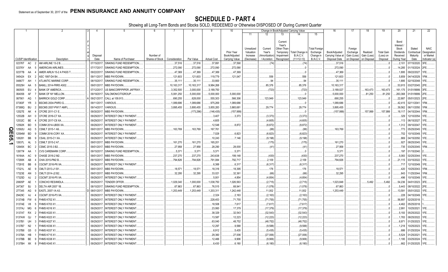|     |                             |                |                                                     |                        |                                          |                              |                    |                    | 9                            | 10                                 |                                     |                                    | Change in Book/Adjusted Carrying Value                      |                                                         |                                                                   | 16                                 | 17                                 | 18                      | 19                             | 20                                                   | 21                                | 22                                      |
|-----|-----------------------------|----------------|-----------------------------------------------------|------------------------|------------------------------------------|------------------------------|--------------------|--------------------|------------------------------|------------------------------------|-------------------------------------|------------------------------------|-------------------------------------------------------------|---------------------------------------------------------|-------------------------------------------------------------------|------------------------------------|------------------------------------|-------------------------|--------------------------------|------------------------------------------------------|-----------------------------------|-----------------------------------------|
|     |                             |                |                                                     |                        |                                          |                              |                    |                    |                              |                                    | 11                                  |                                    | 13                                                          | 14                                                      | 15                                                                |                                    |                                    |                         |                                |                                                      |                                   |                                         |
|     | <b>CUSIP</b> Identification |                |                                                     | Disposal<br>Date       | Name of Purchaser                        | Number of<br>Shares of Stock | Consideration      |                    |                              | <b>Prior Year</b><br>Book/Adjusted | Unrealized<br>Valuation<br>Increase | Current<br>Year's<br>Amortization) | Current<br>Year's<br>Other-Than-<br>Temporary<br>Impairment | <b>Total Change</b><br><b>B./A.C.V.</b><br>$(11+12-13)$ | <b>Total Foreign</b><br>Exchange<br>Change in<br><b>B./A.C.V.</b> | Book/Adjusted<br>Carrying Value at | Foreign<br>Exchange<br>Gain (Loss) | Realized<br>Gain (Loss) | <b>Total Gain</b><br>(Loss) on | Bond<br>Interest /<br>Stock<br>Dividends<br>Received | Stated<br>Contractual<br>Maturity | <b>NAIC</b><br>Designation<br>or Market |
|     |                             | AC             | Description<br>AM AIRLINE 13-2 B.<br>$\overline{2}$ | 07/15/2017             | SINKING FUND REDEMPTION                  |                              | .37,516            | Par Value          | <b>Actual Cost</b><br>37,891 | Carrying Value                     | (Decrease)                          | Accretion                          | Recognized                                                  |                                                         |                                                                   | Disposal Date                      | on Disposal                        | on Disposal             | Disposal                       | During Year                                          | Date                              | Indicator (a)<br>3FE.                   |
|     | 02376T<br>02376Y            | AA             | <b>IMERICAN AIRLINES.</b>                           | 07/17/201              | SINKING FUND REDEMPTION                  |                              |                    | .37,516            |                              | .37,590                            |                                     | (74)                               |                                                             | .(74                                                    |                                                                   | 37,516                             |                                    |                         | . 0                            | 2,101                                                | 07/15/2020.                       | 2FE                                     |
|     |                             |                |                                                     |                        |                                          |                              | 272,090            | .272,090           | .272,090                     | .272,090                           |                                     |                                    |                                                             |                                                         |                                                                   | 272,090                            |                                    |                         | . 0                            | .14,285                                              | 01/15/2024.                       |                                         |
|     | 02377B                      | AA             | AMER AIRLN 15-2 A PASS T<br>ASC 1997-D4 B4.         | 09/22/201<br>09/11/201 | SINKING FUND REDEMPTION.                 |                              | .47,369            | .47,369            | .47,369                      | .47,369                            |                                     | 556                                |                                                             | .556                                                    |                                                                   | .47,369                            |                                    |                         | . 0                            | .1,895<br>5,859                                      | 09/22/2027.                       | 1FE.<br>1FM.                            |
|     | 045424<br>048677            | EX<br>AH       | ATLANTIC MARINE CORP                                | 08/15/201              | MBS PAYDOWN.<br>SINKING FUND REDEMPTION. |                              | .121,603<br>.35,11 | 121,603<br>.35,111 | .119,779<br>.33,800          | .121,047                           |                                     | 94                                 |                                                             | .94                                                     |                                                                   | 121,603<br>.35,111                 |                                    |                         | . (<br>. 0                     |                                                      | 04/14/2029.<br>.1,895 02/15/2048. | 1FE.                                    |
|     | 05525H                      | AA             | BAMLL 2014-FRR5 A502.                               | 09/01/20               | MBS PAYDOWN                              |                              | .10,163,31         | 10,163,317         | .9,984,268                   |                                    |                                     | .85,376                            |                                                             | 85,376                                                  |                                                                   | 10,163,317                         |                                    |                         |                                | .53,915                                              | 03/27/2045. 2FE.                  |                                         |
|     | 060505                      | EU             | <b>BANK OF AMERICA.</b>                             | 07/12/201              | US BANCORP/PIPER JAFFRAY.                |                              | .3,352,500         | .3,000,000         | .3,189,750                   |                                    |                                     | (723)                              |                                                             | (723)                                                   |                                                                   | .3,189,027                         |                                    | 163,473                 | .163,473                       |                                                      | .161,175 01/01/9999.              | 3FE.                                    |
|     | 064058                      | AF             | BANK OF NY MELLON.                                  | 09/19/20               | SALOMON/CITIGROUP.                       |                              | .5,081,250         | .5,000,000         | .5,000,000                   | .5,000,000                         |                                     |                                    |                                                             |                                                         |                                                                   | .5,000,000                         |                                    | 81,250                  | .81,250                        | .263,368                                             | 01/01/9999. 2FE.                  |                                         |
|     | 067901                      | AQ             | <b>BARRICK GOLD CORP.</b>                           | 09/21/201              | CALL at 109.913                          |                              | 690,255            | .628,000           | 555,303                      | .566,306                           |                                     | .123,949                           |                                                             | 123,949                                                 |                                                                   | 690,255                            |                                    |                         |                                | .22,887                                              | 05/01/2023.                       | 2FE.                                    |
|     | 07383F                      | <b>YR</b>      | BSCMS 2004-PWR3 G                                   | 09/11/201              | VARIOUS.                                 |                              | 1,089,686          | .1,089,686         | .975,269                     | .1,089,686                         |                                     |                                    |                                                             |                                                         |                                                                   | .1,089,686                         |                                    |                         |                                | .42,415                                              | 02/11/2041                        | 1FM.                                    |
|     | 07388Q                      | BU             | BSCMS 2007-PW17 AMFL                                | 09/14/201              | <b>VARIOUS.</b>                          |                              | .3,895,455         | .3,895,455         | .3,855,283                   | .3,865,681                         |                                     | .29,774                            |                                                             | 29,774                                                  |                                                                   | .3,895,455                         |                                    |                         |                                | .39,562                                              | 06/11/2050                        | 1FM.                                    |
|     | 12527E                      | AK             | CFCRE 2011-C1 E.                                    | 09/30/201              | MBS PAYDOWN.                             |                              |                    | (173, 296)         | (146, 435)                   | .(157,999)                         |                                     |                                    |                                                             |                                                         |                                                                   | (157,999)                          |                                    | 157,999                 | 157,999                        |                                                      | .18,117 04/15/2044.               | 1FM.                                    |
|     | 12532B                      | AH             | CFCRE 2016-C7 XA                                    | 09/29/201              | INTEREST ONLY PAYMENT.                   |                              |                    |                    | .3,407                       | .3,373                             |                                     | (3,373)                            |                                                             | (3,373)                                                 |                                                                   |                                    |                                    |                         |                                |                                                      | 329 12/10/2054.                   | 1FE.                                    |
|     | 12532C                      | <b>BE</b>      | CFCRE 2017-C8 XA.                                   | 09/29/201              | INTEREST ONLY PAYMENT.                   |                              |                    |                    | .4,605                       |                                    |                                     | (4,605)                            |                                                             | (4,605)                                                 |                                                                   |                                    |                                    |                         |                                |                                                      | .113 06/15/2027.                  | 1FE.                                    |
|     | 12592K                      | <b>BD</b>      | COMM 2014-UBS5 XA                                   | 09/29/201              | INTEREST ONLY PAYMENT.                   |                              |                    |                    | 12,548                       | .8,872                             |                                     | (8,872)                            |                                                             | (8, 872)                                                |                                                                   |                                    |                                    |                         | . 0                            |                                                      | 1,312 09/10/2047.                 | 1FE.                                    |
| Q   | 12592U                      | AQ             | CSMLT 2015-1 A9.                                    | 09/01/201              | <b>MBS PAYDOWN</b>                       |                              | .163,769           | 163,769            | 167,761                      |                                    |                                     | (88)                               |                                                             | (88)                                                    |                                                                   | .163,769                           |                                    |                         |                                |                                                      | .773 05/25/2045.                  | 1FE.                                    |
| Ш   | 12594M                      | <b>BD</b>      | COMM 2016-COR1 XA                                   | 09/29/201              | INTEREST ONLY PAYMENT.                   |                              |                    |                    | 7,028                        | .6,823                             |                                     | (6,823)                            |                                                             | (6, 823)                                                |                                                                   |                                    |                                    |                         |                                |                                                      | 702 10/10/2049.                   | 1FE.                                    |
| 0   | 126281                      | <b>BB</b>      | <b>CSAIL 2015-C1 XA</b>                             | 09/29/20               | INTEREST ONLY PAYMENT.                   |                              |                    |                    | 10,243                       | 7,146                              |                                     | (9, 198)                           |                                                             | (9, 198)                                                |                                                                   |                                    |                                    |                         |                                | 869                                                  | 04/15/2050.                       | 1FE.                                    |
| p.1 | 12637L                      | <b>AL</b>      | CSMLT 2015-2 A7                                     | 09/01/201              | MBS PAYDOWN.                             |                              | .161,270           | 161,270            | 165,201                      |                                    |                                     | (175)                              |                                                             | (175)                                                   |                                                                   | .161,270                           |                                    |                         |                                | .927                                                 | 08/25/2045.                       | 1FE.                                    |
|     | 12649X                      | <b>BC</b>      | CSMC 2015-3 B2.                                     | 09/01/201              | MBS PAYDOWN.                             |                              | 27,958             | .27,958            | .28,290                      | .28,000                            |                                     | (41)                               |                                                             | (41)                                                    |                                                                   | .27,958                            |                                    |                         | . (                            | .735                                                 | 03/25/2045.                       | 1FM.                                    |
|     | 12677#                      | AA             | CVS CAREMARK CORP.                                  | 09/15/201              | SINKING FUND REDEMPTION.                 |                              | .5,371             | .5,371             | .5,371                       | 5,371                              |                                     |                                    |                                                             |                                                         |                                                                   | .5,371                             |                                    |                         |                                | 197                                                  | 01/15/2040                        |                                         |
|     | 16164A                      | AC             | CHASE 2016-2 M2.                                    | 09/01/201              | MBS PAYDOWN.                             |                              | .237,270           | .237,270           | .243,638                     | 199,148                            |                                     | (430)                              |                                                             | (430)                                                   |                                                                   | .237,270                           |                                    |                         | . (                            | .5,083                                               | 02/25/2044.                       | 1FE.                                    |
|     | 17290K                      | AB             | CHAI 2015-PM2 B.                                    | 09/15/201              | MBS PAYDOWN.                             |                              | .794,826           | 794,826            | .791,084                     | .792,717                           |                                     | .2,109                             |                                                             | .2,109                                                  |                                                                   | 794,826                            |                                    |                         | . (                            | 21,115                                               | 03/15/2022.                       | 1FE.                                    |
|     | 17291E                      | BB             | CGCMT 2016-P6 XA                                    | 09/29/201              | INTEREST ONLY PAYMENT.                   |                              |                    |                    | 6,388                        | .6,317                             |                                     | (6,317)                            |                                                             | (6, 317)                                                |                                                                   |                                    |                                    |                         | 0                              | .717                                                 | 12/10/2049.                       | 1FE.                                    |
|     | 17321L                      | AE             | CMLTI 2013-J1 B1                                    | 09/01/201              | MBS PAYDOWN.                             |                              | 18,571             | 18,571             | .18,316                      | .18,395                            |                                     | .176                               |                                                             | 176                                                     |                                                                   | 18,571                             |                                    |                         | . 0                            | 420                                                  | 10/25/2043.                       | 1FM.                                    |
|     | 17323E                      | AN             | CMLTI 2014-J2 B2.                                   | 09/01/201              | MBS PAYDOWN.                             |                              | .32,295            | 32,295             | .33,021                      | .32,361                            |                                     | (66)                               |                                                             | (66)                                                    |                                                                   | .32,295                            |                                    |                         | 0                              | .843                                                 | 1/25/2044.                        | 1FM.                                    |
|     | 17325D                      | AJ             | CGCMT 2016-P5 XA.                                   | 09/29/20               | INTEREST ONLY PAYMENT.                   |                              |                    |                    | .5,001                       | .4,854                             |                                     | (4,854)                            |                                                             | (4,854)                                                 |                                                                   |                                    |                                    |                         |                                | 496                                                  | 10/10/2049.                       | 1FE.                                    |
|     | 20605P                      | AE             | CONCHO RES/MIDLA                                    | 09/25/20               | TENDER OFFER.                            |                              | 1,029,340          | 1,000,000          | 1,038,750                    | 1,026,563                          |                                     | (2,715)                            |                                                             | (2,715)                                                 |                                                                   | .1,023,848                         |                                    | .5,492                  | .5,492                         | .54,236                                              | 04/01/2023.                       | 3FE.                                    |
|     | 247367                      | BJ             | DELTA AIR 2007 1B.                                  | 08/10/20               | SINKING FUND REDEMPTION.                 |                              | .67,863            | 67,863             | 76,515                       | 68,941                             |                                     | (1,078)                            |                                                             | (1,078)                                                 |                                                                   | 67,863                             |                                    |                         |                                | 5,443                                                | 08/10/2022.                       | 2FE.                                    |
|     | 277345                      | AG             | EASTL 2007-1A A3                                    | 08/01/20               | MBS PAYDOWN                              |                              | .1,253,449         | .1,253,449         | 1,203,311                    | .1,242,448                         |                                     | .11,002                            |                                                             | .11,002                                                 |                                                                   | .1,253,449                         |                                    |                         | (                              | 13,591                                               | 05/01/2022.                       | 1FE.                                    |
|     | 29429C                      | - AJ           | CGCMT 2016-P3 XA.                                   | 09/29/20               | INTEREST ONLY PAYMENT.                   |                              |                    |                    | 2,324                        | 2,163                              |                                     | (2, 163)                           |                                                             | (2, 163)                                                |                                                                   |                                    |                                    |                         |                                | .228                                                 | 04/15/2049.                       | 1FE.                                    |
|     | 3137AB                      | FW             | <b>FHMS K702 X1</b>                                 | 09/29/20               | INTEREST ONLY PAYMENT.                   |                              |                    |                    | .228,453                     | 71,755                             |                                     | (71, 755)                          |                                                             | (71, 755)                                               |                                                                   |                                    |                                    |                         |                                | .56,897                                              | 02/25/2018.                       |                                         |
|     | 3137AE V8                   |                | HMS K703 X1                                         | 09/29/20               | INTEREST ONLY PAYMENT.                   |                              |                    |                    | .18,508                      | .7,617                             |                                     | (7,617)                            |                                                             | (7,617)                                                 |                                                                   |                                    |                                    |                         |                                | .4,462                                               | 05/25/2018.                       |                                         |
|     | 3137AJ                      | MG             | <b>HMS K016 X1</b>                                  | 09/29/201              | INTEREST ONLY PAYMENT.                   |                              |                    |                    | .23,993                      | .17,379                            |                                     | (17,379)                           |                                                             | (17, 379)                                               |                                                                   |                                    |                                    |                         |                                | .2,991                                               | 10/25/2021.                       | 1FE.                                    |
|     | 3137AT RX                   |                | FHMS K020 X1                                        | 09/29/201              | INTEREST ONLY PAYMENT.                   |                              |                    |                    | .38,329                      | .32,543                            |                                     | (32, 543)                          |                                                             | (32, 543)                                               |                                                                   |                                    |                                    |                         |                                | 5,193                                                | 05/25/2022.                       | 1FE.                                    |
|     | 3137AW QJ                   |                | <b>FHMS K023 X1</b>                                 | 09/29/201              | INTEREST ONLY PAYMENT.                   |                              |                    |                    | .13,587                      | .12,223                            |                                     | (12,223)                           |                                                             | (12, 223)                                               |                                                                   |                                    |                                    |                         | . 0                            |                                                      | .1,783 08/25/2022.                | 1FE.                                    |
|     | 3137B1                      | UH             | FHMS K027 X                                         | 09/29/20               | INTEREST ONLY PAYMENT.                   |                              |                    |                    | .63,040                      | .48,752                            |                                     | (48, 752)                          |                                                             | (48, 752)                                               |                                                                   |                                    |                                    |                         |                                | .6,971                                               | 01/25/2023.                       | 1FE.                                    |
|     | 3137B7                      | N2             | FHMS K036 X <sup>*</sup>                            | 09/29/201              | INTEREST ONLY PAYMENT.                   |                              |                    |                    | 12,297                       | .9,588                             |                                     | (9,588)                            |                                                             | (9,588)                                                 |                                                                   |                                    |                                    |                         |                                |                                                      | .1,218 10/25/2023.                | 1FE.                                    |
|     | 3137B8                      | G <sub>5</sub> | FHMS K037 X1                                        | 09/29/20               | INTEREST ONLY PAYMENT.                   |                              |                    |                    | .6,912                       | .5,435                             |                                     | (5, 435)                           |                                                             | (5, 435)                                                |                                                                   |                                    |                                    |                         |                                | .686                                                 | 01/25/2024.                       | 1FE.                                    |
|     | 3137BA                      | HB             | <b>FHMS K715 X1</b>                                 | 09/29/201              | INTEREST ONLY PAYMENT.                   |                              |                    |                    | .29,360                      | .27,006                            |                                     | (27,006)                           |                                                             | (27,006)                                                |                                                                   |                                    |                                    |                         |                                | .5,524                                               | 01/25/2021.                       | 1FE.                                    |
|     | 3137BB                      | BE             | <b>FHMS K038 X1</b>                                 | 09/29/201              | INTEREST ONLY PAYMENT.                   |                              |                    |                    | 12,466                       | .9,906                             |                                     | (9,906)                            |                                                             | (9,906)                                                 |                                                                   |                                    |                                    |                         |                                | 1,195                                                | 03/25/2024.                       | 1FE.                                    |
|     | 3137BH                      | XK             | FHMS K045 X1<br>-8                                  | 09/29/2011             | INTEREST ONLY PAYMENT.                   |                              |                    |                    | 6,430                        | .6,180                             |                                     | (6, 180)                           |                                                             | (6, 180)                                                |                                                                   |                                    |                                    |                         |                                | 662                                                  | 01/25/2025. 1FE.                  |                                         |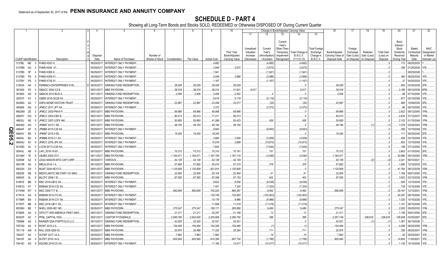|                      |                             |                | 2                                         | 4                      | -5                            | 6               | 7                    | -8                   | 9                  | 10                          |                                     |                                   |                                                            | Change in Book/Adjusted Carrying Value |                                               | 16                                 | 17                                 | 18                      | 19                             | 20                                                 | 21                                | 22                                      |
|----------------------|-----------------------------|----------------|-------------------------------------------|------------------------|-------------------------------|-----------------|----------------------|----------------------|--------------------|-----------------------------|-------------------------------------|-----------------------------------|------------------------------------------------------------|----------------------------------------|-----------------------------------------------|------------------------------------|------------------------------------|-------------------------|--------------------------------|----------------------------------------------------|-----------------------------------|-----------------------------------------|
|                      |                             |                |                                           |                        |                               |                 |                      |                      |                    |                             | 11                                  | 12                                | 13                                                         | 14                                     | 15                                            |                                    |                                    |                         |                                |                                                    |                                   |                                         |
|                      |                             |                |                                           | Disposa                |                               | Number of       |                      |                      |                    | Prior Year<br>Book/Adjusted | Unrealized<br>Valuation<br>Increase | Current<br>Year's<br>Amortization | Current<br>Year's<br>Other-Than<br>Temporary<br>Impairment | Total Change i<br><b>B./A.C.V.</b>     | <b>Total Foreign</b><br>Exchange<br>Change in | Book/Adjusted<br>Carrying Value at | Foreign<br>Exchange<br>Gain (Loss) | Realized<br>Gain (Loss) | <b>Total Gain</b><br>(Loss) on | Bond<br>Interest<br>Stock<br>Dividends<br>Received | Stated<br>Contractual<br>Maturity | <b>NAIC</b><br>Designation<br>or Market |
|                      | <b>CUSIP</b> Identification |                | Description                               | Date                   | Name of Purchaser             | Shares of Stock | Consideration        | Par Value            | <b>Actual Cost</b> | Carrying Value              | (Decrease)                          | / Accretion                       | Recognized                                                 | $(11+12-13)$                           | <b>B./A.C.V.</b>                              | Disposal Date                      | on Disposal                        | on Disposal             | Disposal                       | During Year                                        | Date                              | Indicator (a)                           |
|                      | 3137BL                      | ME             | FHMS KS03 X.                              | 09/29/201              | <b>INTEREST ONLY PAYMENT</b>  |                 |                      |                      | .4,682             |                             |                                     | (4,682)                           |                                                            | (4,682)                                |                                               |                                    |                                    |                         |                                | .173                                               | 08/25/2025.                       |                                         |
|                      | 3137BN                      | GU             | FHMS K054 X1                              | 09/29/20               | INTEREST ONLY PAYMENT.        |                 |                      |                      | .3,949             | .3,672                      |                                     | (3,672)                           |                                                            | (3,672)                                |                                               |                                    |                                    |                         |                                | .356                                               | 01/25/2026.                       | 1FE.                                    |
|                      | 3137BS                      | 5P             | <b>HMS KS06 X</b>                         | 09/29/201              | INTEREST ONLY PAYMENT.        |                 |                      |                      | .1,941             |                             |                                     | (1,941)                           |                                                            | (1,941)                                |                                               |                                    |                                    |                         |                                |                                                    | 08/25/2026                        |                                         |
|                      | 3137BS                      | P <sub>9</sub> | <b>HMS K058 X1</b>                        | 09/29/20               | INTEREST ONLY PAYMENT.        |                 |                      |                      | .4,048             | .3,988                      |                                     | (3,988)                           |                                                            | (3,988)                                |                                               |                                    |                                    |                         |                                | .360                                               | 08/25/2026.                       | 1FE.                                    |
|                      | 3137BY                      | <b>PS</b>      | <b>HMS K726 X1</b>                        | 09/29/20               | INTEREST ONLY PAYMENT.        |                 |                      |                      | .1,167             |                             |                                     | (1, 167)                          |                                                            | (1, 167)                               |                                               |                                    |                                    |                         |                                | 37                                                 | 04/25/2024.                       | 1FE.                                    |
|                      | 31503A                      | AA             | FERMACA ENTERPRISES S R                   | 09/30/20               | SINKING FUND REDEMPTION       |                 | .28,029              | .28,029              | .28,029            | .28,029                     |                                     |                                   |                                                            |                                        |                                               | .28,029                            |                                    |                         |                                | .893                                               | 03/30/2038.                       | 2FE.                                    |
|                      | 361849                      | F6             | GMACC 2004-C2 B.                          | 09/01/201              | <b>MBS PAYDOWN</b>            |                 | .38,518              | .38,518              | .36,014            | .31,901                     | .6,617                              |                                   |                                                            | .6,617                                 |                                               | .38,518                            |                                    |                         |                                | .2,188                                             | 08/10/2038.                       | 6FM                                     |
|                      | 36186X                      | AD             | GMACN 2012 BLIS A                         | 09/11/201              | SINKING FUND REDEMPTION       |                 | .2,506               | .2,506               | .2,456             | .2,502                      |                                     |                                   |                                                            |                                        |                                               | 2,506                              |                                    |                         |                                | 86                                                 | 07/10/2050.                       |                                         |
|                      | 36251F                      | AY             | GSMS 2015-GC28 XA.                        | 09/29/201              | INTEREST ONLY PAYMENT.        |                 |                      |                      | .6,619             | .5,119                      |                                     | (5, 119)                          |                                                            | (5, 119)                               |                                               |                                    |                                    |                         |                                | .677                                               | 02/10/2048.                       |                                         |
|                      | 36298G                      | AA             | <b>GSPA MONETIZATION TRUST</b>            | 09/09/201              | SINKING FUND REDEMPTION       |                 | .22,997              | .22,997              | .23,458            | 23,017                      |                                     | (20)                              |                                                            | (20)                                   |                                               | .22,997                            |                                    |                         |                                | .985                                               | 10/09/2029.                       |                                         |
|                      | 465968                      | AG             | JPMCC 2017-JP7 XA                         | 09/29/201              | INTEREST ONLY PAYMENT.        |                 |                      |                      | .3,372             |                             |                                     | (3,372)                           |                                                            | (3,372)                                |                                               |                                    |                                    |                         |                                | .66                                                | 09/15/2050.                       | 1FE.                                    |
|                      | 46625M                      | ZE             | JPMCC 2003-PM1A F.                        | 09/01/201              | MBS PAYDOWN.                  |                 | .69,866              | .69,866              | .48,906            | .69,866                     |                                     |                                   |                                                            |                                        |                                               | .69,866                            |                                    |                         |                                | .2,822                                             | 08/12/2040.                       | 1FM.                                    |
|                      | 46625Y                      | DG             | JPMCC 2004-CBX B                          | 09/01/201              | MBS PAYDOWN.                  |                 | .80,013              | .80,013              | .71,411            | .80,013                     |                                     |                                   |                                                            |                                        |                                               | .80,013                            |                                    |                         |                                | .2,635                                             | 01/12/2037                        | 1FM.                                    |
|                      | 46630J                      | AE             | JPMCC 2007-LDPX AM                        | 09/01/201              | <b>MBS PAYDOWN.</b>           |                 | .50,850              | .50,850              | .41,069            | .50,423                     |                                     | .426                              |                                                            | .426                                   |                                               | .50,850                            |                                    |                         |                                | .2,102                                             | 01/15/2049.                       | 1FM.                                    |
|                      | 46639G                      | AG             | JPMMT 2013-1 B3.                          | 09/01/201              | <b>MBS PAYDOWN.</b>           |                 | .48,193              | .48,193              | .48,194            | .48,194                     |                                     |                                   |                                                            |                                        |                                               | .48,194                            |                                    |                         |                                | .1,078                                             | 03/25/2043.                       | 1FM.                                    |
| Q<br>m               | 46644F                      | AF             | JPMBB 2015-C28 XA                         | 09/29/201              | <b>INTEREST ONLY PAYMENT.</b> |                 |                      |                      | .9,943             |                             |                                     | (9,943)                           |                                                            | (9,943)                                |                                               |                                    |                                    |                         |                                | .356                                               | 10/15/2048.                       |                                         |
|                      | 46644V                      | <b>BS</b>      | JPMMT 2015-4 B3.                          | 09/01/201              | <b>MBS PAYDOWN.</b>           |                 | 18,245               | 18.245               | 18,245             |                             |                                     |                                   |                                                            |                                        |                                               | .18,245                            |                                    |                         |                                | .111                                               | 06/25/2045.                       |                                         |
| <u>ခြ</u>            | 46645L                      | <b>BA</b>      | <b>JPMBB 2016-C1 XA</b>                   | 09/29/20               | <b>INTEREST ONLY PAYMENT.</b> |                 |                      |                      | .3,880             | .3,509                      |                                     | (3,509)                           |                                                            | (3,509)                                |                                               |                                    |                                    |                         |                                | 406                                                | 03/15/2049.                       | 1FF                                     |
| $\tilde{\mathbf{v}}$ | 46645U                      | AV             | JPMCC 2016-JP4 XA                         | 09/29/201              | <b>INTEREST ONLY PAYMENT.</b> |                 |                      |                      | .10,919            | .3,699                      |                                     | (10, 873)                         |                                                            | (10, 873)                              |                                               |                                    |                                    |                         |                                | .903                                               | 12/15/2049.                       | IFE.                                    |
|                      | 50190D                      | AL             | LCCM 2017-LC26 XA                         | 09/29/201              | <b>INTEREST ONLY PAYMENT</b>  |                 |                      |                      | .7,644             |                             |                                     | (7,644)                           |                                                            | (7,644)                                |                                               |                                    |                                    |                         |                                | 186                                                | 07/12/2050.                       | 1FE.                                    |
|                      | 50543L                      | AB             | AFL 2016-1A B1                            | 09/15/201              | <b>MBS PAYDOWN.</b>           |                 | 70,312               | .70,312              | 70,310             | 70,161                      |                                     | .151                              |                                                            | 151                                    |                                               | 70,312                             |                                    |                         |                                | .2,663                                             | 01/15/2042.                       |                                         |
|                      | 52108H                      | 7E             | LBUBS 2005-C5 F.                          | 09/11/201<br>09/30/201 | MBS PAYDOWN.                  |                 | .1,164,07            | 1,164,071            | 1,167,709          | 1,167,118                   |                                     | (3,046)                           |                                                            | (3,046)                                |                                               | 1,164,071                          |                                    |                         |                                | 42,896                                             | 09/15/2040.                       |                                         |
|                      | 52465#<br>59010R            | AZ             | EGG MASON MTG CAP CORP.<br>MRLN 2016-1 A. | 09/15/201              | ARIOUS.<br>MBS PAYDOWN.       |                 | .42,128              | .42,128              | .42,129            | .42,129                     |                                     |                                   |                                                            | 378                                    |                                               | .42,129                            |                                    |                         |                                | .2,241<br>.1,695                                   | 06/10/2021<br>12/15/2032.         | IFE.                                    |
|                      | 59022H                      | AA<br>DX       | MLMT 2004-KEY2 D.                         | 09/01/201              | MBS PAYDOWN.                  |                 | .57,692<br>1,125,909 | .57,692<br>1,125,909 | 55,474<br>.821,914 | .57,315<br>1,125,909        |                                     | 378                               |                                                            |                                        |                                               | 57,692<br>1,125,909                |                                    |                         |                                | .41.764                                            | 08/12/2039.                       | 1FM.                                    |
|                      | 59524E                      | AB             | MIDATLANTIC MILITARY CO (MH).             | 08/01/201              | SINKING FUND REDEMPTION       |                 | .22,605              | .22,605              |                    |                             |                                     | $.4^{\circ}$                      |                                                            | $.4^{\circ}$                           |                                               | .22,605                            |                                    |                         |                                | .1.185                                             | 08/01/2050.                       | 1FE.                                    |
|                      | 606935                      | AL             | <b>MLCFC 2006-1 B.</b>                    | 09/01/201              | MBS PAYDOWN.                  |                 | .87.555              | .87,555              | 20,104<br>.87,008  | .22,564<br>.87,153          |                                     | .402                              |                                                            | .402                                   |                                               | .87,555                            |                                    |                         |                                | .3.503                                             | 02/12/2039.                       | 1FM.                                    |
|                      | 61691E                      | BB             | MSC 2016-UB12 XA.                         | 09/29/201              | INTEREST ONLY PAYMENT.        |                 |                      |                      | .8,622             | .8,538                      |                                     | (8, 538)                          |                                                            | (8,538)                                |                                               |                                    |                                    |                         |                                | .926                                               | 12/15/2049.                       | 1FE.                                    |
|                      | 61691G                      | AT             | <b>MSBAM 2016-C32 XA</b>                  | 09/29/20               | <b>INTEREST ONLY PAYMENT.</b> |                 |                      |                      | .7,401             | .7,324                      |                                     | (7, 324)                          |                                                            | (7, 324)                               |                                               |                                    |                                    |                         |                                | .739                                               | 12/15/2049.                       | 1FE.                                    |
|                      | 61745M                      | W7             | MSC 2005-T17 B.                           | 09/01/201              | MBS PAYDOWN.                  |                 | .892,848             | 892,848              | .752,225           | .884,387                    |                                     | .8,462                            |                                                            | .8,462                                 |                                               | .892,848                           |                                    |                         |                                | .29,187                                            | 12/13/2041                        | 1FM.                                    |
|                      | 61761A AA                   |                | <b>MSBAM 2012-C5 XA.</b>                  | 09/29/20               | INTEREST ONLY PAYMENT.        |                 |                      |                      | 130,749            | 102,903                     |                                     | (102,903)                         |                                                            | (102, 903)                             |                                               |                                    |                                    |                         |                                | .20,397                                            | 08/15/2045.                       | 1FE.                                    |
|                      | 61766R                      | BA             | MSBAM 2016-C31 XA                         | 09/29/20               | INTEREST ONLY PAYMENT.        |                 |                      |                      | .10,178            | .9,986                      |                                     | (9,986)                           |                                                            | (9,986)                                |                                               |                                    |                                    |                         |                                | .1,025                                             | 10/15/2026.                       | IFE.                                    |
|                      | 61767F                      | BB             | MSC 2016-UB11 XA                          | 09/29/20               | INTEREST ONLY PAYMENT.        |                 |                      |                      | 11,608             | .11,019                     |                                     | (11,019)                          |                                                            | (11,019).                              |                                               |                                    |                                    |                         |                                | .1.181                                             | 08/15/2049.                       | 1FE.                                    |
|                      | 65536H                      | BE             | NHELI 2005-HE1 M3.                        | 09/26/201              | MBS PAYDOWN.                  |                 | .275,347             | .275,347             | 185,171            | .265,858                    |                                     | .9,489                            |                                                            | .9,489                                 |                                               | .275,347                           |                                    |                         |                                | .2,935                                             | 09/25/2035.                       | 1FM.                                    |
|                      | 67085K                      | AA             | OFFUTT AFB AMERICA FIRST (MH)             | 09/01/201              | SINKING FUND REDEMPTION       |                 | 21,211               | .21,211              | .20,257            | 21,198                      |                                     | . 13                              |                                                            | 13                                     |                                               | 21,211                             |                                    |                         |                                | 1,158                                              | 09/01/2050.                       |                                         |
|                      | 69352P                      | AC             | PP&L CAPITAL FDG.                         | 08/21/201              | CANTOR FITZGERALD.            |                 | .2,595,765           | .2,642,000           | .2,255,609         | 2,256,750                   |                                     | .399                              |                                                            | 399                                    |                                               | .2,257,149                         |                                    | .338,616                | .338,616                       | .128,938                                           | 03/30/2067.                       |                                         |
|                      | 75086#                      | AA             | RAINIER GSA PORTFOLIO LLC                 | 09/15/201              | SINKING FUND REDEMPTION       |                 | .42,520              | .42,520              | .42,521            | .42,521                     |                                     |                                   |                                                            |                                        |                                               | .42,521                            |                                    |                         |                                | .1,367                                             | 06/15/2036                        |                                         |
|                      | 75574Q                      | AA             | RCMT 2015-2 A                             | 09/01/201              | MBS PAYDOWN.                  |                 | 154,494              | 154,494              | 154,306            | .154,495                    |                                     | . (1                              |                                                            |                                        |                                               | .154,494                           |                                    |                         |                                | .4,299                                             | 06/25/2055.                       |                                         |
|                      | 761118                      | AW             | RALI 2005-QS9 A3                          | 09/29/201              | MBS PAYDOWN.                  |                 | .20,975              | .26,488              | .17,220            | .20,264                     |                                     | .711                              |                                                            | 711                                    |                                               | .20,975                            |                                    |                         |                                | .258                                               | 06/25/2041                        |                                         |
|                      | 784037                      | AA             | SCFMT 2017-1A A                           | 09/25/201              | <b>MBS PAYDOWN</b>            |                 | 7,963                | .7,963               | .7,962             |                             |                                     | 19                                |                                                            | .19                                    |                                               | .7,963                             |                                    |                         |                                | 40                                                 | 06/25/2047                        | 1FE.                                    |
|                      | 78410F                      | AA             | SCFET 2016-1A A.                          | 09/20/201              | MBS PAYDOWN.                  |                 | .605,945             | .605,945             | .610,395           | .607,730                    |                                     | (1,785)                           |                                                            | (1,785)                                |                                               | .605,945                           |                                    |                         |                                | .14,605                                            | 1/20/2021                         | 1FE.                                    |
|                      | 78419C AG                   |                | <b>SGCMS 2016-C5 XA</b>                   | 09/29/201              | <b>INTEREST ONLY PAYMENT</b>  |                 |                      |                      | 11,166             | 10.517                      |                                     | (10, 517)                         |                                                            | (10.517)                               |                                               |                                    |                                    |                         |                                | .1.136                                             | 10/10/2048.                       |                                         |
|                      |                             |                |                                           |                        |                               |                 |                      |                      |                    |                             |                                     |                                   |                                                            |                                        |                                               |                                    |                                    |                         |                                |                                                    |                                   |                                         |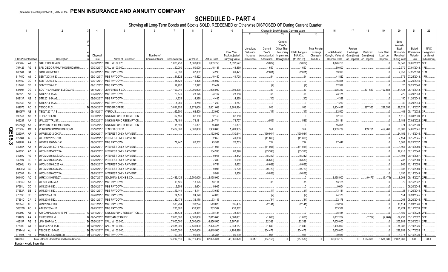|                                  |           | 2                                             | 4                      | -5                                           | 6               |               |            | 9                  | 10                          |                                     |                                   |                                                             | Change in Book/Adjusted Carrying Value |                                               | 16                                 | 17                                 | 18                      | 19                             | 20                                                 | 21                                | 22                                      |
|----------------------------------|-----------|-----------------------------------------------|------------------------|----------------------------------------------|-----------------|---------------|------------|--------------------|-----------------------------|-------------------------------------|-----------------------------------|-------------------------------------------------------------|----------------------------------------|-----------------------------------------------|------------------------------------|------------------------------------|-------------------------|--------------------------------|----------------------------------------------------|-----------------------------------|-----------------------------------------|
|                                  |           |                                               |                        |                                              |                 |               |            |                    |                             | 11                                  | 12                                | 13                                                          | 14                                     | 15                                            |                                    |                                    |                         |                                |                                                    |                                   |                                         |
|                                  |           |                                               | Disposal               |                                              | Number of       |               |            |                    | Prior Year<br>Book/Adjusted | Unrealized<br>Valuation<br>Increase | Current<br>Year's<br>Amortization | Current<br>Year's<br>Other-Than-<br>Temporary<br>Impairment | <b>Total Change</b><br>B./A.C.V.       | <b>Total Foreigr</b><br>Exchange<br>Change in | Book/Adjusted<br>Carrying Value at | Foreign<br>Exchange<br>Gain (Loss) | Realized<br>Gain (Loss) | <b>Total Gain</b><br>(Loss) on | Bond<br>Interest<br>Stock<br>Dividends<br>Received | Stated<br>Contractual<br>Maturity | <b>NAIC</b><br>Designation<br>or Market |
| <b>CUSIP</b> Identification      |           | Description                                   | Date                   | Name of Purchaser                            | Shares of Stock | Consideration | Par Value  | <b>Actual Cost</b> | Carrying Value              | (Decrease)                          | / Accretion                       | Recognized                                                  | $(11+12-13)$                           | B./A.C.V.                                     | Disposal Date                      | on Disposal                        | on Disposal             | Disposal                       | During Year                                        | Date                              | Indicator (a)                           |
| 79546V                           | AJ        | SALLY HOLDINGS.                               | 07/06/2017             | CALL at 102.875.                             |                 | 1,028,750     | .1,000,000 | 1,063,750          | 1,032,577                   |                                     | (3,827)                           |                                                             | (3,827)                                |                                               | 1,028,750                          |                                    |                         |                                | .34,340                                            | 06/01/2022.                       |                                         |
| 797426                           | AG        | SAN DIEGO FAMILY HOUSING (MH)                 | 07/03/201              | CALL at 100.000.                             |                 | .50,000       | .50,000    | .48,187            | .48,350                     |                                     | .1,650                            |                                                             | .1,650                                 |                                               | .50,000                            |                                    |                         |                                | 2,970                                              | 07/01/2048.                       | 1FE.                                    |
| 805564                           | GA        | SAST 2000-2 MF2                               | 09/30/201              | MBS PAYDOWN.                                 |                 | .59,390       | .67,032    | .54,296            | .61,471                     |                                     | (2,081)                           |                                                             | (2,081)                                |                                               | .59,390                            |                                    |                         |                                | .2,050                                             | 07/25/2030.                       |                                         |
| 81745D                           | AJ        | SEMT 2013-9 B3.                               | 09/01/201              | MBS PAYDOWN.                                 |                 | .41,822       | .41,822    | .40,450            | .41,728                     |                                     | 94                                |                                                             | .94                                    |                                               | .41,822                            |                                    |                         |                                | .976                                               | 07/25/2043.                       | 1FM.                                    |
| 81746L                           | CC        | SEMT 2015-3 B2.                               | 09/01/201              | MBS PAYDOWN.                                 |                 | .15,825       | 15,825     | .16,042            |                             |                                     |                                   |                                                             |                                        |                                               | .15,825                            |                                    |                         |                                | . 24                                               | 07/25/2045.                       |                                         |
| 81746P                           | CB        | SEMT 2016-1 B1                                | 09/01/201              | MBS PAYDOWN.                                 |                 | .12,992       | 12,992     | .13,402            |                             |                                     | (2)                               |                                                             | (2)                                    |                                               | .12,992                            |                                    |                         |                                | 20                                                 | 06/25/2046.                       |                                         |
| 837004                           | CG        | SOUTH CAROLINA ELEC&GAS                       | 08/16/201              | JEFFERIES & CO.                              |                 | 1,103,040     | 1,000,000  | .995,000           | .995,298                    |                                     | .59                               |                                                             | .59                                    |                                               | .995,357                           |                                    | .107,683                | 107,683                        | .31,433                                            | 06/15/2043.                       |                                         |
| 86212U                           | AB        | STR 2013-1A A2                                | 09/20/201              | <b>MBS PAYDOWN.</b>                          |                 | .23,175       | .23,175    | .23,167            | .23,118                     |                                     | .56                               |                                                             | .56                                    |                                               | .23,175                            |                                    |                         |                                | .720                                               | 03/20/2043.                       |                                         |
| 86213A                           | AB        | STR 2013-3A A2                                | 09/20/201              | <b>MBS PAYDOWN.</b>                          |                 | .4,328        | .4,328     | .4,485             | .4,339                      |                                     | (10)                              |                                                             | (10)                                   |                                               | 4,328                              |                                    |                         |                                |                                                    | 150 11/20/2043.                   | 1FE.                                    |
| 86213B                           | AB        | STR 2014-1A A2                                | 09/20/201              | <b>MBS PAYDOWN.</b>                          |                 | .1,250        | .1,250     | .1,249             | .1,247                      |                                     |                                   |                                                             |                                        |                                               | .1,250                             |                                    |                         |                                | .42                                                | 04/20/2044.                       | 1FE.                                    |
| 881575                           | AC        | ESCO PLC.                                     | 07/06/201              | <b>TENDER OFFER.</b>                         |                 | 3,091,852     | .2,879,000 | .2,801,008         | 2,803,584                   |                                     | .913                              |                                                             | 913                                    |                                               | 2,804,497                          |                                    | .287,355                | .287,355                       | .88,529                                            | 11/15/2037. 3FE.                  |                                         |
| 88606W                           | AB        | TBOLT 2017-A B.                               | 09/15/201              | <b>ARIOUS</b>                                |                 | .62,500       | .62,500    | .62,990            |                             |                                     | (17)                              |                                                             | (17)                                   |                                               | .62,500                            |                                    |                         |                                | 401                                                | 05/17/2032. 3F                    |                                         |
| 89054X                           | AB        | OPAZ SOLAR.                                   | 09/30/201              | SINKING FUND REDEMPTION.                     |                 | .62,150       | .62,150    | .62,150            | .62,150                     |                                     |                                   |                                                             |                                        |                                               | .62,150                            |                                    |                         |                                | .1,515                                             | 09/30/2039. 2FE.                  |                                         |
| 909287                           | AA        | JAL 2007 TRUST                                | 07/02/201              | SINKING FUND REDEMPTION                      |                 | .78,181       | .78,181    | .84,714            | .78,727                     |                                     | (546)                             |                                                             | (546)                                  |                                               | .78,181                            |                                    |                         |                                | .5,188                                             | 07/02/2022.                       |                                         |
| 91474@                           | AA        | UNIVERSITY OF MICHIGAN                        | 09/15/201              | SINKING FUND REDEMPTION.                     |                 | .15,891       | .15,891    | 15,891             | .15,891                     |                                     |                                   |                                                             |                                        |                                               | 15,891                             |                                    |                         |                                | 374                                                | 06/15/2039.                       |                                         |
| Q<br>92343V<br>m                 |           | <b>VERIZON COMMUNICATIONS</b>                 | 08/16/201              | TENDER OFFER.                                |                 | .2,429,500    | .2,000,000 | 1,966,660          | 1,969,385                   |                                     | .354                              |                                                             | 354                                    |                                               | 1,969,739                          |                                    | .459,761                | .459,761                       | .60,000                                            | 04/01/2041.                       | 2FE.                                    |
| 92930R                           | AF        | <b>NFRBS 2012-C9 XA</b>                       | 09/29/201              | NTEREST ONLY PAYMENT                         |                 |               |            | 162,002            | .130,944                    |                                     | (130, 944)                        |                                                             | .(130,944                              |                                               |                                    |                                    |                         |                                | .24,156                                            | 11/15/2045. 1FE.                  |                                         |
| <u>ငှ</u><br>92936T              | AF        | <b>WFRBS 2012-C7 XA.</b>                      | 09/29/201              | INTEREST ONLY PAYMENT.                       |                 |               |            | .52,650            | .41,866                     |                                     | (41,866)                          |                                                             | (41,866)                               |                                               |                                    |                                    |                         |                                | .7,154                                             | 06/15/2045.                       | 1FE.                                    |
| دىٰ<br>949834                    | AA<br>AX  | NFMBS 2007-14 1A1.<br>WFCM 2014-LC16 XA       | 09/30/201<br>09/29/201 | MBS PAYDOWN                                  |                 | 77,447        | .82,202    | 75,531             | .76,733                     |                                     | .714                              |                                                             | 714                                    |                                               | .77,447                            |                                    |                         |                                | .3,303                                             | 10/25/2037.                       | 1FM.<br>1FE.                            |
| 94988X                           | AZ        |                                               |                        | <b>INTEREST ONLY PAYMENT</b>                 |                 |               |            | .11,051            |                             |                                     | (11,051)                          |                                                             | (11,051)                               |                                               |                                    |                                    |                         |                                | .1,462<br>.17,416                                  | 08/15/2050.                       | 1FE.                                    |
| 94989D<br>94989V                 | AG        | WFCM 2015-C27 XA.<br><b>NFCM 2015-NXS3 XA</b> | 09/29/201<br>09/29/201 | NTEREST ONLY PAYMENT<br>NTEREST ONLY PAYMENT |                 |               |            | 104,266<br>.9,945  | .83,396<br>.8,342           |                                     | (83, 396)<br>(8, 342)             |                                                             | (83, 396)<br>(8,342)                   |                                               |                                    |                                    |                         |                                | 1,103                                              | 02/15/2048.<br>09/15/2057         |                                         |
| 94989Y                           | <b>BC</b> | WFCM 2016-C32 XA                              | 09/29/201              | NTEREST ONLY PAYMENT                         |                 |               |            | .7,309             | .6,580                      |                                     | (6,580)                           |                                                             | (6,580)                                |                                               |                                    |                                    |                         |                                | .735                                               | 01/15/2059.                       | 1FE.                                    |
| 95000J                           | AY        | <b>WFCM 2016-LC25 XA</b>                      | 09/29/201              | <b>INTEREST ONLY PAYMENT</b>                 |                 |               |            | .8,751             | .8,662                      |                                     | (8,662)                           |                                                             | (8,662)                                |                                               |                                    |                                    |                         |                                | .966                                               | 12/15/2059.                       |                                         |
| 95000M                           | <b>BS</b> | WFCM 2016-C36 XA                              | 09/29/201              | <b>INTEREST ONLY PAYMENT</b>                 |                 |               |            | .9,908             | .9,729                      |                                     | (9,729)                           |                                                             | (9,729)                                |                                               |                                    |                                    |                         |                                | .986                                               | 11/15/2059.                       |                                         |
| 95000P                           | AH        | <b>WFCM 2016-C37 XA</b>                       | 09/29/20               | <b>INTEREST ONLY PAYMENT</b>                 |                 |               |            | .9,984             | .9,858                      |                                     | (9,858)                           |                                                             | (9,858)                                |                                               |                                    |                                    |                         |                                | .1,150                                             | 12/15/2049.                       |                                         |
| 96145D                           | AC        | WRK 3 3/8 09/15/27                            | 09/27/201              | <b>GOLDMAN SACHS &amp; CO</b>                |                 | .2,489,425    | .2,500,000 | 2,498,900          |                             |                                     |                                   |                                                             |                                        |                                               | 2,498,900                          |                                    | (9,475)                 | (9, 475)                       | .8,203                                             | 09/15/2027.                       |                                         |
| 97063Q                           | AA        | <b>NESTF 2017-A A.</b>                        | 09/15/201              | MBS PAYDOWN.                                 |                 | .13,125       | 13,125     | .13,114            |                             |                                     | .35                               |                                                             | .35                                    |                                               | .13,125                            |                                    |                         |                                | .72                                                | 08/15/2042. 1FE.                  |                                         |
| 97651L                           | CD        | WIN 2015-4 B3                                 | 09/20/201              | <b>MBS PAYDOWN.</b>                          |                 | .9,604        | .9,604     | .9,905             |                             |                                     |                                   |                                                             |                                        |                                               | .9,604                             |                                    |                         |                                |                                                    | 06/20/2045.                       | IFE.                                    |
| 97652R                           | BB        | WIN 2014-3 B3                                 | 09/01/201              | <b>MBS PAYDOWN.</b>                          |                 | .13,141       | .13,141    | .13,639            |                             |                                     | (1)                               |                                                             |                                        |                                               | .13,141                            |                                    |                         |                                | 21                                                 | 11/20/2044.                       | 1FE.                                    |
| 97653B                           | CB        | WIN 2015-A B3.                                | 09/20/20               | <b>MBS PAYDOWN.</b>                          |                 | .24,170       | .24,170    | .24,823            |                             |                                     | (7)                               |                                                             | .(7                                    |                                               | .24,170                            |                                    |                         |                                | 154                                                | 06/20/2045.                       | 1FE.                                    |
| 97654D                           | CA        | VIN 2015-5 B2                                 | 09/01/201              | MBS PAYDOWN.                                 |                 | .32,178       | .32,178    | .33,143            |                             |                                     | (34)                              |                                                             | (34)                                   |                                               | .32,178                            |                                    |                         |                                | .204                                               | 08/20/2045.                       | 1FE.                                    |
| 97655J                           | AH        | WIN 2016-1 1A8                                | 09/01/201              | MBS PAYDOWN.                                 |                 | .533,294      | .533,294   | .543,626           | .535,435                    |                                     | (2, 141)                          |                                                             | (2, 141)                               |                                               | .533,294                           |                                    |                         |                                | .13,114                                            | 01/20/2046.                       | 1FM.                                    |
| G0620B                           | AC        | ATLSS 2014-1 B.                               | 09/29/201              | <b>MBS PAYDOWN.</b>                          |                 | .233,382      | .233,382   | .233,382           | .233,382                    |                                     |                                   |                                                             |                                        |                                               | .233,382                           |                                    |                         |                                | .10,474                                            | 12/15/2039. 2FE.                  |                                         |
| 009090                           | AB        | AIR CANADA 2015-1B PTT                        | 09/15/201              | SINKING FUND REDEMPTION                      |                 | .38,434       | .38,434    | .38,434            | 38,434                      |                                     |                                   |                                                             |                                        |                                               | .38,434                            |                                    |                         |                                | .1,489                                             | 03/15/2023.                       | 2FE.                                    |
| 294829                           | AA        | ERICSSON LM.                                  | 09/14/201              | <b>MORGAN STANLEY</b>                        |                 | .2,000,000    | .2,000,000 | .2,015,040         | .2,008,831                  |                                     | (1,068)                           |                                                             | (1,068)                                |                                               | 2,007,764                          |                                    | (7,764)                 | (7,764)                        | .69,438                                            | 05/15/2022. 3FE.                  |                                         |
| 46615P                           | AG        | JFIN 2007-1A D.                               | 07/20/201              | CALL at 100.000.                             |                 | .7,000,000    | .7,000,000 | .6,856,500         | 6,907,611                   |                                     | .92,389                           |                                                             | .92,389                                |                                               | .7,000,000                         |                                    |                         |                                | .202,883                                           | 07/20/2021.                       |                                         |
| 67590E                           | AJ        | OCT15 2013-1A D.                              | 07/19/201              | CALL at 100.000.                             |                 | .2,435,000    | .2,435,000 | .2,325,425         | .2,343,157                  |                                     | 91,843                            |                                                             | .91,843                                |                                               | .2,435,000                         |                                    |                         |                                | .84,382                                            | 01/19/2025.                       |                                         |
| 87974M                           | AL        | TELOS 2016-7A D.                              | 07/18/201              | CALL at 100.000.                             |                 | 5,000,000     | .5,000,000 | 4,619,500          | 4,795,528                   |                                     | .204,472                          |                                                             | .204,472                               |                                               | 5,000,000                          |                                    |                         |                                | .228,259                                           | 04/17/2025.                       |                                         |
| EF6935                           | 10        | <b>MITCHELLS &amp; BUTLER.</b>                | 09/15/2017.            | MBS PAYDOWN.                                 |                 | 90,086        | .90,086    | 75,395             | 89,130                      |                                     | .956                              |                                                             | .956                                   |                                               | .90,086                            |                                    |                         |                                | .1,073                                             | 12/15/2030. 1FE                   |                                         |
| 3899999.                         |           | Total - Bonds - Industrial and Miscellaneous  |                        |                                              |                 | .64,217,516   | 62,819,453 | .62,095,314        | 46,361,829                  | .6,617                              | (164,156)                         |                                                             | (157, 539)                             |                                               | 62,633,129                         |                                    | .1,584,386              | .1,584,386                     | .2,051,960                                         | XXX                               | <b>XXX</b>                              |
| <b>Bonds - Hybrid Securities</b> |           |                                               |                        |                                              |                 |               |            |                    |                             |                                     |                                   |                                                             |                                        |                                               |                                    |                                    |                         |                                |                                                    |                                   |                                         |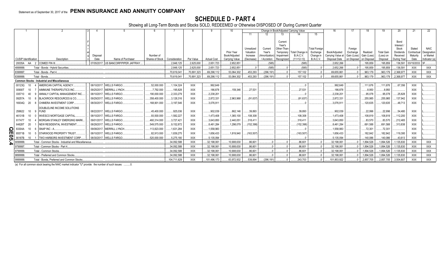# **SCHEDULE D - PART 4**

Showing all Long-Term Bonds and Stocks SOLD, REDEEMED or Otherwise DISPOSED OF During Current Quarter

|                             |                                                       |          |                                       |                 |               |             |                    |                |            |                | Change in Book/Adjusted Carrying Value |                      |                               |             |             |                   | 20                  |             | 22           |
|-----------------------------|-------------------------------------------------------|----------|---------------------------------------|-----------------|---------------|-------------|--------------------|----------------|------------|----------------|----------------------------------------|----------------------|-------------------------------|-------------|-------------|-------------------|---------------------|-------------|--------------|
|                             |                                                       |          |                                       |                 |               |             |                    |                | 11         |                |                                        | $15 \frac{1}{2}$     |                               |             |             |                   |                     |             |              |
|                             |                                                       |          |                                       |                 |               |             |                    |                |            |                |                                        |                      |                               |             |             |                   |                     |             |              |
|                             |                                                       |          |                                       |                 |               |             |                    |                |            |                | Current<br>Year's                      |                      |                               |             |             |                   | Bond                |             |              |
|                             |                                                       |          |                                       |                 |               |             |                    |                | Unrealized | Current        | Other-Than-                            | <b>Total Foreign</b> |                               | Foreign     |             |                   | Interest /<br>Stock | Stated      | <b>NAIC</b>  |
|                             |                                                       |          |                                       |                 |               |             |                    | Prior Year     | Valuation  | Year's         | Total Change in<br>Temporary           | Exchange             | Book/Adjusted                 | Exchange    | Realized    | <b>Total Gain</b> | Dividends           | Contractual | Designation  |
|                             |                                                       | Disposal |                                       | Number of       |               |             |                    | Book/Adjusted  | Increase   | (Amortization) | B./A.C.V.<br>Impairment                | Change in            | Carrying Value at Gain (Loss) |             | Gain (Loss) | (Loss) on         | Received            | Maturity    | or Market    |
| <b>CUSIP</b> Identification | Description                                           | Date     | Name of Purchaser                     | Shares of Stock | Consideration | Par Value   | <b>Actual Cost</b> | Carrying Value | (Decrease) | / Accretion    | $(11+12-13)$<br>Recognized             | <b>B./A.C.V.</b>     | Disposal Date                 | on Disposal | on Disposal | Disposal          | During Year         | Date        | Indicator (a |
| 20035A AA 2 COMED FIN III.  |                                                       |          | 07/05/2017. US BANCORP/PIPER JAFFRAY. |                 | 2.848.125     | .2.625.000  | 2.651.723          | .2.652.851     |            | (585)          | (585                                   |                      | .2.652.266                    |             | .195.859    | 195.859           | .136.591            | 03/15/2033. | २⊏           |
| 4899999                     | Total - Bonds - Hybrid Securities.                    |          |                                       |                 | 2,848,125     | .2,625,000  | .2,651,723         | .2,652,851     |            | (585)          | (585)                                  |                      | .2,652,266                    |             | 195,859     | 195,859           | 136,591             | <b>XXX</b>  | <b>XXX</b>   |
| 8399997                     | Total - Bonds - Part 4                                |          |                                       |                 | .70.619.04    | .70,891,323 | .69,298,112        | .53,064,302    | .453.293   | (296, 191)     | 157,102                                |                      | .69,655,861                   |             | 963,179     | .963.179          | .2,368,977          | <b>XXX</b>  | <b>XXX</b>   |
| 8399999                     | Total - Bonds.                                        |          |                                       |                 | 70.619.041    | 70.891.323  | .69.298.112        | .53.064.302    | .453.293   | (296.191)      | .157.102                               |                      | .69.655.861                   |             | .963.179    | .963.179          | .2,368,977          | XXX         | XXX          |
|                             | <b>Common Stocks - Industrial and Miscellaneous</b>   |          |                                       |                 |               |             |                    |                |            |                |                                        |                      |                               |             |             |                   |                     |             |              |
| 10<br>00123Q                | AMERICAN CAPITAL AGENCY.                              |          | 08/10/2017. WELLS FARGO.              | .52.000.000     | .1,104,324    | XXX         | .992,649           |                |            |                |                                        |                      | 992.649                       |             | 111,676     | 111.676           | 67,356              | XXX         |              |
| 009007<br>$10^{\circ}$      | <b>AIMMUNE THERAPEUTICS INC</b>                       |          | 09/25/2017. MERRILL LYNCH             | .7,792.000      | .195,828      | <b>XXX</b>  | 186,878            | .159,346       | 27,531     |                | .27,531                                |                      | .186,878                      |             | 8,950       | .8,950            |                     | <b>XXX</b>  |              |
| 035710                      | ANNALY CAPITAL MANAGEMENT INC                         |          | 08/10/2017. WELLS FARGO.              | 190,000.000     | 2,333,279     | <b>XXX</b>  | .2.238.201         |                |            |                |                                        |                      | .2.238.20                     |             | 95.078      | .95,078           | 25,828              | <b>XXX</b>  |              |
| $10^{\circ}$<br>09257A      | <b>BLACKROCK RESOURCES &amp; CO</b>                   |          | 09/29/2017. WELLS FARGO.              | .358,400.000    | .3,128,316    | <b>XXX</b>  | .2,872,331         | .2,963,968     | (91,637)   |                | . (91.637)                             |                      | .2,872,331                    |             | 255,985     | .255,985          | .137,942            | <b>XXX</b>  |              |
| 20<br>16934Q                | CHIMERA INVESTMENT CORP.                              |          | 08/30/2017. WELLS FARGO.              | 168,901.000     | 3,197,546     | <b>XXX</b>  | 3,076,911          |                |            |                |                                        |                      | .3,076,91                     |             | 120.635     | 120,635           | .48,713             | <b>XXX</b>  |              |
|                             | DOUBLELINE INCOME SOLUTIONS                           |          |                                       |                 |               |             |                    |                |            |                |                                        |                      |                               |             |             |                   |                     |             |              |
| 10<br>258622                | 9 FUND                                                |          | 08/22/2017. WELLS FARGO.              | .45,400.000     | .925,036      | <b>XXX</b>  | 902.039            | 862,146        | 39,893     |                | 39,893                                 |                      | 902,039                       |             | 22,996      | .22,996           | 54,480              | XXX         |              |
| 46131B                      | <b>INVESCO MORTGAGE CAPITAL</b>                       |          | 08/10/2017. WELLS FARGO.              | .93.500.000     | 1,582,227     | <b>XXX</b>  | .1.473.408         | 1,365,100      | 108,308    |                | 108,308                                |                      | .1,473,408                    |             | 108.819     | 108.819           | 112,200             | <b>XXX</b>  |              |
| 617477<br>10                | MORGAN STANLEY EMERGING MARK                          |          | 09/01/2017. WELLS FARGO.              | .460,314.000    | .3,727,421    | <b>XXX</b>  | .3,643,850         | .2,440,051     | 318,411    |                | .318,411                               |                      | .3,643,850                    |             | 83,570      | 83,570            | 212,465             | <b>XXX</b>  |              |
| 648287<br>20                | NEW RESIDENTAL INVESTMENT                             |          | 08/28/2017. WELLS FARGO.              | .549,575.000    | 9,152,872     | <b>XXX</b>  | .8,461,284         | 1,298,079      | (152,398)  |                | (152, 398)                             |                      | .8.461.284                    |             | 691.588     | .691.588          | 313,838             | <b>XXX</b>  |              |
| 83304A<br>Q<br>10           | SNAP INC - A.                                         |          | 09/08/2017. MERRILL LYNCH             | 113,823.000     | 1,631,284     | <b>XXX</b>  | .1,558,983         |                |            |                |                                        |                      | 1,558,983                     |             | 72,301      | .72,301           |                     | <b>XXX</b>  |              |
| 85571B<br>10                | <b>STARWOOD PROPERTY TRUST</b>                        |          | 08/10/2017. WELLS FARGO               | .82,913.000     | .1,839,275    | <b>XXX</b>  | .1,656,433         | .1,819,940     | (163, 507) |                | (163, 507)                             |                      | 1.656.433                     |             | 182.842     | .182.842          | 119,395             | <b>XXX</b>  |              |
| っ<br>90187B<br>10           | TWO HARBORS INVESTMENT CORP.                          |          | 08/30/2017. WELLS FARGO.              | .520.000.000    | 5,275,180     | <b>XXX</b>  | 5.135.094          |                |            |                |                                        |                      | .5,135,094                    |             | 140.086     | .140.086          | 43,613              | <b>XXX</b>  |              |
| 9099999.                    | Total - Common Stocks - Industrial and Miscellaneous. |          |                                       |                 | .34,092,588   | <b>XXX</b>  | .32,198,061        | 10,908,630     | .86,601    |                | .86,601                                |                      | .32,198,061                   |             | .1,894,526  | 1,894,526         | .1,135,830          | <b>XXX</b>  | <b>XXX</b>   |
| 9799997                     | Total - Common Stocks - Part 4.                       |          |                                       |                 | 34,092,588    | <b>XXX</b>  | .32.198.061        | 10.908.630     | .86,601    |                | .86,601                                |                      | .32,198,061                   |             | .1,894,526  | 1.894.526         | .1,135,830          | <b>XXX</b>  | XXX          |
| 9799999                     | Total - Common Stocks.                                |          |                                       |                 | 34,092,588    | <b>XXX</b>  | .32.198.061        | .10,908,630    | 86,601     |                | .86.601                                |                      | .32,198,061                   |             | 1.894.526   | .1.894.526        | 1,135,830           | XXX         | <b>XXX</b>   |
| 9899999                     | Total - Preferred and Common Stocks.                  |          |                                       |                 | 34.092.588    | <b>XXX</b>  | .32.198.061        | .10,908,630    | 86,601     |                | .86,601                                |                      | .32.198.061                   |             | 1.894.526   | .1.894.526        | 1,135,830           | <b>XXX</b>  | <b>XXX</b>   |
| 9999999.                    | Total - Bonds, Preferred and Common Stocks.           |          |                                       |                 | .104,711,629  | <b>XXX</b>  | 101,496,173        | .63,972,932    | 539,894    | (296, 191)     | .243,703                               |                      | 101,853,922                   |             | .2,857,705  | .2,857,705        | .3,504,807          | <b>XXX</b>  | XXX          |
|                             |                                                       |          |                                       |                 |               |             |                    |                |            |                |                                        |                      |                               |             |             |                   |                     |             |              |

(a) For all common stock bearing the NAIC market indicator "U" provide: the number of such issues: ..........0.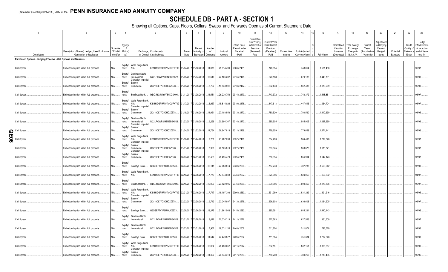# **SCHEDULE DB - PART A - SECTION 1**

|     |                                                                   |                                                                            | $\mathbf{3}$           | $\overline{4}$                              |                                                                                                                           | 6             |                        | 8                                    | 9                  | 10                                                   | 11                                                                              | 12                                                                      | 13     | 14                           | 16<br>15                    | 17                                                | 18                                                         | 19                                                  | 20                                                       | 21                    | 22                             | 23                                                                          |
|-----|-------------------------------------------------------------------|----------------------------------------------------------------------------|------------------------|---------------------------------------------|---------------------------------------------------------------------------------------------------------------------------|---------------|------------------------|--------------------------------------|--------------------|------------------------------------------------------|---------------------------------------------------------------------------------|-------------------------------------------------------------------------|--------|------------------------------|-----------------------------|---------------------------------------------------|------------------------------------------------------------|-----------------------------------------------------|----------------------------------------------------------|-----------------------|--------------------------------|-----------------------------------------------------------------------------|
|     | Description                                                       | Description of Item(s) Hedged, Used for Income<br>Generation or Replicated | Schedule<br>Identifier | Type(s)<br>- of<br>/ Exhibit Risk(s)<br>(a) | Exchange, Counterparty<br>or Central Clearinghouse                                                                        | Trade<br>Date | Date of<br>Maturity or | Number<br>of<br>Expiration Contracts | Notional<br>Amount | Strike Price,<br>Rate of Index<br>Received<br>(Paid) | Cumulative<br>Prior Year(s)<br>Initial Cost of<br>Premium<br>(Received)<br>Paid | <b>Current Year</b><br>Initial Cost of<br>Premium<br>(Received)<br>Paid | Income | Current Year   Book/Adjusted | Carrying Value e Fair Value | Unrealized<br>Valuation<br>Increase<br>(Decrease) | <b>Total Foreign</b><br>Exchange<br>Change in<br>B./A.C.V. | Current<br>Year's<br>(Amortization<br>) / Accretion | Adiustment<br>to Carrying<br>Value of<br>Hedged<br>ltems | Potential<br>Exposure | Credit<br>Quality of<br>Entity | Hedge<br>Effectiveness<br>at Inception<br>Reference and at Year-<br>end (b) |
|     | Purchased Options - Hedging Effective - Call Options and Warrants |                                                                            |                        |                                             |                                                                                                                           |               |                        |                                      |                    |                                                      |                                                                                 |                                                                         |        |                              |                             |                                                   |                                                            |                                                     |                                                          |                       |                                |                                                                             |
|     |                                                                   |                                                                            |                        |                                             |                                                                                                                           |               |                        |                                      |                    |                                                      |                                                                                 |                                                                         |        |                              |                             |                                                   |                                                            |                                                     |                                                          |                       |                                |                                                                             |
|     | Call Spread.                                                      | Embedded option within IUL products                                        | $N/A$                  | ndex                                        | Equity/I   Wells Fargo Bank,<br>KB1H1DSPRFMYMCUFXT09 01/04/2017 01/02/2018<br>N.A.                                        |               |                        | 11,079                               | 25,014,499         | 2303 / 2461                                          |                                                                                 | 748,054                                                                 |        | 748,054                      | .1,521,438                  |                                                   |                                                            |                                                     |                                                          |                       |                                | 96/97.                                                                      |
|     | Call Spread.                                                      | Embedded option within IUL products                                        | N/A                    | Equity/I<br>ndex                            | Goldman Sachs<br>International<br>W22LROWP2IHZNBB6K528<br>Canadian Imperial                                               | 01/05/2017    | 01/04/2018             | .10,616                              | 24,106,282         | 2316 / 2475.                                         |                                                                                 | 670,188                                                                 |        | 670,188                      | .1,440,731                  |                                                   |                                                            |                                                     |                                                          |                       |                                | 98/98.                                                                      |
|     | Call Spread.                                                      | Embedded option within IUL products                                        | $N/A$                  | Equity/I<br>ndex                            | Bank of<br>2IGI19DL77OX0HC3ZE78<br>Commerce                                                                               |               | 01/09/2017 01/05/2018  | 0.8,727                              | .19,833,591        | 2318 / 2477.                                         |                                                                                 | 562,433                                                                 |        | .562,433                     | .1,179,209                  |                                                   |                                                            |                                                     |                                                          |                       |                                | 96/98.                                                                      |
|     | Call Spread                                                       | Embedded option within IUL products                                        | N/A                    | Equity/I<br>ndex                            | IYDOJBGJWY9T8XKCSX06<br>SunTrust Bank                                                                                     |               | 01/11/2017 01/08/2018  | .11,561                              | 26,230,753         | 2314 / 2473.                                         |                                                                                 | 743,372                                                                 |        | 743,372                      | .1,548,851                  |                                                   |                                                            |                                                     |                                                          |                       |                                | 96/97.                                                                      |
|     | Call Spread.                                                      | Embedded option within IUL products                                        | $N/A$                  | ndex                                        | Equity/I   Wells Fargo Bank,<br>N.A.<br>KB1H1DSPRFMYMCUFXT09 01/17/2017 01/12/2018<br>Canadian Imperial                   |               |                        | 6,957                                | .15,814,026        | 2319 / 2478.                                         |                                                                                 | 447,613                                                                 |        | 447,613                      | .934,704                    |                                                   |                                                            |                                                     |                                                          |                       |                                | 96/97.                                                                      |
|     | Call Spread.                                                      | Embedded option within IUL products                                        | N/A                    | ndex                                        | Equity/I   Bank of<br>Commerce<br>2IGI19DL77OX0HC3ZE78                                                                    |               | 01/18/2017 01/16/2018  | 11,951                               | .27,103,553        | 2313 / 2472.                                         |                                                                                 | 780,520                                                                 |        | 780,520                      | .1,610,390                  |                                                   |                                                            |                                                     |                                                          |                       |                                | 93/95.                                                                      |
|     | Call Spread.                                                      | Embedded option within IUL products                                        | $N/A$                  | Equity/I<br>ndex                            | Goldman Sachs<br>W22LROWP2IHZNBB6K528<br>International<br>Canadian Imperial                                               |               | 01/23/2017 01/19/2018  | 9,256                                | 20,994,367         | 2314 / 2472.                                         |                                                                                 | 585,905                                                                 |        | 585,905                      | .1,237,390                  |                                                   |                                                            |                                                     |                                                          |                       |                                | 94/96.                                                                      |
| ဌ   | Call Spread                                                       | Embedded option within IUL products                                        | $N/A$                  | Equity/I<br>ndex                            | Bank of<br>Commerce<br>2IGI19DL77OX0HC3ZE78                                                                               |               | 01/24/2017 01/22/2018  | 11,764                               | 26,647,813         | 2311 / 2469.                                         |                                                                                 | 779,659                                                                 |        | 779,659                      | .1,571,141                  |                                                   |                                                            |                                                     |                                                          |                       |                                | 95/96.                                                                      |
| န္တ | Call Spread.                                                      | Embedded option within IUL products.                                       | $N/A$                  | Equity/I<br>ndex                            | Wells Fargo Bank,<br>KB1H1DSPRFMYMCUFXT09 01/30/2017 01/24/2018<br>N.A.<br>Canadian Imperial                              |               |                        | .9,289                               | 21,287,230         | 2337 / 2498.                                         |                                                                                 | 564,493                                                                 |        | 564,493                      | 1,219,628                   |                                                   |                                                            |                                                     |                                                          |                       |                                | 96/97.                                                                      |
|     | Call Spread.                                                      | Embedded option within IUL products                                        | N/A                    | ndex                                        | Equity/I Bank of<br>2IGI19DL77OX0HC3ZE78<br>Commerce<br>Canadian Imperial                                                 |               | 01/31/2017 01/29/2018  | 8,999                                | 20,525,819         | 2327 / 2486.                                         |                                                                                 | 563,675                                                                 |        | 563,675                      | .1,176,371                  |                                                   |                                                            |                                                     |                                                          |                       |                                | 95/97.                                                                      |
|     | Call Spread.                                                      | Embedded option within IUL products                                        | $N/A$                  | ndex                                        | Equity/I Bank of<br>2IGI19DL77OX0HC3ZE78.<br>Commerce                                                                     |               | 02/03/2017 02/01/2018  | .12,499                              | 28,495,470         | 2325 / 2485.                                         |                                                                                 | .856,994                                                                |        | 856,994                      | .1,642,173                  |                                                   |                                                            |                                                     |                                                          |                       |                                | 97/97.                                                                      |
|     | Call Spread.                                                      | Embedded option within IUL products.                                       | N/A                    | Equity/<br>ndex                             | Barclays Bank<br>G5GSEF7VJP5I7OUK5573                                                                                     |               | 02/07/2017 02/05/2018  | 12,115                               | 27,783,814         | 2339 / 2500.                                         |                                                                                 | 787,233                                                                 |        | 787,233                      | .1,553,942                  |                                                   |                                                            |                                                     |                                                          |                       |                                | 97/98.                                                                      |
|     | Call Spread.                                                      | Embedded option within IUL products.                                       | $N/A$                  | ndex                                        | Equity/I   Wells Fargo Bank,<br>KB1H1DSPRFMYMCUFXT09 02/10/2017 02/08/2018<br>N.A.                                        |               |                        | 17,773                               | 17,874,608         | 2346 / 2507                                          |                                                                                 | 524,056                                                                 |        | 524,056                      | .990,592                    |                                                   |                                                            |                                                     |                                                          |                       |                                | 94/97.                                                                      |
|     | Call Spread.                                                      | Embedded option within IUL products                                        | $N/A$                  | Equity/<br>ndex                             | SunTrust Bank IYDOJBGJWY9T8XKCSX06                                                                                        |               | 02/15/2017 02/12/2018  | 10,099                               | 23,522,995         | 2376 / 2539.                                         |                                                                                 | 699,356                                                                 |        | 699,356                      | .1,178,866                  |                                                   |                                                            |                                                     |                                                          |                       |                                | 95/97.                                                                      |
|     | Call Spread.                                                      | Embedded option within IUL products                                        | $N/A$                  | Equity/I<br>ndex                            | Wells Fargo Bank,<br>KB1H1DSPRFMYMCUFXT09 02/21/2017 02/16/2018<br>N.A.<br>Canadian Imperial                              |               |                        | 7,747                                | 18,197,393         | 2396 / 2560.                                         |                                                                                 | 531,289                                                                 |        | 531,289                      | .891,216                    |                                                   |                                                            |                                                     |                                                          |                       |                                | 95/95.                                                                      |
|     | Call Spread.                                                      | Embedded option within IUL products.                                       | N/A                    | Equity/I<br>ndex                            | Bank of<br>2IGI19DL77OX0HC3ZE78<br>Commerce                                                                               | 02/22/2017    | 02/20/2018             | 9,743                                | 23,045,897         | 2413 / 2578.                                         |                                                                                 | 636,608                                                                 |        | 636,608                      | .1,064,205                  |                                                   |                                                            |                                                     |                                                          |                       |                                | 96/97.                                                                      |
|     | Call Spread.                                                      | Embedded option within IUL products                                        | N/A                    | Equity/<br>ndex                             | G5GSEF7VJP5I7OUK5573<br>Barclays Bank.                                                                                    | 02/28/2017    | 02/26/201              | 13,375                               | 31,661,568         | 2415 / 2580.                                         |                                                                                 | .885,291                                                                |        | .885,291                     | .1,440,143                  |                                                   |                                                            |                                                     |                                                          |                       |                                | 94/95.                                                                      |
|     | Call Spread.                                                      | Embedded option within IUL products                                        | N/A                    | ndex                                        | Equity/I Goldman Sachs<br>International<br>W22LROWP2IHZNBB6K528                                                           |               | 03/01/2017 02/28/2018  | 0.8,476                              | 20,034,213         | 2411 / 2576.                                         |                                                                                 | 627,563                                                                 |        | 627,563                      | .931,609                    |                                                   |                                                            |                                                     |                                                          |                       |                                | 95/97.                                                                      |
|     | Call Spread.                                                      | Embedded option within IUL products.                                       | N/A                    | Equity/I<br>ndex                            | Goldman Sachs<br>W22LROWP2IHZNBB6K528<br>International                                                                    |               | 03/03/2017 03/01/2018  | 7,957                                | 19,031,155         | 2440 / 2607.                                         |                                                                                 | 511,874                                                                 |        | 511,874                      | .796,629                    |                                                   |                                                            |                                                     |                                                          |                       |                                | 94/95.                                                                      |
|     | Call Spread.                                                      | Embedded option within IUL products                                        | $N/A$                  | Equity/<br>ndex                             | G5GSEF7VJP5I7OUK5573<br>Barclays Bank                                                                                     |               | 03/07/2017 03/05/2018  | 11,542                               | 27,449,877         | 2426 / 2592.                                         |                                                                                 | 751,384                                                                 |        | 751,384                      | .1,202,648                  |                                                   |                                                            |                                                     |                                                          |                       |                                | 93/93.                                                                      |
|     | Call Spread.                                                      | Embedded option within IUL products                                        | $N/A$                  | ndex                                        | Equity/I Wells Fargo Bank,<br>KB1H1DSPRFMYMCUFXT09 03/09/2017 03/08/2018<br>N.A.<br>Canadian Imperial<br>Equity/I Bank of |               |                        | 12,034                               | 28,450,662         | 2411 / 2577.                                         |                                                                                 | 832,151                                                                 |        | .832,151                     | .1,325,587                  |                                                   |                                                            |                                                     |                                                          |                       |                                | 98/99.                                                                      |
|     | Call Spread.                                                      | Embedded option within IUL products.                                       | $N/A$                  | ndex                                        | 2IGI19DL77OX0HC3ZE78<br>Commerce                                                                                          |               | 03/15/2017 03/12/2018  | 11,327                               |                    | 26,844,310 2417 / 2583.                              |                                                                                 | .780.260                                                                |        | .780,260                     | 1.218.435                   |                                                   |                                                            |                                                     |                                                          |                       |                                | 95/96.                                                                      |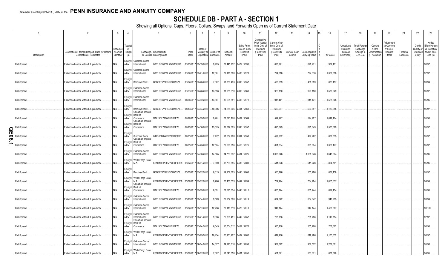# **SCHEDULE DB - PART A - SECTION 1**

|        |                              | $\overline{2}$                                                               | $\overline{3}$                   | $\overline{4}$                  |                                                                | 5                                                   | 6             |                                                               | 8                                             | 9                  | 10                                                   | 11                                                                              | 12                                                                      | 13                            | 14                              | 16                     | 17                                                | 18                                                         | 19                                                  | 20                                                       | 21                    | 22                                          | 23                                                                |
|--------|------------------------------|------------------------------------------------------------------------------|----------------------------------|---------------------------------|----------------------------------------------------------------|-----------------------------------------------------|---------------|---------------------------------------------------------------|-----------------------------------------------|--------------------|------------------------------------------------------|---------------------------------------------------------------------------------|-------------------------------------------------------------------------|-------------------------------|---------------------------------|------------------------|---------------------------------------------------|------------------------------------------------------------|-----------------------------------------------------|----------------------------------------------------------|-----------------------|---------------------------------------------|-------------------------------------------------------------------|
|        | Description                  | Description of Item(s) Hedged, Used for Income<br>Generation or Replicated   | Schedule<br>Exhibit<br>dentifier | Type(s)<br>of<br>Risk(s)<br>(a) |                                                                | Exchange, Counterparty<br>or Central Clearinghouse  | Trade<br>Date | Date of                                                       | Maturity or Number of<br>Expiration Contracts | Notional<br>Amount | Strike Price.<br>Rate of Index<br>Received<br>(Paid) | Cumulative<br>Prior Year(s)<br>Initial Cost of<br>Premium<br>(Received)<br>Paid | <b>Current Year</b><br>Initial Cost of<br>Premium<br>(Received)<br>Paid | <b>Current Year</b><br>Income | Book/Adjusted<br>Carrying Value | Fair Value             | Unrealized<br>Valuation<br>Increase<br>(Decrease) | <b>Total Foreign</b><br>Exchange<br>Change in<br>B./A.C.V. | Current<br>Year's<br>(Amortization<br>) / Accretion | Adjustment<br>to Carrying<br>Value of<br>Hedged<br>Items | Potential<br>Exposure | Credit<br>Quality of<br>Reference<br>Entity | Hedge<br>Effectiveness<br>at Inception<br>and at Year-<br>end (b) |
|        | Call Spread                  | Embedded option within IUL products.                                         | $N/A$                            | ndex                            | Equity/I Goldman Sachs<br>International                        | W22LROWP2IHZNBB6K528                                |               | 03/20/2017 03/19/2018 9,425                                   |                                               |                    | 22,445,732 2429 / 2596.                              |                                                                                 | 628,271                                                                 |                               | .628,271                        | .982,411               |                                                   |                                                            |                                                     |                                                          |                       |                                             | 96/97.                                                            |
|        | Call Spread.                 | Embedded option within IUL products.                                         | N/A                              | Equity/I<br>ndex                | Goldman Sachs<br>International                                 | W22LROWP2IHZNBB6K528                                |               | 03/22/2017 03/21/2018 12,361                                  |                                               |                    | 29,178,808 2408 / 2573.                              |                                                                                 | 794,318                                                                 |                               | 794,318                         | 1,359,818              |                                                   |                                                            |                                                     |                                                          |                       |                                             | 97/97.                                                            |
|        | Call Spread                  | Embedded option within IUL products.                                         | N/A                              | Equity/<br>ndex                 | Barclays Bank                                                  | G5GSEF7VJP5I7OUK5573                                |               | 03/27/2017 03/26/2018 7,387                                   |                                               |                    | .17,330,493 2393 / 2557.                             |                                                                                 | .488,059                                                                |                               | .488,059                        | .833,157               |                                                   |                                                            |                                                     |                                                          |                       |                                             | 93/94.                                                            |
|        | Call Spread.                 | Embedded option within IUL products.                                         | N/A                              | Equity/I<br>ndex                | Goldman Sachs<br>International                                 | W22LROWP2IHZNBB6K528                                |               | 03/29/2017 03/28/2018  13,593                                 |                                               |                    | 31,958,910 2398 / 2563.                              |                                                                                 | .923,150                                                                |                               | .923,150                        | 1,530,949              |                                                   |                                                            |                                                     |                                                          |                       |                                             | 96/97.                                                            |
|        | Call Spread.                 | Embedded option within IUL products.                                         | N/A                              | Equity/I<br>ndex                | Goldman Sachs<br>International                                 | W22LROWP2IHZNBB6K528                                |               | 04/04/2017 04/02/2018 13,861                                  |                                               | .32,695,881        | 2406 / 2571                                          |                                                                                 | 915,441                                                                 |                               | 915,441                         | 1,528,848              |                                                   |                                                            |                                                     |                                                          |                       |                                             | 95/95.                                                            |
|        | Call Spread.                 | Embedded option within IUL products.                                         | N/A                              | Equity/<br>ndex<br>Equity/I     | Barclays Bank<br>Canadian Imperial<br>Bank of                  | G5GSEF7VJP5I7OUK5573                                |               | 04/10/2017 04/04/2018  10,306                                 |                                               | .24,288,666        | 2404 / 2569.                                         |                                                                                 | .693,697                                                                |                               | .693,697                        | 1,133,658              |                                                   |                                                            |                                                     |                                                          |                       |                                             | 96/97.                                                            |
|        | Call Spread                  | Embedded option within IUL products.                                         | N/A                              | ndex<br>Equity/I                | Commerce<br>Canadian Imperial<br>Bank of                       | 2IGI19DL77OX0HC3ZE78                                |               | 04/12/2017 04/09/2018 9,261                                   |                                               |                    | 21,823,176 2404 / 2569.                              |                                                                                 | .594,927                                                                |                               | .594,927                        | 1,019,404              |                                                   |                                                            |                                                     |                                                          |                       |                                             | 95/96.                                                            |
| O<br>π | Call Spread.                 | Embedded option within IUL products.                                         | N/A                              | ndex<br>Equity/                 | Commerce                                                       | 2IGI19DL77OX0HC3ZE78                                |               | 04/18/2017 04/16/2018 13,675                                  |                                               |                    | 32,077,605 2393 / 2557.                              |                                                                                 | .895,849                                                                |                               | .895,849                        | 1,533,099              |                                                   |                                                            |                                                     |                                                          |                       |                                             | 95/97.                                                            |
| 0<br>თ | Call Spread                  | Embedded option within IUL products.                                         | N/A                              | ndex<br>Equity/I                | SunTrust Bank<br>Canadian Imperial<br>Bank of                  | IYDOJBGJWY9T8XKCSX06                                |               | 04/21/2017 04/20/2018 7,472                                   |                                               |                    | 17,534,798 2394 / 2558.                              |                                                                                 | 497,262                                                                 |                               | .497,262                        | .809,535               |                                                   |                                                            |                                                     |                                                          |                       |                                             | 95/97.<br>95/97.                                                  |
|        | Call Spread.<br>Call Spread. | Embedded option within IUL products.<br>Embedded option within IUL products. | N/A<br>N/A                       | ndex<br>ndex                    | Commerce<br>Equity/I Goldman Sachs<br>International            | 2IGI19DL77OX0HC3ZE78<br>W22LROWP2IHZNBB6K528        |               | 04/25/2017 04/23/2018 12,524<br>05/01/2017 04/30/2018  14,565 |                                               | 29,590,956         | 2410 / 2575.<br>34,753,692 2434 / 2625.              |                                                                                 | .891,834<br>1,038,048                                                   |                               | .891,834<br>1,038,048           | 1,356,177<br>1,648,004 |                                                   |                                                            |                                                     |                                                          |                       |                                             | 95/96.                                                            |
|        | Call Spread.                 | Embedded option within IUL products.                                         | N/A                              | ndex                            | Equity/I   Wells Fargo Bank,<br>N.A.                           | KB1H1DSPRFMYMCUFXT09. 05/02/2017 05/01/2018         |               |                                                               | 7,859                                         |                    | .18,769,885 2436 / 2603.                             |                                                                                 | 511,228                                                                 |                               | 511,228                         | .804,761               |                                                   |                                                            |                                                     |                                                          |                       |                                             | 95/96                                                             |
|        | Call Spread.                 | Embedded option within IUL products.                                         | N/A                              | Equity/<br>ndex                 |                                                                | Barclays Bank G5GSEF7VJP5I7OUK5573                  |               | 05/08/2017 05/07/2018 8,319                                   |                                               |                    | .19,902,625 2440 / 2608.                             |                                                                                 | .553,796                                                                |                               | .553,796                        | .837,158               |                                                   |                                                            |                                                     |                                                          |                       |                                             | 95/97.                                                            |
|        | Call Spread.                 | Embedded option within IUL products.                                         | N/A                              | ndex                            | Equity/I   Wells Fargo Bank,<br>N.A.<br>Canadian Imperial      | KB1H1DSPRFMYMCUFXT09. 05/09/2017 05/07/2018         |               |                                                               | 9,786                                         | 23,480,333         | 2447 / 2639.                                         |                                                                                 | 704,494                                                                 |                               | 704,494                         | 1,065,037              |                                                   |                                                            |                                                     |                                                          |                       |                                             | 94/94                                                             |
|        | Call Spread.                 | Embedded option within IUL products.                                         | N/A                              | ndex                            | Equity/I Bank of<br>Commerce                                   | 2IGI19DL77OX0HC3ZE78                                |               | 05/15/2017 05/09/2018 8,891                                   |                                               | 21,295,634         | 2443 / 2611.                                         |                                                                                 | .605,744                                                                |                               | 605,744                         | .892,454               |                                                   |                                                            |                                                     |                                                          |                       |                                             | 95/96.                                                            |
|        | Call Spread.                 | Embedded option within IUL products.                                         | N/A                              | ndex                            | Equity/I Goldman Sachs<br>International                        | W22LROWP2IHZNBB6K528                                |               | 05/16/2017 05/14/2018                                         | 9,569                                         |                    | .22,987,800 2450 / 2619.                             |                                                                                 | .634,042                                                                |                               | .634,042                        | .946,915               |                                                   |                                                            |                                                     |                                                          |                       |                                             | 93/94.                                                            |
|        | Call Spread.                 | Embedded option within IUL products.                                         | N/A                              | ndex                            | Equity/I Goldman Sachs<br>International                        | W22LROWP2IHZNBB6K528                                |               | 05/22/2017 05/17/2018 12,256                                  |                                               |                    | 29,110,819 2423 / 2613.                              |                                                                                 | 947,144                                                                 |                               | .947,144                        | .1,420,067             |                                                   |                                                            |                                                     |                                                          |                       |                                             | 90/102.                                                           |
|        | Call Spread.                 | Embedded option within IUL products.                                         | N/A.                             | ndex                            | Equity/I Goldman Sachs<br>International<br>Canadian Imperial   | W22LROWP2IHZNBB6K528                                |               | 05/23/2017 05/21/2018                                         | 9,356                                         | 22,398,451         | 2442 / 2657                                          |                                                                                 | 735,756                                                                 |                               | 735,756                         | .1,110,714             |                                                   |                                                            |                                                     |                                                          |                       |                                             | 97/97.                                                            |
|        | Call Spread.                 | Embedded option within IUL products.                                         | N/A                              | ndex                            | Equity/I Bank of<br>Commerce                                   | 2IGI19DL77OX0HC3ZE78                                |               | 05/26/2017 05/24/2018 6,549                                   |                                               |                    | .15,754,012   2454 / 2676.                           |                                                                                 | .535,708                                                                |                               | .535,708                        | 758,072                |                                                   |                                                            |                                                     |                                                          |                       |                                             | 96/96.                                                            |
|        | Call Spread.                 | Embedded option within IUL products.                                         | N/A                              | ndex                            | Equity/I   Wells Fargo Bank,<br>N.A.<br>Equity/I Goldman Sachs | KB1H1DSPRFMYMCUFXT09. 05/31/2017 05/29/2018  10,434 |               |                                                               |                                               | 25,181,207         | 2462 / 2682                                          |                                                                                 | 819,486                                                                 |                               | 819,486                         | 1,173,332              |                                                   |                                                            |                                                     |                                                          |                       |                                             | 96/97.                                                            |
|        | Call Spread.                 | Embedded option within IUL products.                                         | N/A                              | ndex                            | International<br>Equity/I Wells Fargo Bank,                    | W22LROWP2IHZNBB6K528 06/06/2017 06/04/2018  14,377  |               |                                                               |                                               |                    | 34,993,618 2483 / 2653.                              |                                                                                 | 967,572                                                                 |                               | .967,572                        | .1,287,601             |                                                   |                                                            |                                                     |                                                          |                       |                                             | 95/96.                                                            |
|        | Call Spread.                 | Embedded option within IUL products.                                         | N/A                              | ndex                            | N.A.                                                           | KB1H1DSPRFMYMCUFXT09. 06/09/2017 06/07/2018 7,007   |               |                                                               |                                               |                    | 17,043,056 2481 / 2651.                              |                                                                                 | .501,071                                                                |                               | .501,071                        | .631,520               |                                                   |                                                            |                                                     |                                                          |                       |                                             | 94/95.                                                            |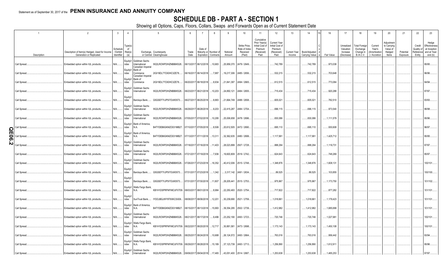# **SCHEDULE DB - PART A - SECTION 1**

|          |                              | $\overline{2}$                                                               | $\overline{\mathbf{3}}$          | $\overline{4}$                  |                                                                        | 5                                                                           | - 6           |                              | 8                                             | <sub>9</sub>              | 10                                                   | 11                                                                              | 12                                                                      | 13     | 14                                             | 16                       | 17                                                | 18                                                         | 19                                                  | 20                                                       | 21                    | 22                             | 23                                                                          |
|----------|------------------------------|------------------------------------------------------------------------------|----------------------------------|---------------------------------|------------------------------------------------------------------------|-----------------------------------------------------------------------------|---------------|------------------------------|-----------------------------------------------|---------------------------|------------------------------------------------------|---------------------------------------------------------------------------------|-------------------------------------------------------------------------|--------|------------------------------------------------|--------------------------|---------------------------------------------------|------------------------------------------------------------|-----------------------------------------------------|----------------------------------------------------------|-----------------------|--------------------------------|-----------------------------------------------------------------------------|
|          | Description                  | Description of Item(s) Hedged, Used for Income<br>Generation or Replicated   | Schedule<br>Exhibit<br>dentifier | Type(s)<br>of<br>Risk(s)<br>(a) |                                                                        | Exchange, Counterparty<br>or Central Clearinghouse                          | Trade<br>Date | Date of                      | Maturity or Number of<br>Expiration Contracts | Notional<br>Amount        | Strike Price,<br>Rate of Index<br>Received<br>(Paid) | Cumulative<br>Prior Year(s)<br>Initial Cost of<br>Premium<br>(Received)<br>Paid | <b>Current Year</b><br>Initial Cost of<br>Premium<br>(Received)<br>Paid | Income | Current Year   Book/Adjusted<br>Carrying Value | Fair Value               | Unrealized<br>Valuation<br>Increase<br>(Decrease) | <b>Total Foreign</b><br>Exchange<br>Change in<br>B./A.C.V. | Current<br>Year's<br>(Amortizatior<br>) / Accretion | Adjustment<br>to Carrying<br>Value of<br>Hedged<br>ltems | Potential<br>Exposure | Credit<br>Quality of<br>Entity | Hedge<br>Effectiveness<br>at Inception<br>Reference and at Year-<br>end (b) |
|          | Call Spread.                 | Embedded option within IUL products.                                         | N/A                              | ndex                            | Equity/I Goldman Sachs<br>International                                | W22LROWP2IHZNBB6K528                                                        |               | 06/13/2017 06/12/2018 10,683 |                                               |                           | .25,959,370 2479 / 2649.                             |                                                                                 | 742,789                                                                 |        | 742,789                                        | .973,038                 |                                                   |                                                            |                                                     |                                                          |                       |                                | 95/95.                                                                      |
|          | Call Spread.                 | Embedded option within IUL products.                                         | N/A                              | ndex                            | Canadian Imperial<br>Equity/I Bank of<br>Commerce<br>Canadian Imperial | 2IGI19DL77OX0HC3ZE78                                                        |               | 06/16/2017 06/14/2018        | 7,887                                         |                           | .19,217,306 2485 / 2656.                             |                                                                                 | .532,215                                                                |        | .532,215                                       | 703,648                  |                                                   |                                                            |                                                     |                                                          |                       |                                | 96/96.                                                                      |
|          | Call Spread.                 | Embedded option within IUL products.                                         | N/A                              | ndex                            | Equity/I Bank of<br>Commerce                                           | 2IGI19DL77OX0HC3ZE78.                                                       |               | 06/20/2017 06/18/2018        | 8,934                                         | 21,841,397                | 2494 / 2665.                                         |                                                                                 | 612,515                                                                 |        | 612,515                                        | 773,084                  |                                                   |                                                            |                                                     |                                                          |                       |                                | 94/94.                                                                      |
|          | Call Spread.                 | Embedded option within IUL products.                                         | N/A                              | ndex                            | Equity/I Goldman Sachs<br>International                                | W22LROWP2IHZNBB6K528                                                        |               | 06/23/2017 06/21/2018 10,203 |                                               | 24,850,121                | 2484 / 2655.                                         |                                                                                 | 715,434                                                                 |        | 715,434                                        | .920,288                 |                                                   |                                                            |                                                     |                                                          |                       |                                | 97/97.                                                                      |
|          | Call Spread.                 | Embedded option within IUL products.                                         | N/A                              | Equity/<br>ndex<br>Equity/I     | Barclays Bank<br>Goldman Sachs                                         | G5GSEF7VJP5I7OUK5573                                                        |               | 06/27/2017 06/25/2018 8,883  |                                               |                           | 21,664,749 2488 / 2658.                              |                                                                                 | .605,021                                                                |        | .605,021                                       | .782,510                 |                                                   |                                                            |                                                     |                                                          |                       |                                | 93/93.                                                                      |
|          | Call Spread.                 | Embedded option within IUL products.                                         | N/A                              | ndex                            | International<br>Equity/I Goldman Sachs                                | W22LROWP2IHZNBB6K528                                                        |               | 06/29/2017 06/28/2018        | , 9,203                                       | .22,415,287               | 2484 / 2704                                          |                                                                                 | .696,115                                                                |        | .696,115                                       | .973,540                 |                                                   |                                                            |                                                     |                                                          |                       |                                | 96/98.                                                                      |
|          | Call Spread.                 | Embedded option within IUL products.                                         | N/A                              | ndex                            | International<br>Equity/I   Bank of America                            | W22LROWP2IHZNBB6K528                                                        |               | 07/05/2017 07/02/2018 10,295 |                                               | 25,006,658                | 2478 / 2696.                                         |                                                                                 | 830,086                                                                 |        | .830,086                                       | .1,111,579               |                                                   |                                                            |                                                     |                                                          |                       |                                | 95/96.                                                                      |
| O<br>π   | Call Spread                  | Embedded option within IUL products.                                         | N/A                              | ndex                            | N.A.<br>Equity/I   Bank of America,                                    | B4TYDEB6GKMZO031MB27 07/10/2017 07/05/2018                                  |               |                              | 8,506                                         | 20,612,505                | 2472 / 2690.                                         |                                                                                 | .695,110                                                                |        | 695,110                                        | .930,608                 |                                                   |                                                            |                                                     |                                                          |                       |                                | 96/97.                                                                      |
| ချွ<br>N | Call Spread<br>Call Spread   | Embedded option within IUL products.<br>Embedded option within IUL products. | N/A<br>N/A                       | ndex<br>ndex                    | N.A.<br>Equity/I   Goldman Sachs<br>International                      | B4TYDEB6GKMZO031MB27 07/13/2017 07/11/2018  13,311<br>W22LROWP2IHZNBB6K528  |               | 07/18/2017 07/16/2018 11,403 |                                               |                           | 32,362,635 2480 / 2699.<br>28,023,899 2507 / 2728.   |                                                                                 | 1,117,991<br>.888,294                                                   |        | , 1, 117, 991<br>.888,294                      | .1,425,712<br>.1,119,731 |                                                   |                                                            |                                                     |                                                          |                       |                                | 95/95.<br>97/97.                                                            |
|          | Call Spread.                 | Embedded option within IUL products.                                         | $N/A$                            | ndex                            | Equity/I Goldman Sachs<br>International                                | W22LROWP2IHZNBB6K528                                                        |               | 07/21/2017 07/19/2018 7,936  |                                               |                           | .19,600,809 2519 / 2742.                             |                                                                                 | .624,643                                                                |        | .624,643                                       | .748,269                 |                                                   |                                                            |                                                     |                                                          |                       |                                | 95/97.                                                                      |
|          | Call Spread.                 | Embedded option within IUL products.                                         | N/A                              | ndex                            | Equity/I Goldman Sachs<br>International                                | W22LROWP2IHZNBB6K528                                                        |               | 07/26/2017 07/23/2018 16,352 |                                               |                           | .40,412,006 2515 / 2748.                             |                                                                                 | 1,348,876                                                               |        | 1,348,876                                      | 1,608,131                |                                                   |                                                            |                                                     |                                                          |                       |                                | 100/101.                                                                    |
|          | Call Spread.                 | Embedded option within IUL products.                                         | N/A                              | Equity/<br>ndex                 |                                                                        | Barclays Bank G5GSEF7VJP5I7OUK5573                                          |               | 07/31/2017 07/23/2018 1,342  |                                               |                           | $3,317,142$   2491 / 2634.                           |                                                                                 | 89,525                                                                  |        | .89,525                                        | 103,855                  |                                                   |                                                            |                                                     |                                                          |                       |                                | 100/100                                                                     |
|          | Call Spread.                 | Embedded option within IUL products.                                         | N/A                              | Equity<br>ndex                  |                                                                        | Barclays Bank G5GSEF7VJP5I7OUK5573                                          |               | 07/31/2017 07/30/2018 11,807 |                                               | 29,205,441                | 2515 / 2753.                                         |                                                                                 | 975,967                                                                 |        | 975,967                                        | .1,173,750               |                                                   |                                                            |                                                     |                                                          |                       |                                | 101/102                                                                     |
|          | Call Spread.                 | Embedded option within IUL products.                                         | N/A                              | ndex                            | Equity/I   Wells Fargo Bank,<br>N.A.                                   | KB1H1DSPRFMYMCUFXT09. 08/03/2017 08/01/2018 8,984                           |               |                              |                                               |                           | 22,250,493 2520 / 2754.                              |                                                                                 | 717,822                                                                 |        | 717,822                                        | .877,282                 |                                                   |                                                            |                                                     |                                                          |                       |                                | 101/101.                                                                    |
|          | Call Spread.                 | Embedded option within IUL products.                                         | N/A                              | Equity/<br>ndex                 |                                                                        | SunTrust Bank IYDOJBGJWY9T8XKCSX06                                          |               | 08/08/2017 08/06/2018 12,201 |                                               |                           | 30,239,690 2521 / 2759.                              |                                                                                 | 1,018,661                                                               |        | 1,018,661                                      | .1,179,423               |                                                   |                                                            |                                                     |                                                          |                       |                                | 101/101                                                                     |
|          | Call Spread.                 | Embedded option within IUL products.                                         | N/A                              | ndex                            | Equity/I Bank of America,<br>N.A.<br>Equity/I Goldman Sachs            | B4TYDEB6GKMZO031MB27 08/15/2017 08/13/2018  15,993                          |               |                              |                                               |                           | 39,354,295 2502 / 2739.                              |                                                                                 | 1,412,982                                                               |        | 1,412,982                                      | 1,685,699                |                                                   |                                                            |                                                     |                                                          |                       |                                | 101/101.                                                                    |
|          | Call Spread.                 | Embedded option within IUL products.                                         | N/A                              | ndex                            | International<br>Equity/I Wells Fargo Bank,                            | W22LROWP2IHZNBB6K528                                                        |               | 08/21/2017 08/17/2018        | 9,496                                         |                           | 23,252,190 2493 / 2723.                              |                                                                                 | 720,746                                                                 |        | 720,746                                        | 1,027,981                |                                                   |                                                            |                                                     |                                                          |                       |                                | 100/101                                                                     |
|          | Call Spread.                 | Embedded option within IUL products.                                         | N/A                              | ndex                            | N.A.<br>Equity/I Goldman Sachs                                         | KB1H1DSPRFMYMCUFXT09. 08/22/2017 08/20/2018  12,717                         |               |                              |                                               | 30,881,581                | 2473 / 2698.                                         |                                                                                 | 1,173,143                                                               |        | , 1, 173, 143                                  | 1,450,108                |                                                   |                                                            |                                                     |                                                          |                       |                                | 100/101.                                                                    |
|          | Call Spread.                 | Embedded option within IUL products.                                         | N/A                              | ndex                            | International<br>Equity/I Wells Fargo Bank,                            | W22LROWP2IHZNBB6K528<br>KB1H1DSPRFMYMCUFXT09. 08/29/2017 08/28/2018  15,189 |               | 08/25/2017 08/24/2018 10,688 |                                               | $37,123,739$ 2493 / 2713. | 26,124,572 2493 / 2664.                              |                                                                                 | 763,016<br>1,256,890                                                    |        | 763,016<br>1,256,890                           | .956,442<br>1,612,911    |                                                   |                                                            |                                                     |                                                          |                       |                                | 93/94.<br>95/96.                                                            |
|          | Call Spread.<br>Call Spread. | Embedded option within IUL products.<br>Embedded option within IUL products. | N/A<br>N/A.                      | ndex<br>ndex                    | N.A.<br>Equity/I Goldman Sachs<br>International                        | W22LROWP2IHZNBB6K528 09/06/2017 09/04/2018 17,465                           |               |                              |                                               |                           | .43,051,400 2514 / 2687.                             |                                                                                 | .1,253,638                                                              |        | 1,253,638                                      | 1,485,253                |                                                   |                                                            |                                                     |                                                          |                       |                                | 97/97.                                                                      |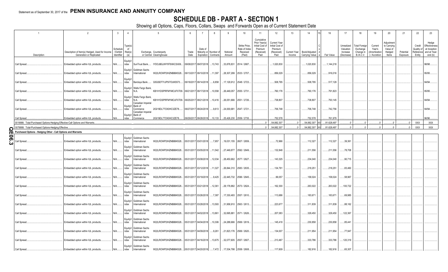# **SCHEDULE DB - PART A - SECTION 1**

|             |                                                                               | $\overline{2}$                                                              | $\overline{3}$                   | $\overline{4}$           |                                                                      | 5                                                   |               |                                                       | 8                                             | -9                 | 10                                                   | 11                                                                              | 12                                                                      | 13                     | 14                              | 16                   | 17                                                | 18                                                         | 19                                                  | 20                                                       | 21                    | 22                                          | 23                                                                |
|-------------|-------------------------------------------------------------------------------|-----------------------------------------------------------------------------|----------------------------------|--------------------------|----------------------------------------------------------------------|-----------------------------------------------------|---------------|-------------------------------------------------------|-----------------------------------------------|--------------------|------------------------------------------------------|---------------------------------------------------------------------------------|-------------------------------------------------------------------------|------------------------|---------------------------------|----------------------|---------------------------------------------------|------------------------------------------------------------|-----------------------------------------------------|----------------------------------------------------------|-----------------------|---------------------------------------------|-------------------------------------------------------------------|
|             | Description                                                                   | Description of Item(s) Hedged, Used for Income<br>Generation or Replicated  | Schedule<br>Exhibit<br>dentifier | Type(s)<br>of<br>Risk(s) |                                                                      | Exchange, Counterparty<br>or Central Clearinghouse  | Trade<br>Date | Date of                                               | Maturity or Number of<br>Expiration Contracts | Notional<br>Amount | Strike Price.<br>Rate of Index<br>Received<br>(Paid) | Cumulative<br>Prior Year(s)<br>Initial Cost of<br>Premium<br>(Received)<br>Paid | <b>Current Year</b><br>Initial Cost of<br>Premium<br>(Received)<br>Paid | Current Year<br>Income | Book/Adjusted<br>Carrying Value | Fair Value           | Unrealized<br>Valuation<br>Increase<br>(Decrease) | <b>Total Foreign</b><br>Exchange<br>Change in<br>B./A.C.V. | Current<br>Year's<br>(Amortization<br>) / Accretion | Adjustment<br>to Carrying<br>Value of<br>Hedged<br>Items | Potential<br>Exposure | Credit<br>Quality of<br>Reference<br>Entity | Hedge<br>Effectiveness<br>at Inception<br>and at Year-<br>end (b) |
|             | Call Spread.                                                                  | Embedded option within IUL products.                                        | N/A                              | Equity/I<br>ndex         |                                                                      | SunTrust Bank IYDOJBGJWY9T8XKCSX06                  |               | 09/08/2017 09/07/2018 13,743                          |                                               | .33,878,831        | 2514 / 2687.                                         |                                                                                 | .1,020,830                                                              |                        | .1,020,830                      | .1,144,218           |                                                   |                                                            |                                                     |                                                          |                       |                                             | 98/98.                                                            |
|             | Call Spread.                                                                  | Embedded option within IUL products.                                        | N/A                              | Equity/I<br>ndex         | Goldman Sachs<br>International                                       | W22LROWP2IHZNBB6K528                                |               | 09/13/2017 09/10/2018  11,397                         |                                               |                    | .28,307,299 2533 / 2707.                             |                                                                                 | .856,029                                                                |                        | .856,029                        | 916,016              |                                                   |                                                            |                                                     |                                                          |                       |                                             | 95/95                                                             |
|             | Call Spread.                                                                  | Embedded option within IUL products.                                        | N/A                              | Equity/I<br>ndex         |                                                                      | Barclays Bank G5GSEF7VJP5I7OUK5573                  |               | 09/18/2017 09/14/2018 6,858                           |                                               |                    | .17,129,912 2548 / 2723.                             |                                                                                 | .508,795                                                                |                        | .508,795                        | 517,129              |                                                   |                                                            |                                                     |                                                          |                       |                                             | 94/94.                                                            |
|             | Call Spread.                                                                  | Embedded option within IUL products.                                        | N/A                              | ndex                     | Equity/I   Wells Fargo Bank,<br>N.A.<br>Equity/I   Wells Fargo Bank, | KB1H1DSPRFMYMCUFXT09. 09/21/2017 09/17/2018  10,558 |               |                                                       |                                               | 26,449,057         | 2555 / 2731                                          |                                                                                 | .760,176                                                                |                        | 760,176                         | 791,823              |                                                   |                                                            |                                                     |                                                          |                       |                                             | 95/95                                                             |
|             | Call Spread.                                                                  | Embedded option within IUL products.                                        | N/A                              | ndex                     | N.A.<br>Canadian Imperial<br>Equity/I Bank of                        | KB1H1DSPRFMYMCUFXT09. 09/25/2017 09/21/2018  10,416 |               |                                                       |                                               |                    | 26,051,666 2551 / 2726.                              |                                                                                 | 738,807                                                                 |                        | 738,807                         | .793,145             |                                                   |                                                            |                                                     |                                                          |                       |                                             | 94/94.                                                            |
|             | Call Spread.<br>Call Spread                                                   | Embedded option within IUL products<br>Embedded option within IUL products. | N/A<br>N/A.                      | ndex<br>ndex             | Commerce<br>Canadian Imperial<br>Equity/I Bank of<br>Commerce        | 2IGI19DL77OX0HC3ZE78<br>2IGI19DL77OX0HC3ZE78.       |               | 09/27/2017 09/24/2018<br>09/29/2017 09/28/2018        | 9,613<br>.10,133                              | 24,000,681         | 2547 / 2721<br>25,426,230 2559 / 2735.               |                                                                                 | 706,748<br>.752,578                                                     |                        | .706,748<br>752,578             | .742,756<br>.761,979 |                                                   |                                                            |                                                     |                                                          |                       |                                             | 94/94.<br>96/96.                                                  |
|             | 0019999. Total-Purchased Options-Hedging Effective-Call Options and Warrants. |                                                                             |                                  |                          |                                                                      |                                                     |               |                                                       |                                               |                    |                                                      |                                                                                 | 54,882,307                                                              | 0                      | .54,882,307                     | 81,628,497           | $\Omega$                                          | $\Omega$                                                   |                                                     |                                                          | $\overline{0}$        | <b>XXX</b>                                  | XXX                                                               |
|             | 0079999. Total-Purchased Options-Hedging Effective                            |                                                                             |                                  |                          |                                                                      |                                                     |               |                                                       |                                               |                    |                                                      |                                                                                 | 54,882,307                                                              | $\Omega$               | .54,882,307                     | 81,628,497           | $\Omega$                                          |                                                            |                                                     |                                                          | $\cap$                | <b>XXX</b>                                  | <b>XXX</b>                                                        |
| C<br>π      | Purchased Options - Hedging Other - Call Options and Warrants                 |                                                                             |                                  |                          |                                                                      |                                                     |               |                                                       |                                               |                    |                                                      |                                                                                 |                                                                         |                        |                                 |                      |                                                   |                                                            |                                                     |                                                          |                       |                                             |                                                                   |
| 0<br>თ<br>ω | Call Spread                                                                   | Embedded option within IUL products.                                        | N/A                              | ndex                     | Equity/I Goldman Sachs<br>International                              | W22LROWP2IHZNBB6K528                                |               | 05/31/2017 03/01/2018 7,957                           |                                               |                    | .19,031,155 2607 / 2659.                             |                                                                                 | 72,966                                                                  |                        | 112,327                         | .112,327             | .39,361                                           |                                                            |                                                     |                                                          |                       |                                             |                                                                   |
|             | Call Spread.                                                                  | Embedded option within IUL products.                                        | N/A                              | ndex                     | Equity/I Goldman Sachs<br>International                              | W22LROWP2IHZNBB6K528                                |               | 05/31/2017 03/05/2018 11,542                          |                                               | 27,449,877         | 2592 / 2649.                                         |                                                                                 | .132,848                                                                |                        | 211,556                         | 211,556              | .78,708                                           |                                                            |                                                     |                                                          |                       |                                             |                                                                   |
|             | Call Spread.                                                                  | Embedded option within IUL products.                                        | N/A                              | ndex                     | Equity/I Goldman Sachs<br>International<br>Equity/I Goldman Sachs    | W22LROWP2IHZNBB6K528                                |               | 05/31/2017 03/08/2018  12,034                         |                                               |                    | .28,450,662 2577 / 2627.                             |                                                                                 | 143,325                                                                 |                        | .234,040                        | .234,040             | .90,715                                           |                                                            |                                                     |                                                          |                       |                                             |                                                                   |
|             | Call Spread.                                                                  | Embedded option within IUL products                                         | N/A                              | ndex                     | International<br>Equity/I Goldman Sachs                              | W22LROWP2IHZNBB6K528                                |               | 05/31/2017 03/12/2018 11,327                          |                                               |                    | .26,844,310 2583 / 2635.                             |                                                                                 | .134,791                                                                |                        | 218,251                         | .218,251             | .83,460                                           |                                                            |                                                     |                                                          |                       |                                             |                                                                   |
|             | Call Spread.<br>Call Spread.                                                  | Embedded option within IUL products<br>Embedded option within IUL products. | N/A<br>N/A                       | ndex<br>Equity/I<br>ndex | International<br>Goldman Sachs<br>International                      | W22LROWP2IHZNBB6K528<br>W22LROWP2IHZNBB6K528        |               | 05/31/2017 03/19/2018<br>05/31/2017 03/21/2018 12,361 | 9,425                                         |                    | 22,445,732 2596 / 2645.<br>29,178,882 2573 / 2624.   |                                                                                 | .99,057<br>162,300                                                      |                        | .158,024<br>.263,022            | 158,024<br>.263,022  | .58,967<br>100,722                                |                                                            |                                                     |                                                          |                       |                                             |                                                                   |
|             | Call Spread.                                                                  | Embedded option within IUL products.                                        | N/A                              | Equity/I<br>ndex         | Goldman Sachs<br>International                                       | W22LROWP2IHZNBB6K528                                |               | 05/31/2017 03/26/2018 7,387                           |                                               |                    | .17,330,493 2557 / 2610                              |                                                                                 | .113,686                                                                |                        | .183,671                        | 183,671              | .69,985                                           |                                                            |                                                     |                                                          |                       |                                             |                                                                   |
|             | Call Spread.                                                                  | Embedded option within IUL products.                                        | N/A                              | Equity/I<br>ndex         | Goldman Sachs<br>International                                       | W22LROWP2IHZNBB6K528                                |               | 05/31/2017 03/28/2018  13,593                         |                                               |                    | 31,958,910 2563 / 2613.                              |                                                                                 | .223,677                                                                |                        | 311,839                         | 311,839              | .88,162                                           |                                                            |                                                     |                                                          |                       |                                             |                                                                   |
|             | Call Spread.                                                                  | Embedded option within IUL products                                         | N/A                              | Equity/I<br>ndex         | Goldman Sachs<br>International                                       | W22LROWP2IHZNBB6K528                                |               | 05/31/2017 04/02/2018 13,861                          |                                               | .32,695,881        | 2571 / 2626.                                         |                                                                                 | .207,083                                                                |                        | .329,450                        | .329,450             | 122,367                                           |                                                            |                                                     |                                                          |                       |                                             |                                                                   |
|             | Call Spread.                                                                  | Embedded option within IUL products.                                        | N/A                              | ndex                     | Equity/I Goldman Sachs<br>International<br>Equity/I Goldman Sachs    | W22LROWP2IHZNBB6K528                                |               | 05/31/2017 04/04/2018 10,306                          |                                               |                    | 24,288,666 2569 / 2619.                              |                                                                                 | .145,418                                                                |                        | .230,858                        | .230,858             | .85,441                                           |                                                            |                                                     |                                                          |                       |                                             |                                                                   |
|             | Call Spread.                                                                  | Embedded option within IUL products.                                        | N/A                              | ndex                     | International<br>Equity/I   Goldman Sachs                            | W22LROWP2IHZNBB6K528                                |               | 05/31/2017 04/09/2018                                 | 9,261                                         |                    | .21,823,176 2569 / 2620.                             |                                                                                 | .134,007                                                                |                        | 211,954                         | 211,954              | .77,947                                           |                                                            |                                                     |                                                          |                       |                                             |                                                                   |
|             | Call Spread.                                                                  | Embedded option within IUL products.                                        | N/A                              | ndex                     | International<br>Equity/I Goldman Sachs                              | W22LROWP2IHZNBB6K528                                |               | 05/31/2017 04/16/2018  13,675                         |                                               |                    | 32,077,605 2557 / 2607.                              |                                                                                 | 213,467                                                                 |                        | .333,786                        | .333,786             | 120,319                                           |                                                            |                                                     |                                                          |                       |                                             |                                                                   |
|             | Call Spread.                                                                  | Embedded option within IUL products.                                        | N/A                              | ndex                     | International                                                        | W22LROWP2IHZNBB6K528                                |               | 05/31/2017 04/20/2018                                 | $7,472$                                       |                    | 17,534,798 2558 / 2608.                              |                                                                                 | .117,609                                                                |                        | .182,916                        | 182,916              | .65,307                                           |                                                            |                                                     |                                                          |                       |                                             |                                                                   |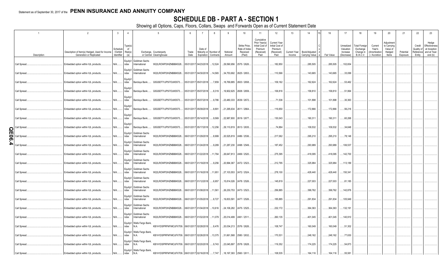# **SCHEDULE DB - PART A - SECTION 1**

|             | $\overline{1}$ | 2                                                                          | $\overline{3}$                    | $\overline{4}$                  |                                           |                                                                           |               | $\overline{7}$                  | 8                     | 9                  | 10                                                   | 11                                                                              | 12                                                                      | 13                     | 14                                     | 16         | 17                                                | 18                                                         | 19                                                  | 20                                                       | 21                    | 22                             | 23                                                                          |
|-------------|----------------|----------------------------------------------------------------------------|-----------------------------------|---------------------------------|-------------------------------------------|---------------------------------------------------------------------------|---------------|---------------------------------|-----------------------|--------------------|------------------------------------------------------|---------------------------------------------------------------------------------|-------------------------------------------------------------------------|------------------------|----------------------------------------|------------|---------------------------------------------------|------------------------------------------------------------|-----------------------------------------------------|----------------------------------------------------------|-----------------------|--------------------------------|-----------------------------------------------------------------------------|
|             | Description    | Description of Item(s) Hedged, Used for Income<br>Generation or Replicated | Scheduk<br>/ Exhibit<br>dentifier | Type(s)<br>of<br>Risk(s)<br>(a) |                                           | Exchange, Counterparty<br>or Central Clearinghouse                        | Trade<br>Date | Date of<br>Expiration Contracts | Maturity or Number of | Notional<br>Amount | Strike Price,<br>Rate of Inde:<br>Received<br>(Paid) | Cumulative<br>Prior Year(s)<br>Initial Cost of<br>Premium<br>(Received)<br>Paid | <b>Current Year</b><br>Initial Cost of<br>Premium<br>(Received)<br>Paid | Current Year<br>Income | Book/Adjusted<br><b>Carrying Value</b> | Fair Value | Unrealized<br>Valuation<br>Increase<br>(Decrease) | <b>Total Foreign</b><br>Exchange<br>Change in<br>B./A.C.V. | Current<br>Year's<br>(Amortization<br>) / Accretion | Adjustment<br>to Carrying<br>Value of<br>Hedged<br>ltems | Potential<br>Exposure | Credit<br>Quality of<br>Entity | Hedge<br>Effectiveness<br>at Inception<br>Reference and at Year-<br>end (b) |
|             | Call Spread.   | Embedded option within IUL products.                                       | N/A                               | ndex                            | Equity/I Goldman Sachs<br>International   | W22LROWP2IHZNBB6K528                                                      |               | 05/31/2017 04/23/2018  12,524   |                       | .29,590,956        | 2575 / 2626.                                         |                                                                                 | .182,850                                                                |                        | .285,505                               | .285,505   | .102,654                                          |                                                            |                                                     |                                                          |                       |                                |                                                                             |
|             | Call Spread.   | Embedded option within IUL products.                                       | N/A                               | Equity/I<br>ndex                | Goldman Sachs<br>International            | W22LROWP2IHZNBB6K528                                                      |               | 05/31/2017 04/30/2018  14,565   |                       | .34,753,692        | 2625 / 2653.                                         |                                                                                 | .110,566                                                                |                        | .143,665                               | 143,665    | .33,099                                           |                                                            |                                                     |                                                          |                       |                                |                                                                             |
|             | Call Spread.   | Embedded option within IUL products.                                       | N/A                               | Equity/I<br>ndex                | Barclays Bank                             | G5GSEF7VJP5I7OUK5573                                                      |               | 05/31/2017 05/01/2018           | 7,859                 |                    | .18,769,885 2603 / 2658.                             |                                                                                 | .109,162                                                                |                        | .162,624                               | 162,624    | .53,462                                           |                                                            |                                                     |                                                          |                       |                                |                                                                             |
|             | Call Spread.   | Embedded option within IUL products.                                       | N/A                               | Equity/<br>ndex                 |                                           | Barclays Bank G5GSEF7VJP5I7OUK5573                                        |               | 05/31/2017 05/07/2018           | $\dots$ 8,319         |                    | .19,902,625 2608 / 2659.                             |                                                                                 | 106,816                                                                 |                        | .158,810                               | 158,810    | .51,994                                           |                                                            |                                                     |                                                          |                       |                                |                                                                             |
|             | Call Spread.   | Embedded option within IUL products.                                       | N/A                               | Equity/I<br>ndex                |                                           | Barclays Bank G5GSEF7VJP5I7OUK5573                                        |               | 05/31/2017 05/07/2018 9,786     |                       |                    | 23,480,333 2639 / 2672                               |                                                                                 | 71,536                                                                  |                        | .101,898                               | 101,898    | .30,363                                           |                                                            |                                                     |                                                          |                       |                                |                                                                             |
|             | Call Spread.   | Embedded option within IUL products.                                       | N/A                               | Equity/I<br>ndex                |                                           | Barclays Bank G5GSEF7VJP5I7OUK5573                                        |               | 05/31/2017 05/09/2018 8,891     |                       | 21,295,634         | 2611 / 2664.                                         |                                                                                 | 116,650                                                                 |                        | .172,866                               | 172,866    | .56,216                                           |                                                            |                                                     |                                                          |                       |                                |                                                                             |
|             | Call Spread.   | Embedded option within IUL products.                                       | N/A                               | Equity/I<br>ndex                |                                           | Barclays Bank G5GSEF7VJP5I7OUK5573                                        |               | 05/31/2017 05/14/2018 9,569     |                       |                    | 22,987,800 2619 / 2677.                              |                                                                                 | .130,043                                                                |                        | .190,311                               | 190,311    | .60,268                                           |                                                            |                                                     |                                                          |                       |                                |                                                                             |
| C           | Call Spread    | Embedded option within IUL products.                                       | N/A                               | Equity/I<br>ndex                |                                           | Barclays Bank G5GSEF7VJP5I7OUK5573                                        |               | 05/31/2017 05/17/2018 12,256    |                       |                    | 29,110,819   2613 / 2635.                            |                                                                                 | .74,884                                                                 |                        | .109,532                               | 109,532    | .34,648                                           |                                                            |                                                     |                                                          |                       |                                |                                                                             |
| π<br>0<br>Ō | Call Spread    | Embedded option within IUL products.                                       | N/A                               | ndex                            | Equity/I Goldman Sachs<br>International   | W22LROWP2IHZNBB6K528                                                      |               | 06/01/2017 01/29/2018 8,999     |                       |                    | .20,525,819 2486 / 2536.                             |                                                                                 | 217,062                                                                 |                        | .295,210                               | .295,210   | .78,148                                           |                                                            |                                                     |                                                          |                       |                                |                                                                             |
| ₽           | Call Spread    | Embedded option within IUL products.                                       | N/A                               | ndex                            | Equity/I   Goldman Sachs<br>International | W22LROWP2IHZNBB6K528                                                      |               | 06/01/2017 01/24/2018           | 9,289                 |                    | $.21,287,230$ 2498 / 2549.                           |                                                                                 | .187,452                                                                |                        | .293,989                               | .293,989   | 106,537                                           |                                                            |                                                     |                                                          |                       |                                |                                                                             |
|             | Call Spread.   | Embedded option within IUL products.                                       | $N/A$                             | ndex                            | Equity/I Goldman Sachs<br>International   | W22LROWP2IHZNBB6K528 06/01/2017 01/22/2018 11,764                         |               |                                 |                       |                    | 26,647,813 2469 / 2520.                              |                                                                                 | 275,395                                                                 |                        | .418,095                               | .418,095   | .142,700                                          |                                                            |                                                     |                                                          |                       |                                |                                                                             |
|             | Call Spread.   | Embedded option within IUL products.                                       | N/A                               | ndex                            | Equity/I Goldman Sachs<br>International   | W22LROWP2IHZNBB6K528                                                      |               | 06/01/2017 01/19/2018 9,256     |                       | 20,994,367         | 2472 / 2523.                                         |                                                                                 | 212,795                                                                 |                        | .325,984                               | .325,984   | .113,189                                          |                                                            |                                                     |                                                          |                       |                                |                                                                             |
|             | Call Spread.   | Embedded option within IUL products.                                       | $N/A$                             | ndex                            | Equity/I Goldman Sachs<br>International   | W22LROWP2IHZNBB6K528                                                      |               | 06/01/2017 01/16/2018 11,951    |                       |                    | 27,103,553 2472 / 2524.                              |                                                                                 | 278,100                                                                 |                        | .428,440                               | 428,440    | 150,341                                           |                                                            |                                                     |                                                          |                       |                                |                                                                             |
|             | Call Spread.   | Embedded option within IUL products.                                       | N/A                               | Equity/I<br>ndex                | Goldman Sachs<br>International            | W22LROWP2IHZNBB6K528                                                      |               | 06/01/2017 01/12/2018 6,957     |                       |                    | .15,814,026 2478 / 2526.                             |                                                                                 | .145,819                                                                |                        | .227,003                               | .227,003   | .81,185                                           |                                                            |                                                     |                                                          |                       |                                |                                                                             |
|             | Call Spread.   | Embedded option within IUL products.                                       | $N/A$                             | Equity/I<br>ndex                | Goldman Sachs<br>International            | W22LROWP2IHZNBB6K528                                                      |               | 06/01/2017 01/08/2018 11,561    |                       |                    | .26,230,753 2473 / 2523.                             |                                                                                 | .256,885                                                                |                        | .399,762                               | .399,762   | 142,876                                           |                                                            |                                                     |                                                          |                       |                                |                                                                             |
|             | Call Spread.   | Embedded option within IUL products.                                       | N/A                               | Equity/I<br>ndex                | Goldman Sachs<br>International            | W22LROWP2IHZNBB6K528                                                      |               | 06/01/2017 01/05/2018 8,727     |                       | .19,833,591        | 2477 / 2526.                                         |                                                                                 | 185,885                                                                 |                        | .291,834                               | 291,834    | 105,949                                           |                                                            |                                                     |                                                          |                       |                                |                                                                             |
|             | Call Spread.   | Embedded option within IUL products.                                       | $N/A$                             | Equity/I<br>ndex                | Goldman Sachs<br>International            | W22LROWP2IHZNBB6K528                                                      |               | 06/01/2017 01/04/2018 10,616    |                       |                    | $.24,106,282$ 2475 / 2525.                           |                                                                                 | 232,172                                                                 |                        | .364,363                               | .364,363   | .132,191                                          |                                                            |                                                     |                                                          |                       |                                |                                                                             |
|             | Call Spread.   | Embedded option within IUL products.                                       | N/A                               | ndex                            | Equity/I Goldman Sachs<br>International   | W22LROWP2IHZNBB6K528                                                      |               | 06/01/2017 01/02/2018 11,079    |                       |                    | 25,014,499 2461 / 2511.                              |                                                                                 | 260,135                                                                 |                        | .401,045                               | .401,045   | 140,910                                           |                                                            |                                                     |                                                          |                       |                                |                                                                             |
|             | Call Spread.   | Embedded option within IUL products.                                       | N/A                               | ndex                            | Equity/I   Wells Fargo Bank,<br>N.A.      | KB1H1DSPRFMYMCUFXT09. 06/01/2017 02/28/2018 8,476                         |               |                                 |                       |                    | 20,034,213 2576 / 2626.                              |                                                                                 | .108,747                                                                |                        | .160,049                               | 160,049    | .51,302                                           |                                                            |                                                     |                                                          |                       |                                |                                                                             |
|             | Call Spread.   | Embedded option within IUL products.                                       | N/A                               | ndex                            | Equity/I Wells Fargo Bank,<br>N.A.        | KB1H1DSPRFMYMCUFXT09. 06/01/2017 02/26/2018  13,375                       |               |                                 |                       |                    | 31,661,568 2580 / 2632.                              |                                                                                 | .170,531                                                                |                        | .248,162                               | .248,162   | .77,630                                           |                                                            |                                                     |                                                          |                       |                                |                                                                             |
|             | Call Spread.   | Embedded option within IUL products.                                       | N/A                               | ndex                            | Equity/I   Wells Fargo Bank,<br>N.A.      | KB1H1DSPRFMYMCUFXT09. 06/01/2017 02/20/2018 9,743                         |               |                                 |                       | 23,045,897         | 2578 / 2628.                                         |                                                                                 | .119,352                                                                |                        | .174,225                               | .174,225   | .54,873                                           |                                                            |                                                     |                                                          |                       |                                |                                                                             |
|             | Call Spread.   | Embedded option within IUL products.                                       | N/A                               | ndex                            | Equity/I   Wells Fargo Bank,<br>N.A.      | KB1H1DSPRFMYMCUFXT09. 06/01/2017 02/16/2018 7,747 18,197,393 2560 / 2611. |               |                                 |                       |                    |                                                      |                                                                                 | 108,535                                                                 |                        | .164,116                               | 164,116    | .55,581                                           |                                                            |                                                     |                                                          |                       |                                |                                                                             |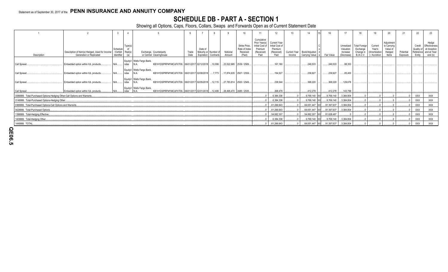# **SCHEDULE DB - PART A - SECTION 1**

|                                                                          |                                                                            |                                    |                          |                                                                                                             |               |                                                       |                    | 10                                                   |                                                                                 | 12                                                               |                               | 14                                |                           | 17                                                | 18                                                 |                                                  | 20                                                      |                       | 22                             | 23                                                                          |
|--------------------------------------------------------------------------|----------------------------------------------------------------------------|------------------------------------|--------------------------|-------------------------------------------------------------------------------------------------------------|---------------|-------------------------------------------------------|--------------------|------------------------------------------------------|---------------------------------------------------------------------------------|------------------------------------------------------------------|-------------------------------|-----------------------------------|---------------------------|---------------------------------------------------|----------------------------------------------------|--------------------------------------------------|---------------------------------------------------------|-----------------------|--------------------------------|-----------------------------------------------------------------------------|
| Description                                                              | Description of Item(s) Hedged, Used for Income<br>Generation or Replicated | Schedul<br>/ Exhibit<br>Identifier | Type(s)<br>of<br>Risk(s) | Exchange, Counterparty<br>or Central Clearinghouse                                                          | Trade<br>Date | Date of<br>Maturity or Number<br>Expiration Contracts | Notional<br>Amount | Strike Price.<br>Rate of Index<br>Received<br>(Paid) | Cumulative<br>Prior Year(s)<br>Initial Cost of<br>Premium<br>(Received)<br>Paid | Current Year<br>Initial Cost of<br>Premium<br>(Received)<br>Paid | <b>Current Year</b><br>Income | Book/Adjusted<br>Carrying Value e | Fair Value                | Unrealized<br>Valuation<br>Increase<br>(Decrease) | Total Foreign<br>Exchange<br>Change in<br>B./A.C.V | Current<br>Year's<br>Amortization<br>/ Accretion | Adjustment<br>to Carrying<br>Value o<br>Hedged<br>Items | Potential<br>Exposure | Credit<br>Quality of<br>Entity | Hedge<br>Effectiveness<br>at Inception<br>Reference and at Year-<br>end (b) |
| Call Spread                                                              | Embedded option within IUL products.                                       | <b>I</b> N/A                       | ndex                     | Equity/I   Wells Fargo Bank,<br>KB1H1DSPRFMYMCUFXT09. 06/01/2017 02/12/2018  10,099                         |               |                                                       |                    | $23,522,995$   2539 / 2589.                          |                                                                                 | 161,180                                                          |                               | 249,533                           | .249,533                  | 88,353                                            |                                                    |                                                  |                                                         |                       |                                |                                                                             |
| Call Spread.                                                             | Embedded option within IUL products.                                       | N/A                                | ndex                     | Equity/I   Wells Fargo Bank,<br>KB1H1DSPRFMYMCUFXT09. 06/01/2017 02/08/2018 7,773<br>N.A.                   |               |                                                       |                    | 17,874,635 2507 / 2559                               |                                                                                 | 154.527                                                          |                               | .239,927                          | .239,927                  | 85,400                                            |                                                    |                                                  |                                                         |                       |                                |                                                                             |
| Call Spread.                                                             | Embedded option within IUL products.                                       | $N/A$                              | ndex                     | Equity/I   Wells Fargo Bank,<br>KB1H1DSPRFMYMCUFXT09. 06/01/2017 02/05/2018  12,115                         |               |                                                       |                    | $27,783,814$   2500 / 2549                           |                                                                                 | 238.544                                                          |                               | .368.220                          | .368,220                  | 129,676                                           |                                                    |                                                  |                                                         |                       |                                |                                                                             |
| Call Spread.                                                             | Embedded option within IUL products.                                       |                                    | ndex                     | Equity/I   Wells Fargo Bank,<br>KB1H1DSPRFMYMCUFXT09. 06/01/2017 02/01/2018  12,499  28,495,470 2485 / 2535 |               |                                                       |                    |                                                      |                                                                                 | 268,479                                                          |                               | .412,278                          | 412,278                   | 143,799                                           |                                                    |                                                  |                                                         |                       |                                |                                                                             |
| 0089999. Total-Purchased Options-Hedging Other-Call Options and Warrants |                                                                            | .6,384,336                         |                          | 9,769,140 XX                                                                                                | .9,769,140    | 3,384,804                                             |                    |                                                      |                                                                                 |                                                                  | <b>XXX</b>                    | <b>XXX</b>                        |                           |                                                   |                                                    |                                                  |                                                         |                       |                                |                                                                             |
| 0149999. Total-Purchased Options-Hedging Other.                          |                                                                            |                                    |                          |                                                                                                             |               |                                                       |                    |                                                      |                                                                                 | .6,384,336                                                       |                               | .9,769,140 XX                     | 9,769,140                 | 3,384,804                                         |                                                    |                                                  |                                                         |                       | XXX                            | XXX                                                                         |
| 0369999. Total-Purchased Options-Call Options and Warrants.              |                                                                            |                                    |                          |                                                                                                             |               |                                                       |                    |                                                      |                                                                                 | 61,266,643                                                       |                               |                                   | .64,651,447 XX 91,397,637 | 3,384,804                                         |                                                    |                                                  |                                                         |                       | XXX                            | XXX                                                                         |
| 0429999. Total-Purchased Options                                         |                                                                            |                                    |                          |                                                                                                             |               |                                                       |                    |                                                      |                                                                                 | 61,266,643                                                       |                               | .64,651,447 XX                    | 91,397,637                | 3,384,804                                         |                                                    |                                                  |                                                         |                       | <b>XXX</b>                     | XXX                                                                         |
| 1399999. Total-Hedging Effective                                         |                                                                            |                                    |                          |                                                                                                             |               |                                                       |                    |                                                      |                                                                                 | 54,882,307                                                       |                               |                                   | 54,882,307 XX 81,628,497  |                                                   |                                                    |                                                  |                                                         |                       | XXX                            | XXX                                                                         |
| 1409999. Total-Hedging Other                                             |                                                                            |                                    |                          |                                                                                                             |               |                                                       |                    |                                                      |                                                                                 | .6,384,336                                                       |                               | 9,769,140 XX                      | 9,769,140                 | 3,384,804                                         |                                                    |                                                  |                                                         |                       | <b>XXX</b>                     | XXX                                                                         |
| 1449999. TOTAL.                                                          |                                                                            |                                    |                          |                                                                                                             |               |                                                       |                    |                                                      |                                                                                 | 61,266,643                                                       |                               |                                   | 64,651,447 XX 91,397,637  | 3,384,804                                         |                                                    |                                                  |                                                         |                       | XXX                            | <b>XXX</b>                                                                  |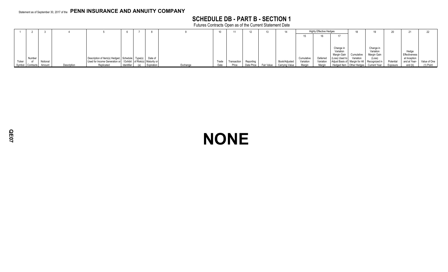# **SCHEDULE DB - PART B - SECTION 1**

Futures Contracts Open as of the Current Statement Date

|        |                  |          |             |                                                                    |            |            |          |       |             |            |            |                |            | <b>Highly Effective Hedges</b> |                                              |            |                                           |           |               |              |
|--------|------------------|----------|-------------|--------------------------------------------------------------------|------------|------------|----------|-------|-------------|------------|------------|----------------|------------|--------------------------------|----------------------------------------------|------------|-------------------------------------------|-----------|---------------|--------------|
|        |                  |          |             |                                                                    |            |            |          |       |             |            |            |                |            |                                |                                              |            |                                           |           |               |              |
|        |                  |          |             |                                                                    |            |            |          |       |             |            |            |                |            |                                |                                              |            |                                           |           |               |              |
|        |                  |          |             |                                                                    |            |            |          |       |             |            |            |                |            |                                |                                              |            |                                           |           |               |              |
|        |                  |          |             |                                                                    |            |            |          |       |             |            |            |                |            |                                | Change in<br>Variation                       |            | Change in<br>Variation                    |           | Hedge         |              |
|        |                  |          |             |                                                                    |            |            |          |       |             |            |            |                |            |                                | Margin Gain                                  | Cumulative | Margin Gain                               |           | Effectiveness |              |
|        | Number           |          |             | Description of Item(s) Hedged, Schedule Type(s)                    |            | Date of    |          |       |             |            |            |                | Cumulative | Deferred                       | (Loss) Used to                               | Variation  | (Loss)                                    |           | at Inception  |              |
| Ticker |                  | Notional |             | Used for Income Generation or / Exhibit   of Risk(s)   Maturity or |            |            |          | Trade | Transaction | Reporting  |            | Book/Adjusted  | Variation  | Variation                      | Adjust Basis of Margin for All Recognized in |            |                                           | Potential | and at Year-  | Value of One |
|        | Symbol Contracts | Amount   | Description | Replicated                                                         | Identifier | Expiration | Exchange | Date  | Price       | Date Price | Fair Value | Carrying Value | Marnin     | Margin                         |                                              |            | Hedged Item   Other Hedges   Current Year | Exposure  | end (b)       | (1) Point    |

# **NONE**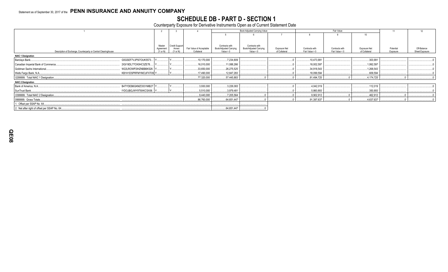# SCHEDULE DB - PART D - SECTION 1<br>Counterparty Exposure for Derivative Instruments Open as of Current Statement Date

|                                                                |                       |                       |                          |                        | Book Adjusted Carrying Value |               | Fair Value     |                |               |           | 12             |  |
|----------------------------------------------------------------|-----------------------|-----------------------|--------------------------|------------------------|------------------------------|---------------|----------------|----------------|---------------|-----------|----------------|--|
|                                                                |                       |                       |                          |                        |                              |               |                |                | 10            |           |                |  |
|                                                                |                       |                       |                          |                        |                              |               |                |                |               |           |                |  |
|                                                                | Master                | <b>Credit Support</b> |                          | Contracts with         | Contracts with               |               |                |                |               |           |                |  |
|                                                                | Agreement             | Annex                 | Fair Value of Acceptable | Book/Adjusted Carrying | Book/Adjusted Carrying       | Exposure Net  | Contracts with | Contracts with | Exposure Net  | Potential | Off-Balance    |  |
| Description of Exchange, Counterparty or Central Clearinghouse | (Y or N)              | $(Y \text{ or } N)$   | Collateral               | Value $> 0$            | Value $< 0$                  | of Collateral | Fair Value > 0 | Fair Value < 0 | of Collateral | Exposure  | Sheet Exposure |  |
| <b>NAIC 1 Designation</b>                                      |                       |                       |                          |                        |                              |               |                |                |               |           |                |  |
| Barclays Bank                                                  | G5GSEF7VJP5I7OUK5573. |                       | .10,170,000              | .7,234,809             |                              |               | 10,473,991     |                | .303,991      |           |                |  |
| Canadian Imperial Bank of Commerce                             | 2IGI19DL77OX0HC3ZE78  |                       | .16,010,000              | 11,088,266             |                              |               | 18,002,597     |                | 1,992,597     |           |                |  |
| Goldman Sachs International                                    | W22LROWP2IHZNBB6K528. |                       | .33,650,000              | 26,275,525             |                              |               | .34,918,543    |                | 1,268,543     |           |                |  |
| Wells Fargo Bank, N.A.                                         | KB1H1DSPRFMYMCUFXT09  |                       | .17,490,000              | 12,847,283             |                              |               | 18,099,594     |                | 609,594       |           |                |  |
| 0299999. Total NAIC 1 Designation.                             |                       |                       | 77,320,000               | 57,445,883             |                              |               | 81,494,725     |                | .4,174,725    |           |                |  |
| <b>NAIC 2 Designation</b>                                      |                       |                       |                          |                        |                              |               |                |                |               |           |                |  |
| Bank of America, N.A.                                          | B4TYDEB6GKMZO031MB27  |                       | .3,930,000               | .3,226,083             |                              |               | .4.042.019     |                | .112.019      |           |                |  |
| SunTrust Bank                                                  | IYDOJBGJWY9T8XKCSX06. |                       | 5,510,000                | .3,979,481             |                              |               | .5,860,893     |                | .350,893      |           |                |  |
| 0399999. Total NAIC 2 Designation.                             |                       |                       | .9,440,000               | .7,205,564             |                              |               | .9,902,912     |                | .462,912      |           |                |  |
| 0999999. Gross Totals                                          |                       |                       | 86,760,000               | .64,651,447            |                              |               | .91,397,637    |                | 4,637,637     |           |                |  |
| 1. Offset per SSAP No. 64.                                     |                       |                       |                          |                        |                              |               |                |                |               |           |                |  |
| 2. Net after right of offset per SSAP No. 64.                  |                       |                       |                          | .64,651,447            |                              |               |                |                |               |           |                |  |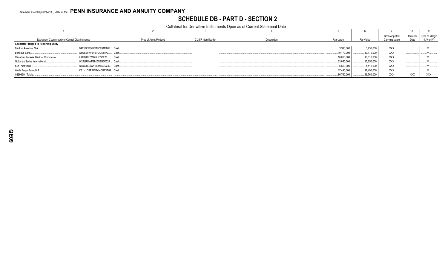# **SCHEDULE DB - PART D - SECTION 2**

Collateral for Derivative Instruments Open as of Current Statement Date

|                                                                      |                       |                             |             |             |             | Book/Adjusted  | Maturity   | Type of Margir          |
|----------------------------------------------------------------------|-----------------------|-----------------------------|-------------|-------------|-------------|----------------|------------|-------------------------|
| Exchange, Counterparty or Central Clearinghouse                      | Type of Asset Pledged | <b>CUSIP</b> Identification | Description | Fair Value  | Par Value   | Carrying Value | Date       | $(I, V \text{ or } IV)$ |
| <b>Collateral Pledged to Reporting Entity</b>                        |                       |                             |             |             |             |                |            |                         |
| B4TYDEB6GKMZO031MB27. Cash<br>Bank of America, N.A                   |                       |                             |             | 3,930,000   | .3,930,000  | XXX            |            |                         |
| G5GSEF7VJP5I7OUK5573 Cash.<br>Barclays Bank                          |                       |                             |             | 10.170.000  | 10.170.000  | <b>XXX</b>     |            |                         |
| 2IGI19DL77OX0HC3ZE78<br>Canadian Imperial Bank of Commerce<br>I Cash |                       |                             |             | 16,010,000  | 16,010,000  | XXX            |            |                         |
| Goldman Sachs International<br>W22LROWP2IHZNBB6K528 Cash.            |                       |                             |             | .33,650,000 | 33,650,000  | <b>XXX</b>     |            |                         |
| IYDOJBGJWY9T8XKCSX06 Cash<br>SunTrust Bank                           |                       |                             |             | .5,510,000  | .5,510,000  | <b>XXX</b>     |            |                         |
| Wells Fargo Bank, N.A.<br>KB1H1DSPRFMYMCUFXT09. Cash                 |                       |                             |             | 17,490,000  | 17,490,000  | XXX            |            |                         |
| 0299999. Totals                                                      |                       |                             |             | 86,760,000  | .86,760,000 | XXX            | <b>XXX</b> | <b>XXX</b>              |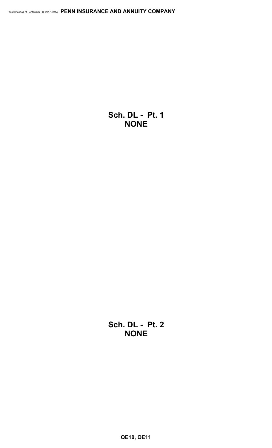**Sch. DL - Pt. 1 NONE**

**Sch. DL - Pt. 2 NONE**

**QE10, QE11**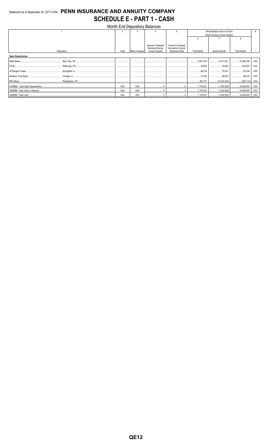# Statement as of September 30, 2017 of the PENN INSURANCE AND ANNUITY COMPANY **SCHEDULE E - PART 1 - CASH**

| Month End Depository Balances |            |                  |                                              |                                          |                              |              |                    |            |  |  |
|-------------------------------|------------|------------------|----------------------------------------------|------------------------------------------|------------------------------|--------------|--------------------|------------|--|--|
|                               | 2          | 3                |                                              |                                          | Book Balance at End of Each  |              |                    | 9.         |  |  |
|                               |            |                  |                                              |                                          | Month During Current Quarter |              |                    |            |  |  |
|                               |            |                  |                                              |                                          |                              |              |                    |            |  |  |
|                               |            |                  |                                              |                                          |                              |              |                    |            |  |  |
|                               |            |                  | Amount of Interest<br><b>Received During</b> | Amount of Interest<br>Accrued at Current |                              |              |                    |            |  |  |
| Depository                    | Code       | Rate of Interest | <b>Current Quarter</b>                       | <b>Statement Date</b>                    | First Month                  | Second Month | <b>Third Month</b> |            |  |  |
| <b>Open Depositories</b>      |            |                  |                                              |                                          |                              |              |                    |            |  |  |
| State Street                  |            |                  |                                              |                                          |                              | 8,411,637    | 10,386,346         | XXX        |  |  |
|                               |            |                  |                                              |                                          |                              | 53,822<br>.  | 222,547<br>        | <b>XXX</b> |  |  |
|                               |            |                  |                                              |                                          | 69,233                       | 75,031       | .53,328            | <b>XXX</b> |  |  |
|                               |            |                  |                                              |                                          | 47.491                       | 49.932       | .48.316<br>        | <b>XXX</b> |  |  |
|                               |            |                  |                                              |                                          |                              |              |                    | XXX        |  |  |
|                               | <b>XXX</b> | XXX              |                                              |                                          |                              |              |                    | XXX        |  |  |
|                               | <b>XXX</b> | <b>XXX</b>       |                                              |                                          | .7,105,521<br>.              | (1,832,922)  | 10,482,403         | XXX        |  |  |
|                               | <b>XXX</b> | XXX              |                                              |                                          |                              |              |                    | XXX        |  |  |